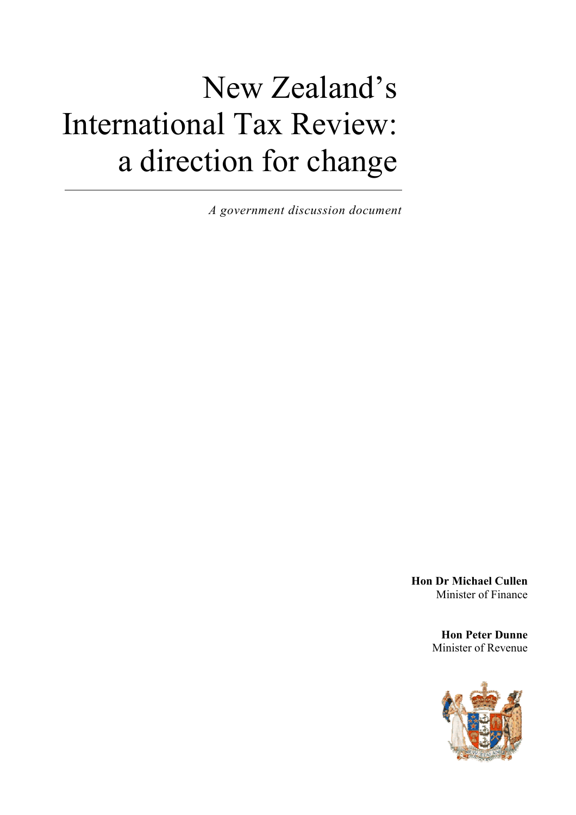# New Zealand's International Tax Review: a direction for change

*A government discussion document* 

**Hon Dr Michael Cullen**  Minister of Finance

> **Hon Peter Dunne** Minister of Revenue

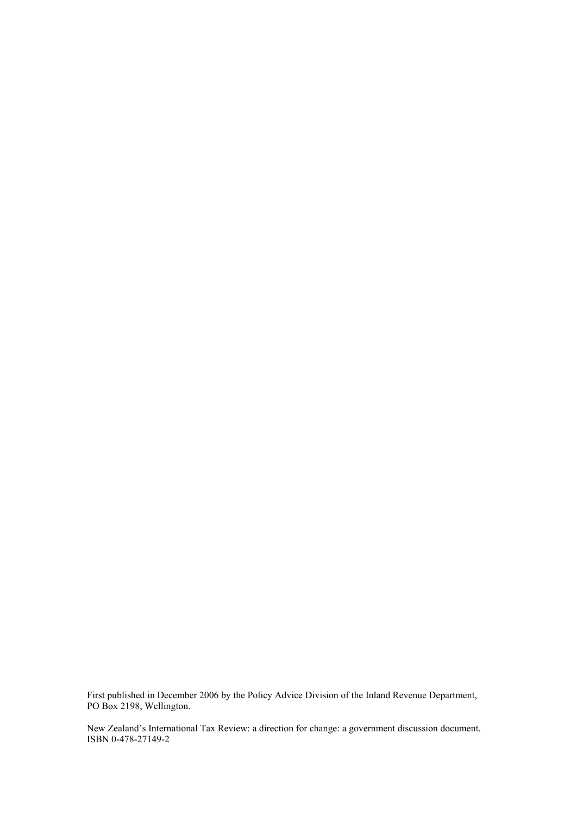First published in December 2006 by the Policy Advice Division of the Inland Revenue Department, PO Box 2198, Wellington.

New Zealand's International Tax Review: a direction for change: a government discussion document. ISBN 0-478-27149-2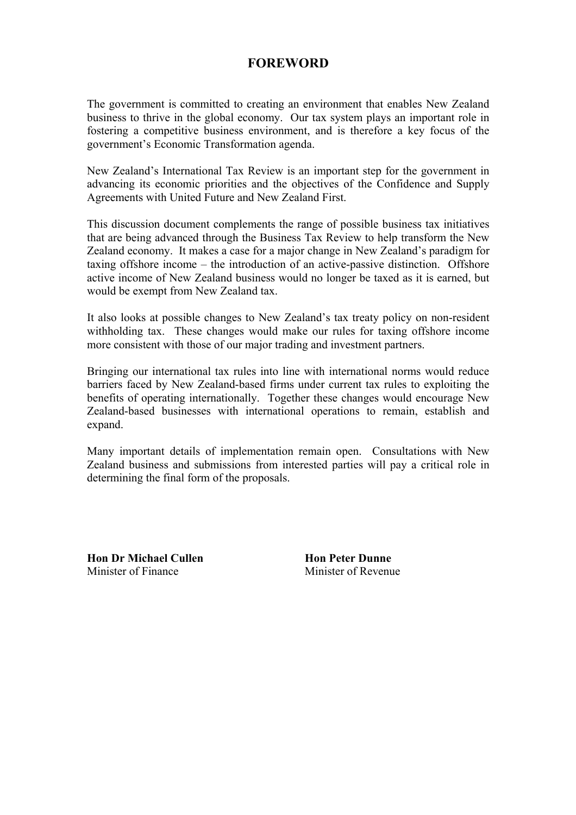# **FOREWORD**

<span id="page-2-0"></span>The government is committed to creating an environment that enables New Zealand business to thrive in the global economy. Our tax system plays an important role in fostering a competitive business environment, and is therefore a key focus of the government's Economic Transformation agenda.

New Zealand's International Tax Review is an important step for the government in advancing its economic priorities and the objectives of the Confidence and Supply Agreements with United Future and New Zealand First.

This discussion document complements the range of possible business tax initiatives that are being advanced through the Business Tax Review to help transform the New Zealand economy. It makes a case for a major change in New Zealand's paradigm for taxing offshore income – the introduction of an active-passive distinction. Offshore active income of New Zealand business would no longer be taxed as it is earned, but would be exempt from New Zealand tax.

It also looks at possible changes to New Zealand's tax treaty policy on non-resident withholding tax. These changes would make our rules for taxing offshore income more consistent with those of our major trading and investment partners.

Bringing our international tax rules into line with international norms would reduce barriers faced by New Zealand-based firms under current tax rules to exploiting the benefits of operating internationally. Together these changes would encourage New Zealand-based businesses with international operations to remain, establish and expand.

Many important details of implementation remain open. Consultations with New Zealand business and submissions from interested parties will pay a critical role in determining the final form of the proposals.

**Hon Dr Michael Cullen Hon Peter Dunne**  Minister of Finance Minister of Revenue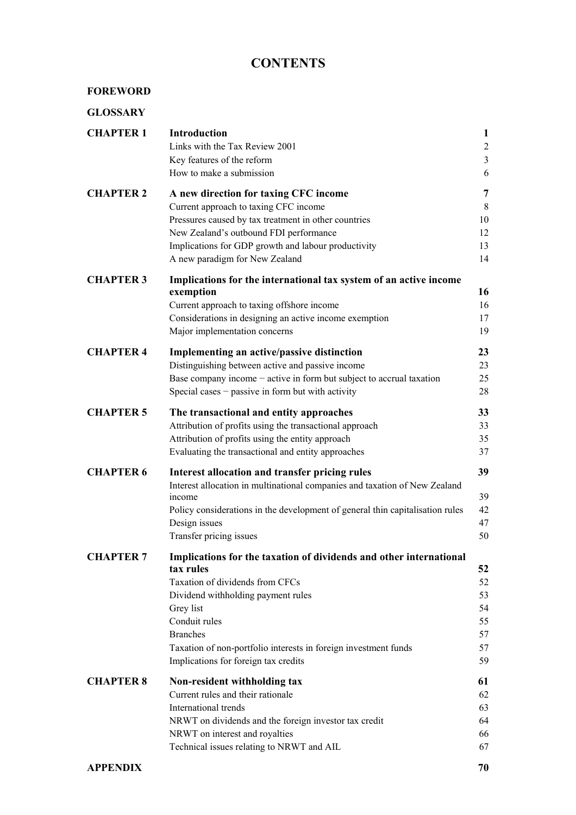# **CONTENTS**

| <b>GLOSSARY</b>  |                                                                                                                                                                                                                                                                                                                      |                                                                         |
|------------------|----------------------------------------------------------------------------------------------------------------------------------------------------------------------------------------------------------------------------------------------------------------------------------------------------------------------|-------------------------------------------------------------------------|
| <b>CHAPTER 1</b> | <b>Introduction</b><br>Links with the Tax Review 2001<br>Key features of the reform<br>How to make a submission                                                                                                                                                                                                      | $\mathbf{1}$<br>$\overline{\mathbf{c}}$<br>$\overline{\mathbf{3}}$<br>6 |
| <b>CHAPTER 2</b> | A new direction for taxing CFC income<br>Current approach to taxing CFC income<br>Pressures caused by tax treatment in other countries<br>New Zealand's outbound FDI performance<br>Implications for GDP growth and labour productivity<br>A new paradigm for New Zealand                                            | 7<br>8<br>10<br>12<br>13<br>14                                          |
| <b>CHAPTER 3</b> | Implications for the international tax system of an active income<br>exemption<br>Current approach to taxing offshore income<br>Considerations in designing an active income exemption<br>Major implementation concerns                                                                                              | 16<br>16<br>17<br>19                                                    |
| <b>CHAPTER 4</b> | Implementing an active/passive distinction<br>Distinguishing between active and passive income<br>Base company income $-$ active in form but subject to accrual taxation<br>Special cases $-$ passive in form but with activity                                                                                      | 23<br>23<br>25<br>28                                                    |
| <b>CHAPTER 5</b> | The transactional and entity approaches<br>Attribution of profits using the transactional approach<br>Attribution of profits using the entity approach<br>Evaluating the transactional and entity approaches                                                                                                         | 33<br>33<br>35<br>37                                                    |
| <b>CHAPTER 6</b> | Interest allocation and transfer pricing rules<br>Interest allocation in multinational companies and taxation of New Zealand<br>income<br>Policy considerations in the development of general thin capitalisation rules<br>Design issues<br>Transfer pricing issues                                                  | 39<br>39<br>42<br>47<br>50                                              |
| <b>CHAPTER 7</b> | Implications for the taxation of dividends and other international<br>tax rules<br>Taxation of dividends from CFCs<br>Dividend withholding payment rules<br>Grey list<br>Conduit rules<br><b>Branches</b><br>Taxation of non-portfolio interests in foreign investment funds<br>Implications for foreign tax credits | 52<br>52<br>53<br>54<br>55<br>57<br>57<br>59                            |
| <b>CHAPTER 8</b> | Non-resident withholding tax<br>Current rules and their rationale<br>International trends<br>NRWT on dividends and the foreign investor tax credit<br>NRWT on interest and royalties<br>Technical issues relating to NRWT and AIL                                                                                    | 61<br>62<br>63<br>64<br>66<br>67                                        |
|                  |                                                                                                                                                                                                                                                                                                                      |                                                                         |

#### **[APPENDIX 70](#page-76-0)**

**[FOREWORD](#page-2-0)**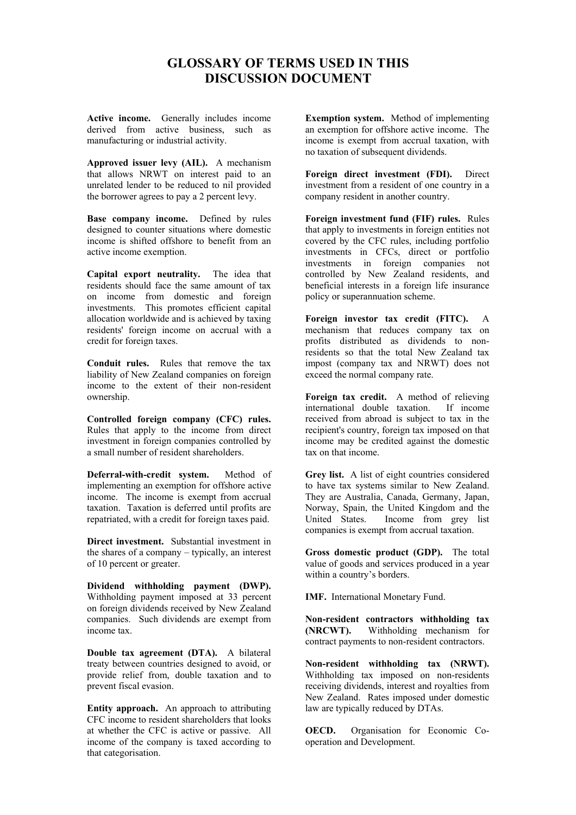# **GLOSSARY OF TERMS USED IN THIS DISCUSSION DOCUMENT**

<span id="page-6-0"></span>**Active income.** Generally includes income derived from active business, such as manufacturing or industrial activity.

**Approved issuer levy (AIL).** A mechanism that allows NRWT on interest paid to an unrelated lender to be reduced to nil provided the borrower agrees to pay a 2 percent levy.

**Base company income.** Defined by rules designed to counter situations where domestic income is shifted offshore to benefit from an active income exemption.

**Capital export neutrality.** The idea that residents should face the same amount of tax on income from domestic and foreign investments. This promotes efficient capital allocation worldwide and is achieved by taxing residents' foreign income on accrual with a credit for foreign taxes.

**Conduit rules.** Rules that remove the tax liability of New Zealand companies on foreign income to the extent of their non-resident ownership.

**Controlled foreign company (CFC) rules.** Rules that apply to the income from direct investment in foreign companies controlled by a small number of resident shareholders.

**Deferral-with-credit system.** Method of implementing an exemption for offshore active income. The income is exempt from accrual taxation. Taxation is deferred until profits are repatriated, with a credit for foreign taxes paid.

**Direct investment.** Substantial investment in the shares of a company – typically, an interest of 10 percent or greater.

**Dividend withholding payment (DWP).** Withholding payment imposed at 33 percent on foreign dividends received by New Zealand companies. Such dividends are exempt from income tax.

**Double tax agreement (DTA).** A bilateral treaty between countries designed to avoid, or provide relief from, double taxation and to prevent fiscal evasion.

**Entity approach.** An approach to attributing CFC income to resident shareholders that looks at whether the CFC is active or passive. All income of the company is taxed according to that categorisation.

**Exemption system.** Method of implementing an exemption for offshore active income. The income is exempt from accrual taxation, with no taxation of subsequent dividends.

**Foreign direct investment (FDI).** Direct investment from a resident of one country in a company resident in another country.

**Foreign investment fund (FIF) rules.** Rules that apply to investments in foreign entities not covered by the CFC rules, including portfolio investments in CFCs, direct or portfolio investments in foreign companies not controlled by New Zealand residents, and beneficial interests in a foreign life insurance policy or superannuation scheme.

**Foreign investor tax credit (FITC).** A mechanism that reduces company tax on profits distributed as dividends to nonresidents so that the total New Zealand tax impost (company tax and NRWT) does not exceed the normal company rate.

**Foreign tax credit.** A method of relieving international double taxation. If income received from abroad is subject to tax in the recipient's country, foreign tax imposed on that income may be credited against the domestic tax on that income.

**Grey list.** A list of eight countries considered to have tax systems similar to New Zealand. They are Australia, Canada, Germany, Japan, Norway, Spain, the United Kingdom and the United States. Income from grey list companies is exempt from accrual taxation.

**Gross domestic product (GDP).** The total value of goods and services produced in a year within a country's borders.

**IMF.** International Monetary Fund.

**Non-resident contractors withholding tax (NRCWT).** Withholding mechanism for contract payments to non-resident contractors.

**Non-resident withholding tax (NRWT).** Withholding tax imposed on non-residents receiving dividends, interest and royalties from New Zealand. Rates imposed under domestic law are typically reduced by DTAs.

**OECD.** Organisation for Economic Cooperation and Development.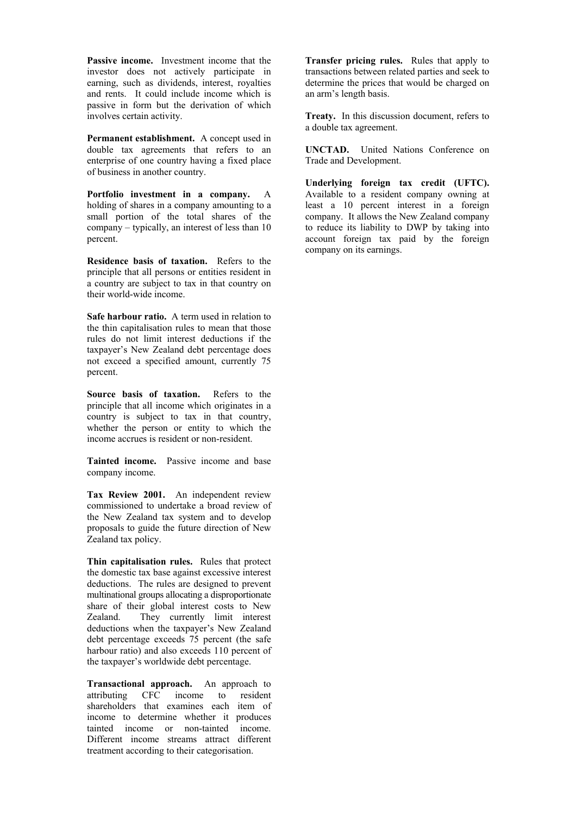**Passive income.** Investment income that the investor does not actively participate in earning, such as dividends, interest, royalties and rents. It could include income which is passive in form but the derivation of which involves certain activity.

**Permanent establishment.** A concept used in double tax agreements that refers to an enterprise of one country having a fixed place of business in another country.

**Portfolio investment in a company.** A holding of shares in a company amounting to a small portion of the total shares of the company – typically, an interest of less than 10 percent.

**Residence basis of taxation.** Refers to the principle that all persons or entities resident in a country are subject to tax in that country on their world-wide income.

**Safe harbour ratio.** A term used in relation to the thin capitalisation rules to mean that those rules do not limit interest deductions if the taxpayer's New Zealand debt percentage does not exceed a specified amount, currently 75 percent.

**Source basis of taxation.** Refers to the principle that all income which originates in a country is subject to tax in that country, whether the person or entity to which the income accrues is resident or non-resident.

**Tainted income.** Passive income and base company income.

**Tax Review 2001.** An independent review commissioned to undertake a broad review of the New Zealand tax system and to develop proposals to guide the future direction of New Zealand tax policy.

**Thin capitalisation rules.** Rules that protect the domestic tax base against excessive interest deductions. The rules are designed to prevent multinational groups allocating a disproportionate share of their global interest costs to New Zealand. They currently limit interest deductions when the taxpayer's New Zealand debt percentage exceeds 75 percent (the safe harbour ratio) and also exceeds 110 percent of the taxpayer's worldwide debt percentage.

**Transactional approach.** An approach to attributing CFC income to resident shareholders that examines each item of income to determine whether it produces tainted income or non-tainted income. Different income streams attract different treatment according to their categorisation.

**Transfer pricing rules.** Rules that apply to transactions between related parties and seek to determine the prices that would be charged on an arm's length basis.

**Treaty.** In this discussion document, refers to a double tax agreement.

**UNCTAD.** United Nations Conference on Trade and Development.

**Underlying foreign tax credit (UFTC).** Available to a resident company owning at least a 10 percent interest in a foreign company. It allows the New Zealand company to reduce its liability to DWP by taking into account foreign tax paid by the foreign company on its earnings.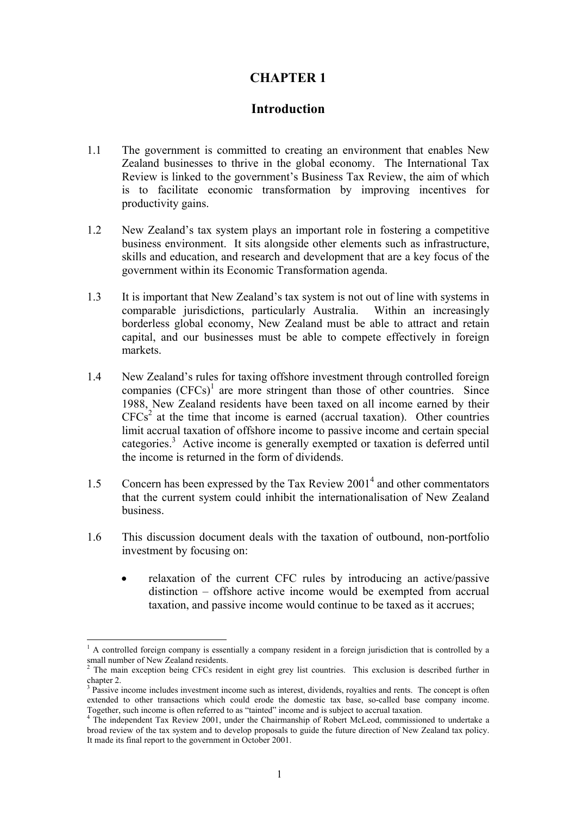# **CHAPTER 1**

# **Introduction**

- <span id="page-8-0"></span>1.1 The government is committed to creating an environment that enables New Zealand businesses to thrive in the global economy. The International Tax Review is linked to the government's Business Tax Review, the aim of which is to facilitate economic transformation by improving incentives for productivity gains.
- 1.2 New Zealand's tax system plays an important role in fostering a competitive business environment. It sits alongside other elements such as infrastructure, skills and education, and research and development that are a key focus of the government within its Economic Transformation agenda.
- 1.3 It is important that New Zealand's tax system is not out of line with systems in comparable jurisdictions, particularly Australia. Within an increasingly borderless global economy, New Zealand must be able to attract and retain capital, and our businesses must be able to compete effectively in foreign markets.
- 1.4 New Zealand's rules for taxing offshore investment through controlled foreign companies  $(CFCs)^1$  are more stringent than those of other countries. Since 1988, New Zealand residents have been taxed on all income earned by their  $CFCs<sup>2</sup>$  at the time that income is earned (accrual taxation). Other countries limit accrual taxation of offshore income to passive income and certain special categories.<sup>3</sup> Active income is generally exempted or taxation is deferred until the income is returned in the form of dividends.
- 1.5 Concern has been expressed by the Tax Review 2001<sup>4</sup> and other commentators that the current system could inhibit the internationalisation of New Zealand business.
- 1.6 This discussion document deals with the taxation of outbound, non-portfolio investment by focusing on:
	- relaxation of the current CFC rules by introducing an active/passive distinction – offshore active income would be exempted from accrual taxation, and passive income would continue to be taxed as it accrues;

<sup>&</sup>lt;sup>1</sup> A controlled foreign company is essentially a company resident in a foreign jurisdiction that is controlled by a

small number of New Zealand residents.<br><sup>2</sup> The main exception being CFCs resident in eight grey list countries. This exclusion is described further in

chapter 2.<br><sup>3</sup> Passive income includes investment income such as interest, dividends, royalties and rents. The concept is often extended to other transactions which could erode the domestic tax base, so-called base company income.<br>Together, such income is often referred to as "tainted" income and is subject to accrual taxation. Together, such income is often referred to as "tainted" income and is subject to accrual taxation.<br><sup>4</sup> The independent Tax Review 2001, under the Chairmanship of Robert McLeod, commissioned to undertake a

broad review of the tax system and to develop proposals to guide the future direction of New Zealand tax policy. It made its final report to the government in October 2001.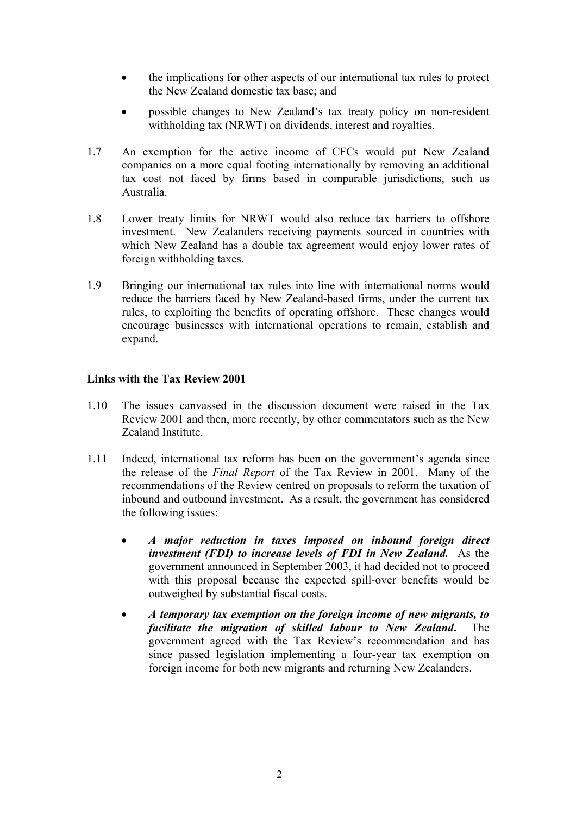- <span id="page-9-0"></span>• the implications for other aspects of our international tax rules to protect the New Zealand domestic tax base; and
- possible changes to New Zealand's tax treaty policy on non-resident withholding tax (NRWT) on dividends, interest and royalties.
- 1.7 An exemption for the active income of CFCs would put New Zealand companies on a more equal footing internationally by removing an additional tax cost not faced by firms based in comparable jurisdictions, such as Australia.
- 1.8 Lower treaty limits for NRWT would also reduce tax barriers to offshore investment. New Zealanders receiving payments sourced in countries with which New Zealand has a double tax agreement would enjoy lower rates of foreign withholding taxes.
- 1.9 Bringing our international tax rules into line with international norms would reduce the barriers faced by New Zealand-based firms, under the current tax rules, to exploiting the benefits of operating offshore. These changes would encourage businesses with international operations to remain, establish and expand.

#### **Links with the Tax Review 2001**

- 1.10 The issues canvassed in the discussion document were raised in the Tax Review 2001 and then, more recently, by other commentators such as the New Zealand Institute.
- 1.11 Indeed, international tax reform has been on the government's agenda since the release of the *Final Report* of the Tax Review in 2001. Many of the recommendations of the Review centred on proposals to reform the taxation of inbound and outbound investment. As a result, the government has considered the following issues:
	- *A major reduction in taxes imposed on inbound foreign direct investment (FDI) to increase levels of FDI in New Zealand.* As the government announced in September 2003, it had decided not to proceed with this proposal because the expected spill-over benefits would be outweighed by substantial fiscal costs.
	- *A temporary tax exemption on the foreign income of new migrants, to facilitate the migration of skilled labour to New Zealand***.** The government agreed with the Tax Review's recommendation and has since passed legislation implementing a four-year tax exemption on foreign income for both new migrants and returning New Zealanders.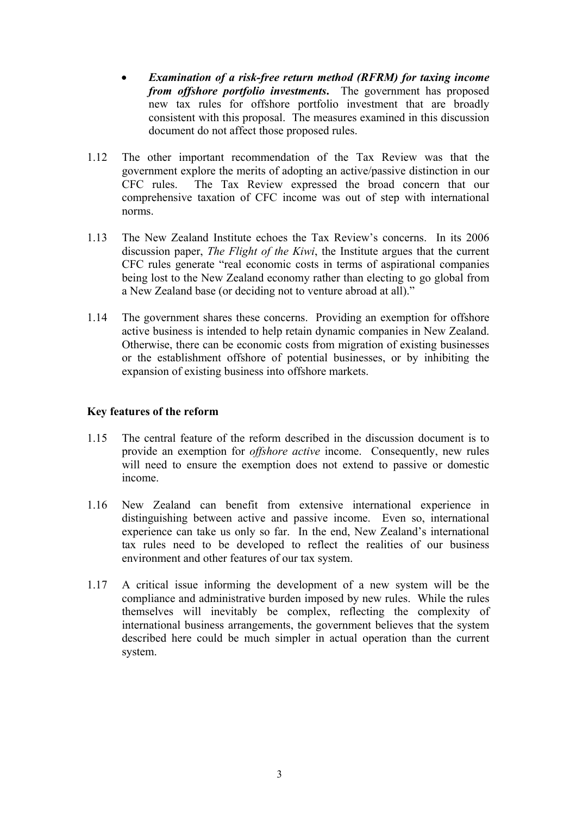- <span id="page-10-0"></span>• *Examination of a risk-free return method (RFRM) for taxing income from offshore portfolio investments***.** The government has proposed new tax rules for offshore portfolio investment that are broadly consistent with this proposal. The measures examined in this discussion document do not affect those proposed rules.
- 1.12 The other important recommendation of the Tax Review was that the government explore the merits of adopting an active/passive distinction in our CFC rules. The Tax Review expressed the broad concern that our comprehensive taxation of CFC income was out of step with international norms.
- 1.13 The New Zealand Institute echoes the Tax Review's concerns. In its 2006 discussion paper, *The Flight of the Kiwi*, the Institute argues that the current CFC rules generate "real economic costs in terms of aspirational companies being lost to the New Zealand economy rather than electing to go global from a New Zealand base (or deciding not to venture abroad at all)."
- 1.14 The government shares these concerns. Providing an exemption for offshore active business is intended to help retain dynamic companies in New Zealand. Otherwise, there can be economic costs from migration of existing businesses or the establishment offshore of potential businesses, or by inhibiting the expansion of existing business into offshore markets.

#### **Key features of the reform**

- 1.15 The central feature of the reform described in the discussion document is to provide an exemption for *offshore active* income. Consequently, new rules will need to ensure the exemption does not extend to passive or domestic income.
- 1.16 New Zealand can benefit from extensive international experience in distinguishing between active and passive income. Even so, international experience can take us only so far. In the end, New Zealand's international tax rules need to be developed to reflect the realities of our business environment and other features of our tax system.
- 1.17 A critical issue informing the development of a new system will be the compliance and administrative burden imposed by new rules. While the rules themselves will inevitably be complex, reflecting the complexity of international business arrangements, the government believes that the system described here could be much simpler in actual operation than the current system.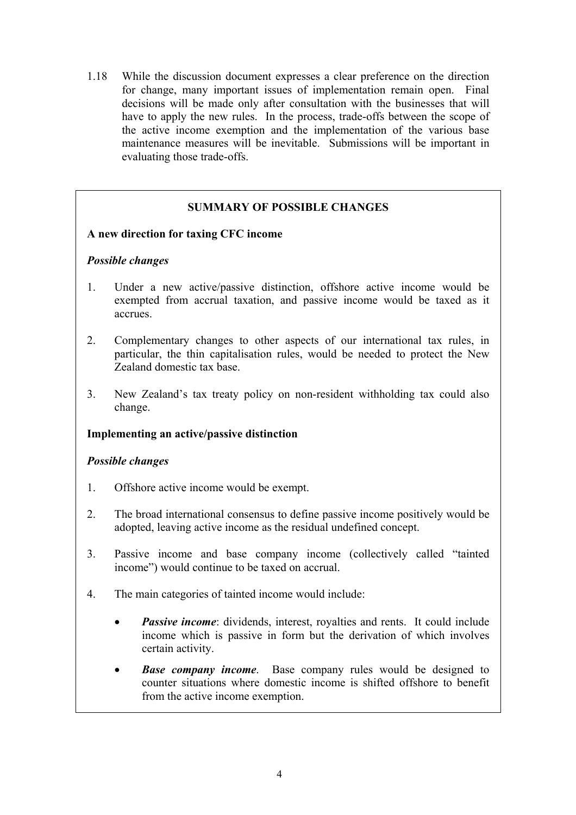1.18 While the discussion document expresses a clear preference on the direction for change, many important issues of implementation remain open. Final decisions will be made only after consultation with the businesses that will have to apply the new rules. In the process, trade-offs between the scope of the active income exemption and the implementation of the various base maintenance measures will be inevitable. Submissions will be important in evaluating those trade-offs.

# **SUMMARY OF POSSIBLE CHANGES**

#### **A new direction for taxing CFC income**

#### *Possible changes*

- 1. Under a new active/passive distinction, offshore active income would be exempted from accrual taxation, and passive income would be taxed as it accrues.
- 2. Complementary changes to other aspects of our international tax rules, in particular, the thin capitalisation rules, would be needed to protect the New Zealand domestic tax base.
- 3. New Zealand's tax treaty policy on non-resident withholding tax could also change.

#### **Implementing an active/passive distinction**

#### *Possible changes*

- 1. Offshore active income would be exempt.
- 2. The broad international consensus to define passive income positively would be adopted, leaving active income as the residual undefined concept.
- 3. Passive income and base company income (collectively called "tainted income") would continue to be taxed on accrual.
- 4. The main categories of tainted income would include:
	- *Passive income*: dividends, interest, royalties and rents. It could include income which is passive in form but the derivation of which involves certain activity.
	- *Base company income*. Base company rules would be designed to counter situations where domestic income is shifted offshore to benefit from the active income exemption.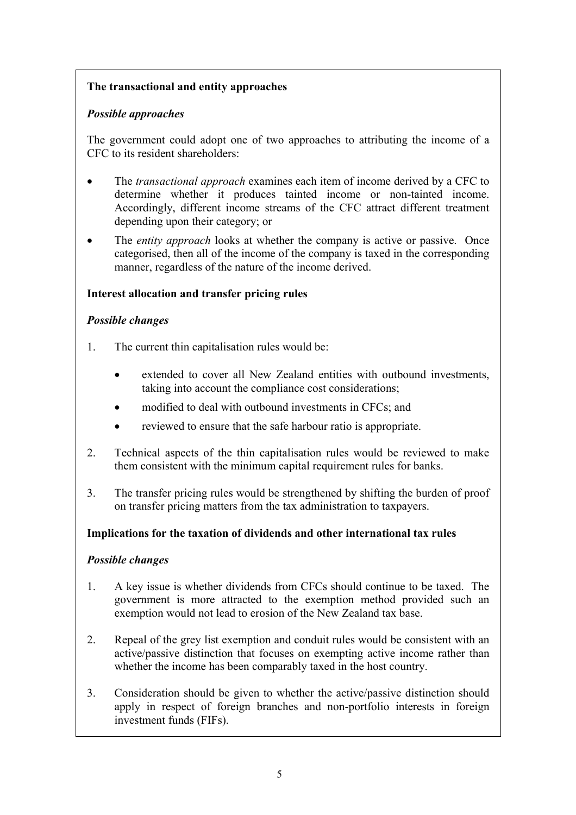# **The transactional and entity approaches**

# *Possible approaches*

The government could adopt one of two approaches to attributing the income of a CFC to its resident shareholders:

- The *transactional approach* examines each item of income derived by a CFC to determine whether it produces tainted income or non-tainted income. Accordingly, different income streams of the CFC attract different treatment depending upon their category; or
- The *entity approach* looks at whether the company is active or passive. Once categorised, then all of the income of the company is taxed in the corresponding manner, regardless of the nature of the income derived.

# **Interest allocation and transfer pricing rules**

# *Possible changes*

- 1. The current thin capitalisation rules would be:
	- extended to cover all New Zealand entities with outbound investments, taking into account the compliance cost considerations;
	- modified to deal with outbound investments in CFCs; and
	- reviewed to ensure that the safe harbour ratio is appropriate.
- 2. Technical aspects of the thin capitalisation rules would be reviewed to make them consistent with the minimum capital requirement rules for banks.
- 3. The transfer pricing rules would be strengthened by shifting the burden of proof on transfer pricing matters from the tax administration to taxpayers.

# **Implications for the taxation of dividends and other international tax rules**

## *Possible changes*

- 1. A key issue is whether dividends from CFCs should continue to be taxed. The government is more attracted to the exemption method provided such an exemption would not lead to erosion of the New Zealand tax base.
- 2. Repeal of the grey list exemption and conduit rules would be consistent with an active/passive distinction that focuses on exempting active income rather than whether the income has been comparably taxed in the host country.
- 3. Consideration should be given to whether the active/passive distinction should apply in respect of foreign branches and non-portfolio interests in foreign investment funds (FIFs).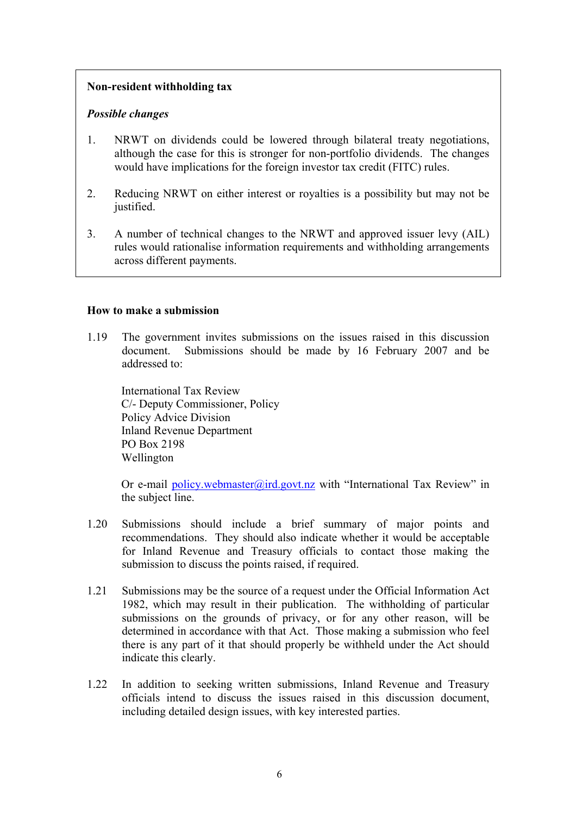## <span id="page-13-0"></span>**Non-resident withholding tax**

#### *Possible changes*

- 1. NRWT on dividends could be lowered through bilateral treaty negotiations, although the case for this is stronger for non-portfolio dividends. The changes would have implications for the foreign investor tax credit (FITC) rules.
- 2. Reducing NRWT on either interest or royalties is a possibility but may not be justified.
- 3. A number of technical changes to the NRWT and approved issuer levy (AIL) rules would rationalise information requirements and withholding arrangements across different payments.

#### **How to make a submission**

1.19 The government invites submissions on the issues raised in this discussion document. Submissions should be made by 16 February 2007 and be addressed to:

International Tax Review C/- Deputy Commissioner, Policy Policy Advice Division Inland Revenue Department PO Box 2198 Wellington

Or e-mail policy.webmaster@ird.govt.nz with "International Tax Review" in the subject line.

- 1.20 Submissions should include a brief summary of major points and recommendations. They should also indicate whether it would be acceptable for Inland Revenue and Treasury officials to contact those making the submission to discuss the points raised, if required.
- 1.21 Submissions may be the source of a request under the Official Information Act 1982, which may result in their publication. The withholding of particular submissions on the grounds of privacy, or for any other reason, will be determined in accordance with that Act. Those making a submission who feel there is any part of it that should properly be withheld under the Act should indicate this clearly.
- 1.22 In addition to seeking written submissions, Inland Revenue and Treasury officials intend to discuss the issues raised in this discussion document, including detailed design issues, with key interested parties.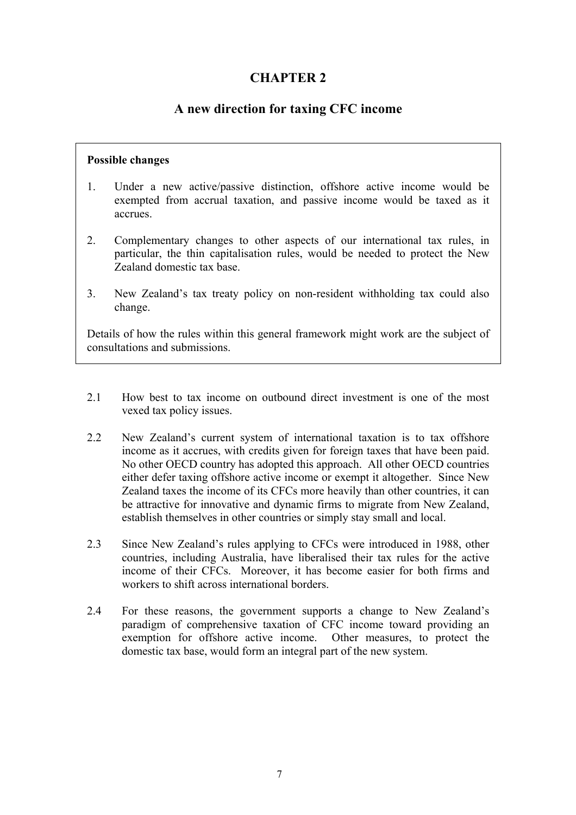# **CHAPTER 2**

# **A new direction for taxing CFC income**

#### <span id="page-14-0"></span>**Possible changes**

- 1. Under a new active/passive distinction, offshore active income would be exempted from accrual taxation, and passive income would be taxed as it accrues.
- 2. Complementary changes to other aspects of our international tax rules, in particular, the thin capitalisation rules, would be needed to protect the New Zealand domestic tax base.
- 3. New Zealand's tax treaty policy on non-resident withholding tax could also change.

Details of how the rules within this general framework might work are the subject of consultations and submissions.

- 2.1 How best to tax income on outbound direct investment is one of the most vexed tax policy issues.
- 2.2 New Zealand's current system of international taxation is to tax offshore income as it accrues, with credits given for foreign taxes that have been paid. No other OECD country has adopted this approach. All other OECD countries either defer taxing offshore active income or exempt it altogether. Since New Zealand taxes the income of its CFCs more heavily than other countries, it can be attractive for innovative and dynamic firms to migrate from New Zealand, establish themselves in other countries or simply stay small and local.
- 2.3 Since New Zealand's rules applying to CFCs were introduced in 1988, other countries, including Australia, have liberalised their tax rules for the active income of their CFCs. Moreover, it has become easier for both firms and workers to shift across international borders.
- 2.4 For these reasons, the government supports a change to New Zealand's paradigm of comprehensive taxation of CFC income toward providing an exemption for offshore active income. Other measures, to protect the domestic tax base, would form an integral part of the new system.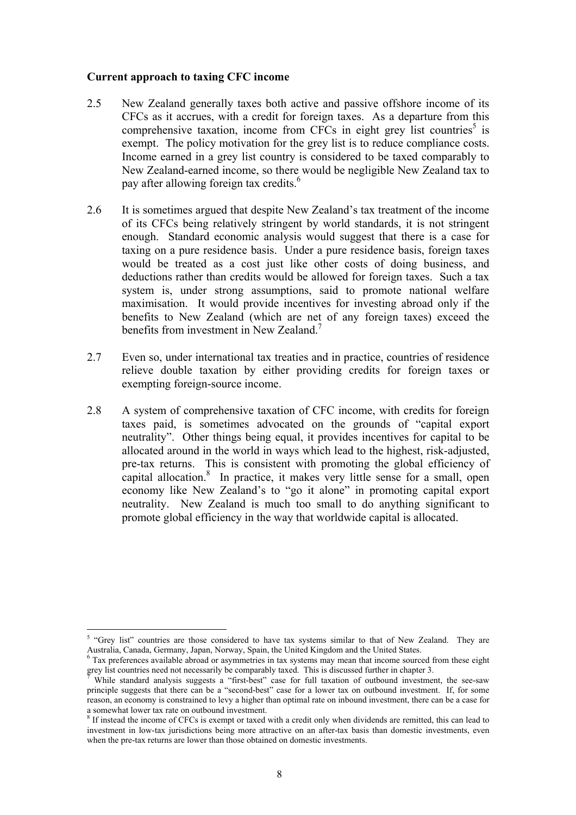#### <span id="page-15-0"></span>**Current approach to taxing CFC income**

- 2.5 New Zealand generally taxes both active and passive offshore income of its CFCs as it accrues, with a credit for foreign taxes. As a departure from this comprehensive taxation, income from CFCs in eight grey list countries<sup>5</sup> is exempt. The policy motivation for the grey list is to reduce compliance costs. Income earned in a grey list country is considered to be taxed comparably to New Zealand-earned income, so there would be negligible New Zealand tax to pay after allowing foreign tax credits.<sup>6</sup>
- 2.6 It is sometimes argued that despite New Zealand's tax treatment of the income of its CFCs being relatively stringent by world standards, it is not stringent enough. Standard economic analysis would suggest that there is a case for taxing on a pure residence basis. Under a pure residence basis, foreign taxes would be treated as a cost just like other costs of doing business, and deductions rather than credits would be allowed for foreign taxes. Such a tax system is, under strong assumptions, said to promote national welfare maximisation. It would provide incentives for investing abroad only if the benefits to New Zealand (which are net of any foreign taxes) exceed the benefits from investment in New Zealand.<sup>7</sup>
- 2.7 Even so, under international tax treaties and in practice, countries of residence relieve double taxation by either providing credits for foreign taxes or exempting foreign-source income.
- 2.8 A system of comprehensive taxation of CFC income, with credits for foreign taxes paid, is sometimes advocated on the grounds of "capital export neutrality". Other things being equal, it provides incentives for capital to be allocated around in the world in ways which lead to the highest, risk-adjusted, pre-tax returns. This is consistent with promoting the global efficiency of capital allocation. $\delta$  In practice, it makes very little sense for a small, open economy like New Zealand's to "go it alone" in promoting capital export neutrality. New Zealand is much too small to do anything significant to promote global efficiency in the way that worldwide capital is allocated.

<sup>&</sup>lt;sup>5</sup> "Grey list" countries are those considered to have tax systems similar to that of New Zealand. They are

Australia, Canada, Germany, Japan, Norway, Spain, the United Kingdom and the United States.<br><sup>6</sup> Tax preferences available abroad or asymmetries in tax systems may mean that income sourced from these eight grey list countries need not necessarily be comparably taxed. This is discussed further in chapter 3.

While standard analysis suggests a "first-best" case for full taxation of outbound investment, the see-saw principle suggests that there can be a "second-best" case for a lower tax on outbound investment. If, for some reason, an economy is constrained to levy a higher than optimal rate on inbound investment, there can be a case for a somewhat lower tax rate on outbound investment.<br><sup>8</sup> If instead the income of CFCs is exempt or taxed with a credit only when dividends are remitted, this can lead to

investment in low-tax jurisdictions being more attractive on an after-tax basis than domestic investments, even when the pre-tax returns are lower than those obtained on domestic investments.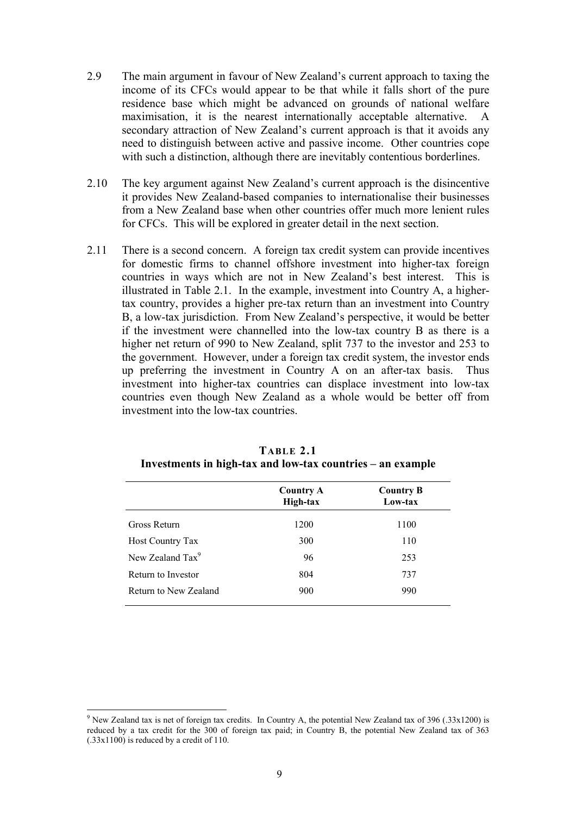- 2.9 The main argument in favour of New Zealand's current approach to taxing the income of its CFCs would appear to be that while it falls short of the pure residence base which might be advanced on grounds of national welfare maximisation, it is the nearest internationally acceptable alternative. A secondary attraction of New Zealand's current approach is that it avoids any need to distinguish between active and passive income. Other countries cope with such a distinction, although there are inevitably contentious borderlines.
- 2.10 The key argument against New Zealand's current approach is the disincentive it provides New Zealand-based companies to internationalise their businesses from a New Zealand base when other countries offer much more lenient rules for CFCs. This will be explored in greater detail in the next section.
- 2.11 There is a second concern. A foreign tax credit system can provide incentives for domestic firms to channel offshore investment into higher-tax foreign countries in ways which are not in New Zealand's best interest. This is illustrated in Table 2.1. In the example, investment into Country A, a highertax country, provides a higher pre-tax return than an investment into Country B, a low-tax jurisdiction. From New Zealand's perspective, it would be better if the investment were channelled into the low-tax country B as there is a higher net return of 990 to New Zealand, split 737 to the investor and 253 to the government. However, under a foreign tax credit system, the investor ends up preferring the investment in Country A on an after-tax basis. Thus investment into higher-tax countries can displace investment into low-tax countries even though New Zealand as a whole would be better off from investment into the low-tax countries.

|                              | <b>Country A</b><br>High-tax | <b>Country B</b><br>Low-tax |
|------------------------------|------------------------------|-----------------------------|
| Gross Return                 | 1200                         | 1100                        |
| Host Country Tax             | 300                          | 110                         |
| New Zealand Tax <sup>9</sup> | 96                           | 253                         |
| Return to Investor           | 804                          | 737                         |
| Return to New Zealand        | 900                          | 990                         |

**TABLE 2.1 Investments in high-tax and low-tax countries – an example** 

<sup>&</sup>lt;sup>9</sup> New Zealand tax is net of foreign tax credits. In Country A, the potential New Zealand tax of 396 (.33x1200) is reduced by a tax credit for the 300 of foreign tax paid; in Country B, the potential New Zealand tax of 363  $(.33x1100)$  is reduced by a credit of 110.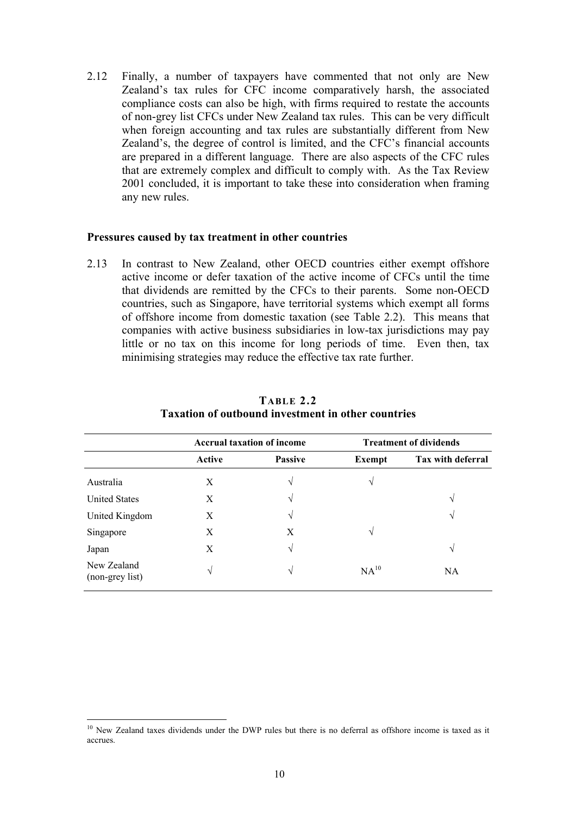<span id="page-17-0"></span>2.12 Finally, a number of taxpayers have commented that not only are New Zealand's tax rules for CFC income comparatively harsh, the associated compliance costs can also be high, with firms required to restate the accounts of non-grey list CFCs under New Zealand tax rules. This can be very difficult when foreign accounting and tax rules are substantially different from New Zealand's, the degree of control is limited, and the CFC's financial accounts are prepared in a different language. There are also aspects of the CFC rules that are extremely complex and difficult to comply with. As the Tax Review 2001 concluded, it is important to take these into consideration when framing any new rules.

#### **Pressures caused by tax treatment in other countries**

2.13 In contrast to New Zealand, other OECD countries either exempt offshore active income or defer taxation of the active income of CFCs until the time that dividends are remitted by the CFCs to their parents. Some non-OECD countries, such as Singapore, have territorial systems which exempt all forms of offshore income from domestic taxation (see Table 2.2). This means that companies with active business subsidiaries in low-tax jurisdictions may pay little or no tax on this income for long periods of time. Even then, tax minimising strategies may reduce the effective tax rate further.

|                                | <b>Accrual taxation of income</b> |                | <b>Treatment of dividends</b> |                   |
|--------------------------------|-----------------------------------|----------------|-------------------------------|-------------------|
|                                | Active                            | <b>Passive</b> | Exempt                        | Tax with deferral |
| Australia                      | X                                 | N              | V                             |                   |
| <b>United States</b>           | X                                 | N              |                               | V                 |
| United Kingdom                 | X                                 | N              |                               | V                 |
| Singapore                      | X                                 | X              | V                             |                   |
| Japan                          | X                                 | V              |                               | V                 |
| New Zealand<br>(non-grey list) | V                                 | N              | NA <sup>10</sup>              | NA                |

## **TABLE 2.2 Taxation of outbound investment in other countries**

<sup>&</sup>lt;sup>10</sup> New Zealand taxes dividends under the DWP rules but there is no deferral as offshore income is taxed as it accrues.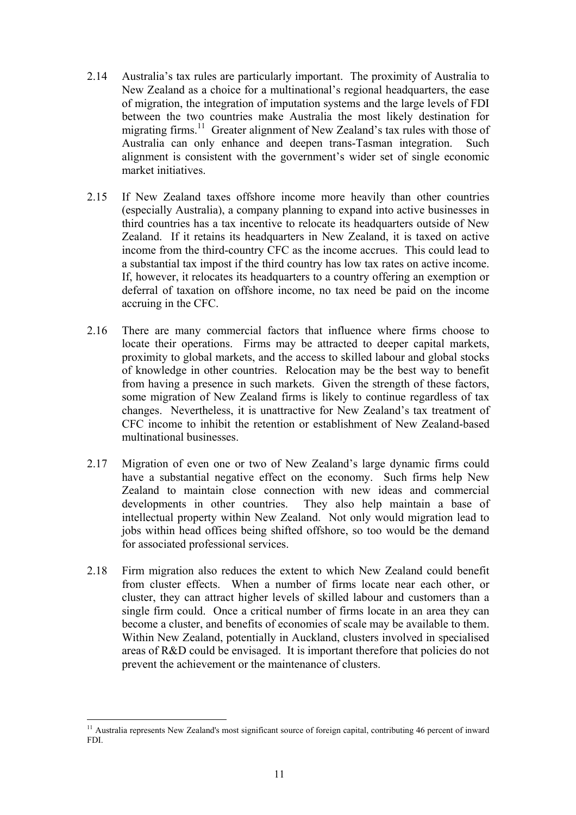- 2.14 Australia's tax rules are particularly important. The proximity of Australia to New Zealand as a choice for a multinational's regional headquarters, the ease of migration, the integration of imputation systems and the large levels of FDI between the two countries make Australia the most likely destination for migrating firms.<sup>11</sup> Greater alignment of New Zealand's tax rules with those of Australia can only enhance and deepen trans-Tasman integration. Such alignment is consistent with the government's wider set of single economic market initiatives.
- 2.15 If New Zealand taxes offshore income more heavily than other countries (especially Australia), a company planning to expand into active businesses in third countries has a tax incentive to relocate its headquarters outside of New Zealand. If it retains its headquarters in New Zealand, it is taxed on active income from the third-country CFC as the income accrues. This could lead to a substantial tax impost if the third country has low tax rates on active income. If, however, it relocates its headquarters to a country offering an exemption or deferral of taxation on offshore income, no tax need be paid on the income accruing in the CFC.
- 2.16 There are many commercial factors that influence where firms choose to locate their operations. Firms may be attracted to deeper capital markets, proximity to global markets, and the access to skilled labour and global stocks of knowledge in other countries. Relocation may be the best way to benefit from having a presence in such markets. Given the strength of these factors, some migration of New Zealand firms is likely to continue regardless of tax changes. Nevertheless, it is unattractive for New Zealand's tax treatment of CFC income to inhibit the retention or establishment of New Zealand-based multinational businesses.
- 2.17 Migration of even one or two of New Zealand's large dynamic firms could have a substantial negative effect on the economy. Such firms help New Zealand to maintain close connection with new ideas and commercial developments in other countries. They also help maintain a base of intellectual property within New Zealand. Not only would migration lead to jobs within head offices being shifted offshore, so too would be the demand for associated professional services.
- 2.18 Firm migration also reduces the extent to which New Zealand could benefit from cluster effects. When a number of firms locate near each other, or cluster, they can attract higher levels of skilled labour and customers than a single firm could. Once a critical number of firms locate in an area they can become a cluster, and benefits of economies of scale may be available to them. Within New Zealand, potentially in Auckland, clusters involved in specialised areas of R&D could be envisaged. It is important therefore that policies do not prevent the achievement or the maintenance of clusters.

 $\overline{a}$  $11$  Australia represents New Zealand's most significant source of foreign capital, contributing 46 percent of inward FDI.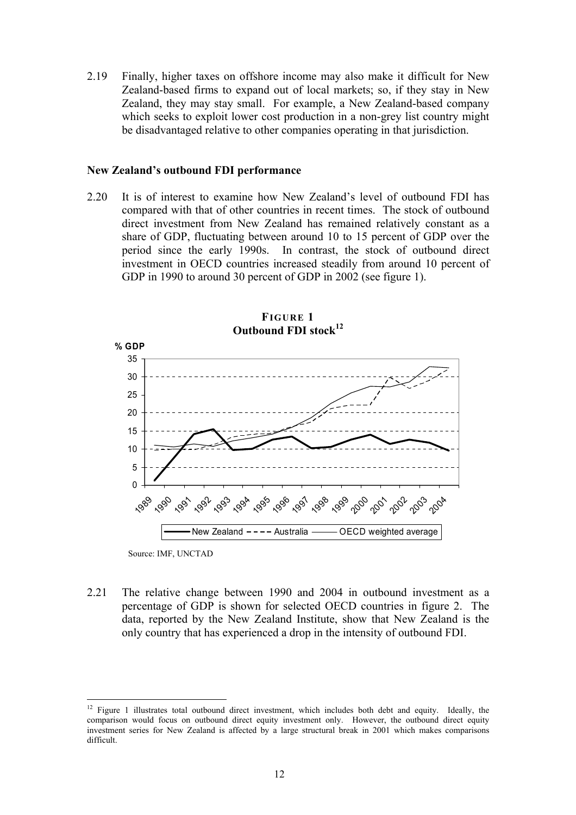<span id="page-19-0"></span>2.19 Finally, higher taxes on offshore income may also make it difficult for New Zealand-based firms to expand out of local markets; so, if they stay in New Zealand, they may stay small. For example, a New Zealand-based company which seeks to exploit lower cost production in a non-grey list country might be disadvantaged relative to other companies operating in that jurisdiction.

#### **New Zealand's outbound FDI performance**

2.20 It is of interest to examine how New Zealand's level of outbound FDI has compared with that of other countries in recent times. The stock of outbound direct investment from New Zealand has remained relatively constant as a share of GDP, fluctuating between around 10 to 15 percent of GDP over the period since the early 1990s. In contrast, the stock of outbound direct investment in OECD countries increased steadily from around 10 percent of GDP in 1990 to around 30 percent of GDP in 2002 (see figure 1).





Source: IMF, UNCTAD

2.21 The relative change between 1990 and 2004 in outbound investment as a percentage of GDP is shown for selected OECD countries in figure 2. The data, reported by the New Zealand Institute, show that New Zealand is the only country that has experienced a drop in the intensity of outbound FDI.

 $12\,$ 12 Figure 1 illustrates total outbound direct investment, which includes both debt and equity. Ideally, the comparison would focus on outbound direct equity investment only. However, the outbound direct equity investment series for New Zealand is affected by a large structural break in 2001 which makes comparisons difficult.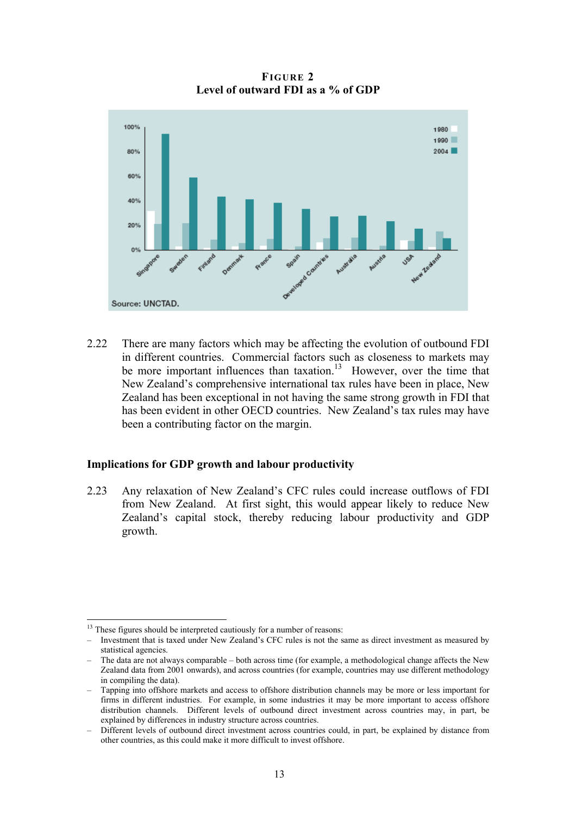**FIGURE 2 Level of outward FDI as a % of GDP** 

<span id="page-20-0"></span>

2.22 There are many factors which may be affecting the evolution of outbound FDI in different countries. Commercial factors such as closeness to markets may be more important influences than taxation.<sup>13</sup> However, over the time that New Zealand's comprehensive international tax rules have been in place, New Zealand has been exceptional in not having the same strong growth in FDI that has been evident in other OECD countries. New Zealand's tax rules may have been a contributing factor on the margin.

#### **Implications for GDP growth and labour productivity**

2.23 Any relaxation of New Zealand's CFC rules could increase outflows of FDI from New Zealand. At first sight, this would appear likely to reduce New Zealand's capital stock, thereby reducing labour productivity and GDP growth.

 $13$  These figures should be interpreted cautiously for a number of reasons:

<sup>–</sup> Investment that is taxed under New Zealand's CFC rules is not the same as direct investment as measured by statistical agencies.

<sup>–</sup> The data are not always comparable – both across time (for example, a methodological change affects the New Zealand data from 2001 onwards), and across countries (for example, countries may use different methodology in compiling the data).

<sup>–</sup> Tapping into offshore markets and access to offshore distribution channels may be more or less important for firms in different industries. For example, in some industries it may be more important to access offshore distribution channels. Different levels of outbound direct investment across countries may, in part, be explained by differences in industry structure across countries.

<sup>–</sup> Different levels of outbound direct investment across countries could, in part, be explained by distance from other countries, as this could make it more difficult to invest offshore.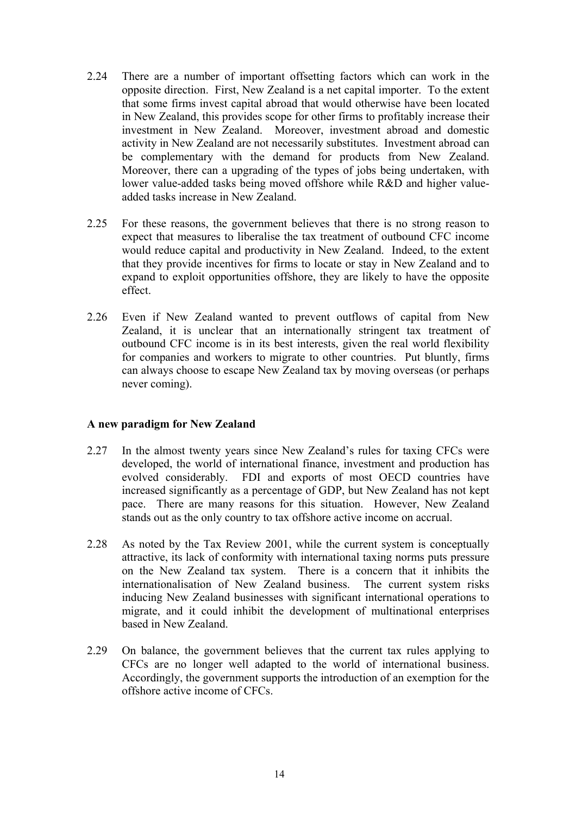- <span id="page-21-0"></span>2.24 There are a number of important offsetting factors which can work in the opposite direction. First, New Zealand is a net capital importer. To the extent that some firms invest capital abroad that would otherwise have been located in New Zealand, this provides scope for other firms to profitably increase their investment in New Zealand. Moreover, investment abroad and domestic activity in New Zealand are not necessarily substitutes. Investment abroad can be complementary with the demand for products from New Zealand. Moreover, there can a upgrading of the types of jobs being undertaken, with lower value-added tasks being moved offshore while R&D and higher valueadded tasks increase in New Zealand.
- 2.25 For these reasons, the government believes that there is no strong reason to expect that measures to liberalise the tax treatment of outbound CFC income would reduce capital and productivity in New Zealand. Indeed, to the extent that they provide incentives for firms to locate or stay in New Zealand and to expand to exploit opportunities offshore, they are likely to have the opposite effect.
- 2.26 Even if New Zealand wanted to prevent outflows of capital from New Zealand, it is unclear that an internationally stringent tax treatment of outbound CFC income is in its best interests, given the real world flexibility for companies and workers to migrate to other countries. Put bluntly, firms can always choose to escape New Zealand tax by moving overseas (or perhaps never coming).

## **A new paradigm for New Zealand**

- 2.27 In the almost twenty years since New Zealand's rules for taxing CFCs were developed, the world of international finance, investment and production has evolved considerably. FDI and exports of most OECD countries have increased significantly as a percentage of GDP, but New Zealand has not kept pace. There are many reasons for this situation. However, New Zealand stands out as the only country to tax offshore active income on accrual.
- 2.28 As noted by the Tax Review 2001, while the current system is conceptually attractive, its lack of conformity with international taxing norms puts pressure on the New Zealand tax system. There is a concern that it inhibits the internationalisation of New Zealand business. The current system risks inducing New Zealand businesses with significant international operations to migrate, and it could inhibit the development of multinational enterprises based in New Zealand.
- 2.29 On balance, the government believes that the current tax rules applying to CFCs are no longer well adapted to the world of international business. Accordingly, the government supports the introduction of an exemption for the offshore active income of CFCs.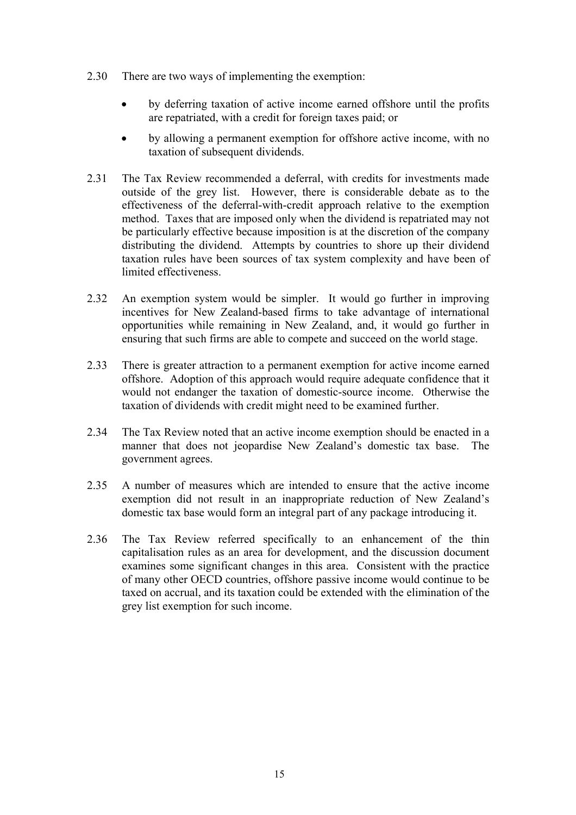- <span id="page-22-0"></span>2.30 There are two ways of implementing the exemption:
	- by deferring taxation of active income earned offshore until the profits are repatriated, with a credit for foreign taxes paid; or
	- by allowing a permanent exemption for offshore active income, with no taxation of subsequent dividends.
- 2.31 The Tax Review recommended a deferral, with credits for investments made outside of the grey list. However, there is considerable debate as to the effectiveness of the deferral-with-credit approach relative to the exemption method. Taxes that are imposed only when the dividend is repatriated may not be particularly effective because imposition is at the discretion of the company distributing the dividend. Attempts by countries to shore up their dividend taxation rules have been sources of tax system complexity and have been of limited effectiveness.
- 2.32 An exemption system would be simpler. It would go further in improving incentives for New Zealand-based firms to take advantage of international opportunities while remaining in New Zealand, and, it would go further in ensuring that such firms are able to compete and succeed on the world stage.
- 2.33 There is greater attraction to a permanent exemption for active income earned offshore. Adoption of this approach would require adequate confidence that it would not endanger the taxation of domestic-source income. Otherwise the taxation of dividends with credit might need to be examined further.
- 2.34 The Tax Review noted that an active income exemption should be enacted in a manner that does not jeopardise New Zealand's domestic tax base. The government agrees.
- 2.35 A number of measures which are intended to ensure that the active income exemption did not result in an inappropriate reduction of New Zealand's domestic tax base would form an integral part of any package introducing it.
- 2.36 The Tax Review referred specifically to an enhancement of the thin capitalisation rules as an area for development, and the discussion document examines some significant changes in this area. Consistent with the practice of many other OECD countries, offshore passive income would continue to be taxed on accrual, and its taxation could be extended with the elimination of the grey list exemption for such income.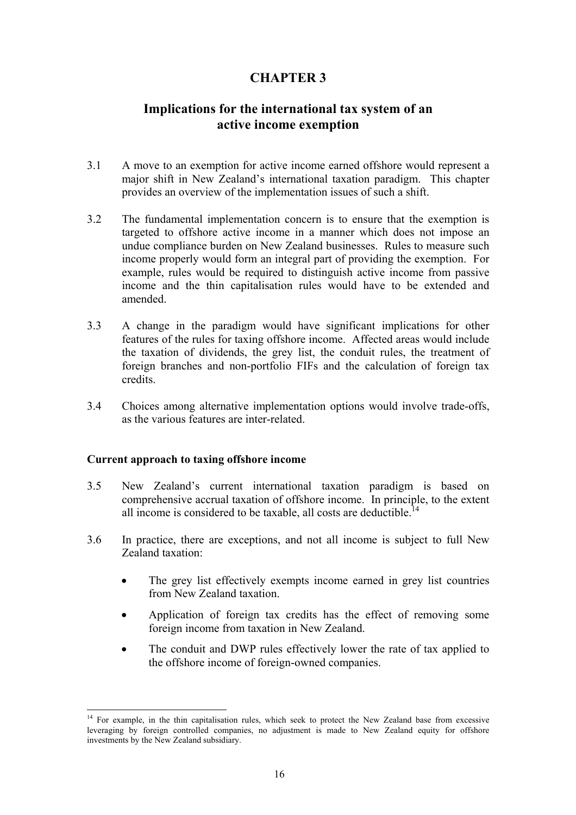# **CHAPTER 3**

# <span id="page-23-0"></span>**Implications for the international tax system of an active income exemption**

- 3.1 A move to an exemption for active income earned offshore would represent a major shift in New Zealand's international taxation paradigm. This chapter provides an overview of the implementation issues of such a shift.
- 3.2 The fundamental implementation concern is to ensure that the exemption is targeted to offshore active income in a manner which does not impose an undue compliance burden on New Zealand businesses. Rules to measure such income properly would form an integral part of providing the exemption. For example, rules would be required to distinguish active income from passive income and the thin capitalisation rules would have to be extended and amended.
- 3.3 A change in the paradigm would have significant implications for other features of the rules for taxing offshore income. Affected areas would include the taxation of dividends, the grey list, the conduit rules, the treatment of foreign branches and non-portfolio FIFs and the calculation of foreign tax credits.
- 3.4 Choices among alternative implementation options would involve trade-offs, as the various features are inter-related.

#### **Current approach to taxing offshore income**

- 3.5 New Zealand's current international taxation paradigm is based on comprehensive accrual taxation of offshore income. In principle, to the extent all income is considered to be taxable, all costs are deductible.<sup>14</sup>
- 3.6 In practice, there are exceptions, and not all income is subject to full New Zealand taxation:
	- The grey list effectively exempts income earned in grey list countries from New Zealand taxation.
	- Application of foreign tax credits has the effect of removing some foreign income from taxation in New Zealand.
	- The conduit and DWP rules effectively lower the rate of tax applied to the offshore income of foreign-owned companies.

 $\overline{a}$ <sup>14</sup> For example, in the thin capitalisation rules, which seek to protect the New Zealand base from excessive leveraging by foreign controlled companies, no adjustment is made to New Zealand equity for offshore investments by the New Zealand subsidiary.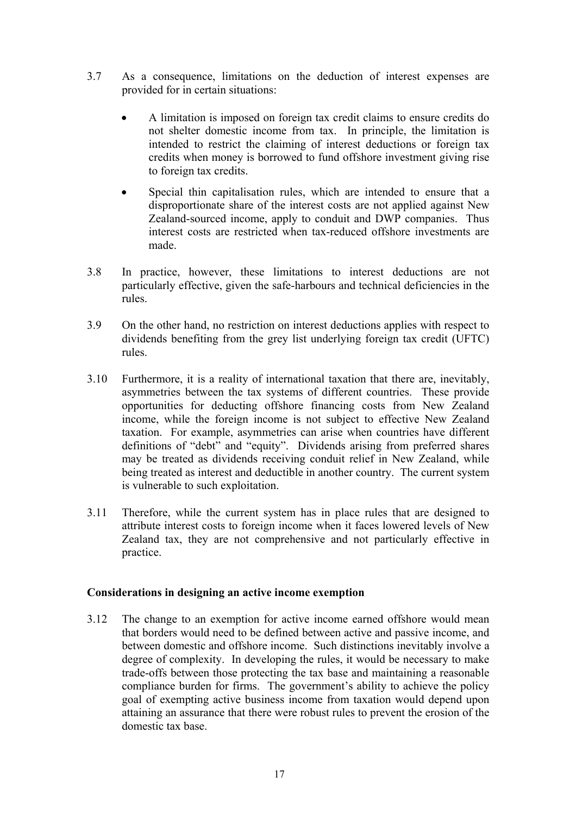- <span id="page-24-0"></span>3.7 As a consequence, limitations on the deduction of interest expenses are provided for in certain situations:
	- A limitation is imposed on foreign tax credit claims to ensure credits do not shelter domestic income from tax. In principle, the limitation is intended to restrict the claiming of interest deductions or foreign tax credits when money is borrowed to fund offshore investment giving rise to foreign tax credits.
	- Special thin capitalisation rules, which are intended to ensure that a disproportionate share of the interest costs are not applied against New Zealand-sourced income, apply to conduit and DWP companies. Thus interest costs are restricted when tax-reduced offshore investments are made.
- 3.8 In practice, however, these limitations to interest deductions are not particularly effective, given the safe-harbours and technical deficiencies in the rules.
- 3.9 On the other hand, no restriction on interest deductions applies with respect to dividends benefiting from the grey list underlying foreign tax credit (UFTC) rules.
- 3.10 Furthermore, it is a reality of international taxation that there are, inevitably, asymmetries between the tax systems of different countries. These provide opportunities for deducting offshore financing costs from New Zealand income, while the foreign income is not subject to effective New Zealand taxation. For example, asymmetries can arise when countries have different definitions of "debt" and "equity". Dividends arising from preferred shares may be treated as dividends receiving conduit relief in New Zealand, while being treated as interest and deductible in another country. The current system is vulnerable to such exploitation.
- 3.11 Therefore, while the current system has in place rules that are designed to attribute interest costs to foreign income when it faces lowered levels of New Zealand tax, they are not comprehensive and not particularly effective in practice.

#### **Considerations in designing an active income exemption**

3.12 The change to an exemption for active income earned offshore would mean that borders would need to be defined between active and passive income, and between domestic and offshore income. Such distinctions inevitably involve a degree of complexity. In developing the rules, it would be necessary to make trade-offs between those protecting the tax base and maintaining a reasonable compliance burden for firms. The government's ability to achieve the policy goal of exempting active business income from taxation would depend upon attaining an assurance that there were robust rules to prevent the erosion of the domestic tax base.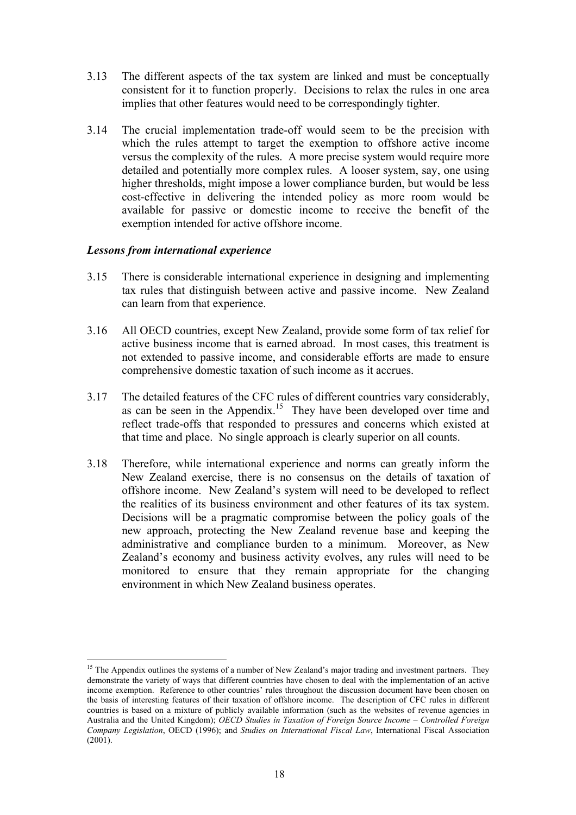- 3.13 The different aspects of the tax system are linked and must be conceptually consistent for it to function properly. Decisions to relax the rules in one area implies that other features would need to be correspondingly tighter.
- 3.14 The crucial implementation trade-off would seem to be the precision with which the rules attempt to target the exemption to offshore active income versus the complexity of the rules. A more precise system would require more detailed and potentially more complex rules. A looser system, say, one using higher thresholds, might impose a lower compliance burden, but would be less cost-effective in delivering the intended policy as more room would be available for passive or domestic income to receive the benefit of the exemption intended for active offshore income.

#### *Lessons from international experience*

- 3.15 There is considerable international experience in designing and implementing tax rules that distinguish between active and passive income. New Zealand can learn from that experience.
- 3.16 All OECD countries, except New Zealand, provide some form of tax relief for active business income that is earned abroad. In most cases, this treatment is not extended to passive income, and considerable efforts are made to ensure comprehensive domestic taxation of such income as it accrues.
- 3.17 The detailed features of the CFC rules of different countries vary considerably, as can be seen in the Appendix.<sup>15</sup> They have been developed over time and reflect trade-offs that responded to pressures and concerns which existed at that time and place. No single approach is clearly superior on all counts.
- 3.18 Therefore, while international experience and norms can greatly inform the New Zealand exercise, there is no consensus on the details of taxation of offshore income. New Zealand's system will need to be developed to reflect the realities of its business environment and other features of its tax system. Decisions will be a pragmatic compromise between the policy goals of the new approach, protecting the New Zealand revenue base and keeping the administrative and compliance burden to a minimum. Moreover, as New Zealand's economy and business activity evolves, any rules will need to be monitored to ensure that they remain appropriate for the changing environment in which New Zealand business operates.

 $\overline{a}$ <sup>15</sup> The Appendix outlines the systems of a number of New Zealand's major trading and investment partners. They demonstrate the variety of ways that different countries have chosen to deal with the implementation of an active income exemption. Reference to other countries' rules throughout the discussion document have been chosen on the basis of interesting features of their taxation of offshore income. The description of CFC rules in different countries is based on a mixture of publicly available information (such as the websites of revenue agencies in Australia and the United Kingdom); *OECD Studies in Taxation of Foreign Source Income – Controlled Foreign Company Legislation*, OECD (1996); and *Studies on International Fiscal Law*, International Fiscal Association  $(2001)$ .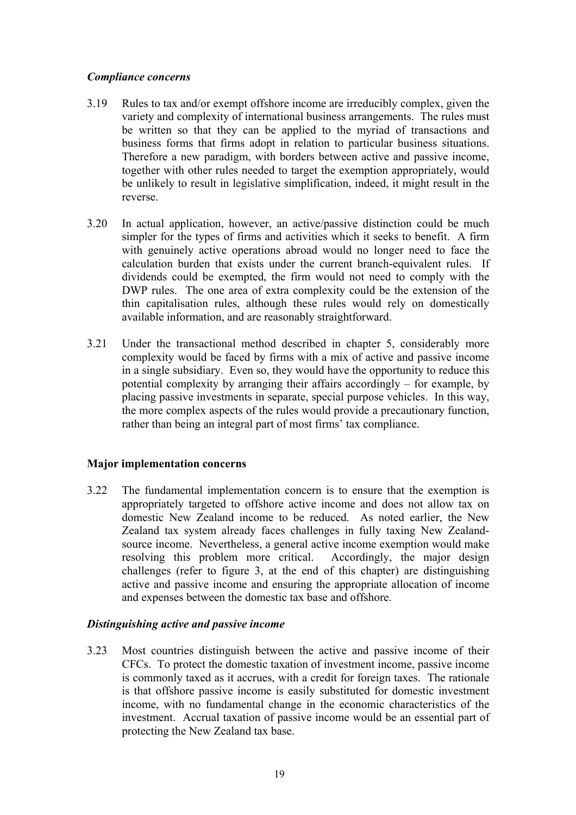#### <span id="page-26-0"></span>*Compliance concerns*

- 3.19 Rules to tax and/or exempt offshore income are irreducibly complex, given the variety and complexity of international business arrangements. The rules must be written so that they can be applied to the myriad of transactions and business forms that firms adopt in relation to particular business situations. Therefore a new paradigm, with borders between active and passive income, together with other rules needed to target the exemption appropriately, would be unlikely to result in legislative simplification, indeed, it might result in the reverse.
- 3.20 In actual application, however, an active/passive distinction could be much simpler for the types of firms and activities which it seeks to benefit. A firm with genuinely active operations abroad would no longer need to face the calculation burden that exists under the current branch-equivalent rules. If dividends could be exempted, the firm would not need to comply with the DWP rules. The one area of extra complexity could be the extension of the thin capitalisation rules, although these rules would rely on domestically available information, and are reasonably straightforward.
- 3.21 Under the transactional method described in chapter 5, considerably more complexity would be faced by firms with a mix of active and passive income in a single subsidiary. Even so, they would have the opportunity to reduce this potential complexity by arranging their affairs accordingly – for example, by placing passive investments in separate, special purpose vehicles. In this way, the more complex aspects of the rules would provide a precautionary function, rather than being an integral part of most firms' tax compliance.

#### **Major implementation concerns**

3.22 The fundamental implementation concern is to ensure that the exemption is appropriately targeted to offshore active income and does not allow tax on domestic New Zealand income to be reduced. As noted earlier, the New Zealand tax system already faces challenges in fully taxing New Zealandsource income. Nevertheless, a general active income exemption would make resolving this problem more critical. Accordingly, the major design challenges (refer to figure 3, at the end of this chapter) are distinguishing active and passive income and ensuring the appropriate allocation of income and expenses between the domestic tax base and offshore.

## *Distinguishing active and passive income*

3.23 Most countries distinguish between the active and passive income of their CFCs. To protect the domestic taxation of investment income, passive income is commonly taxed as it accrues, with a credit for foreign taxes. The rationale is that offshore passive income is easily substituted for domestic investment income, with no fundamental change in the economic characteristics of the investment. Accrual taxation of passive income would be an essential part of protecting the New Zealand tax base.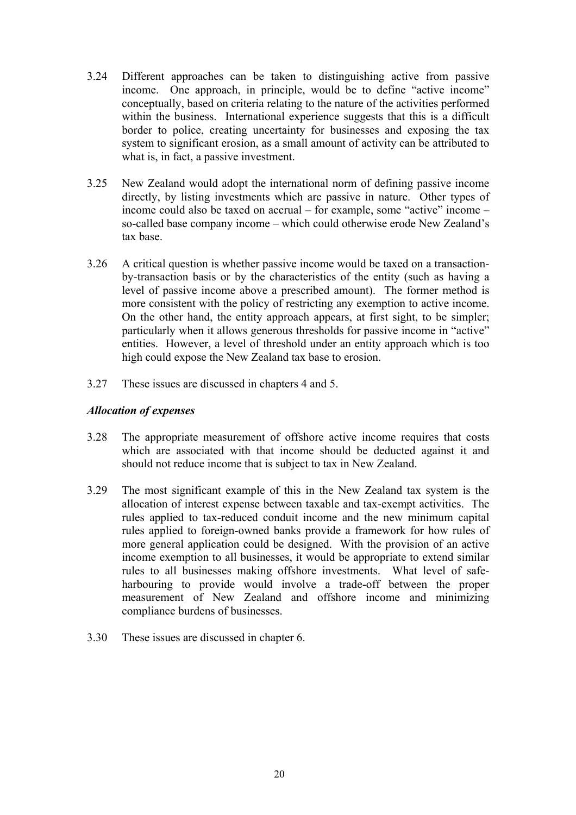- 3.24 Different approaches can be taken to distinguishing active from passive income. One approach, in principle, would be to define "active income" conceptually, based on criteria relating to the nature of the activities performed within the business. International experience suggests that this is a difficult border to police, creating uncertainty for businesses and exposing the tax system to significant erosion, as a small amount of activity can be attributed to what is, in fact, a passive investment.
- 3.25 New Zealand would adopt the international norm of defining passive income directly, by listing investments which are passive in nature. Other types of income could also be taxed on accrual – for example, some "active" income – so-called base company income – which could otherwise erode New Zealand's tax base.
- 3.26 A critical question is whether passive income would be taxed on a transactionby-transaction basis or by the characteristics of the entity (such as having a level of passive income above a prescribed amount). The former method is more consistent with the policy of restricting any exemption to active income. On the other hand, the entity approach appears, at first sight, to be simpler; particularly when it allows generous thresholds for passive income in "active" entities. However, a level of threshold under an entity approach which is too high could expose the New Zealand tax base to erosion.
- 3.27 These issues are discussed in chapters 4 and 5.

### *Allocation of expenses*

- 3.28 The appropriate measurement of offshore active income requires that costs which are associated with that income should be deducted against it and should not reduce income that is subject to tax in New Zealand.
- 3.29 The most significant example of this in the New Zealand tax system is the allocation of interest expense between taxable and tax-exempt activities. The rules applied to tax-reduced conduit income and the new minimum capital rules applied to foreign-owned banks provide a framework for how rules of more general application could be designed. With the provision of an active income exemption to all businesses, it would be appropriate to extend similar rules to all businesses making offshore investments. What level of safeharbouring to provide would involve a trade-off between the proper measurement of New Zealand and offshore income and minimizing compliance burdens of businesses.
- 3.30 These issues are discussed in chapter 6.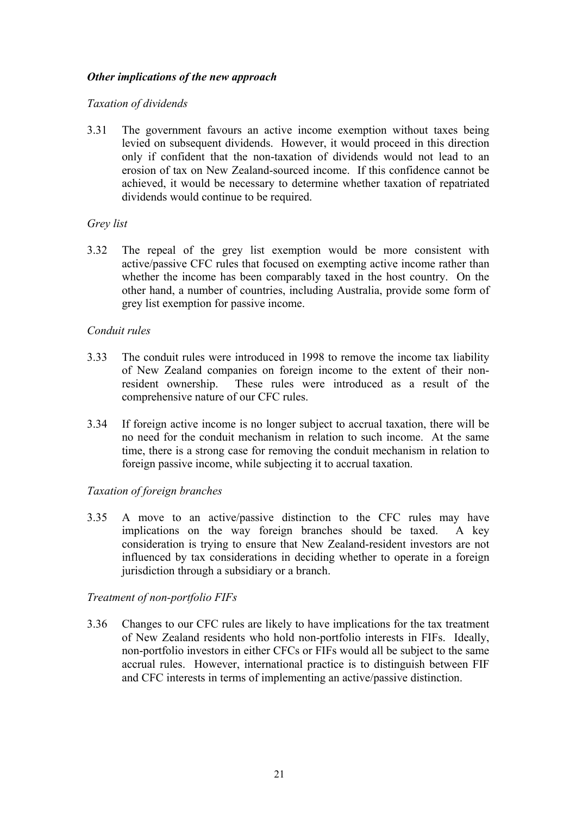#### *Other implications of the new approach*

#### *Taxation of dividends*

3.31 The government favours an active income exemption without taxes being levied on subsequent dividends. However, it would proceed in this direction only if confident that the non-taxation of dividends would not lead to an erosion of tax on New Zealand-sourced income. If this confidence cannot be achieved, it would be necessary to determine whether taxation of repatriated dividends would continue to be required.

#### *Grey list*

3.32 The repeal of the grey list exemption would be more consistent with active/passive CFC rules that focused on exempting active income rather than whether the income has been comparably taxed in the host country. On the other hand, a number of countries, including Australia, provide some form of grey list exemption for passive income.

#### *Conduit rules*

- 3.33 The conduit rules were introduced in 1998 to remove the income tax liability of New Zealand companies on foreign income to the extent of their nonresident ownership. These rules were introduced as a result of the comprehensive nature of our CFC rules.
- 3.34 If foreign active income is no longer subject to accrual taxation, there will be no need for the conduit mechanism in relation to such income. At the same time, there is a strong case for removing the conduit mechanism in relation to foreign passive income, while subjecting it to accrual taxation.

## *Taxation of foreign branches*

3.35 A move to an active/passive distinction to the CFC rules may have implications on the way foreign branches should be taxed. A key consideration is trying to ensure that New Zealand-resident investors are not influenced by tax considerations in deciding whether to operate in a foreign jurisdiction through a subsidiary or a branch.

## *Treatment of non-portfolio FIFs*

3.36 Changes to our CFC rules are likely to have implications for the tax treatment of New Zealand residents who hold non-portfolio interests in FIFs. Ideally, non-portfolio investors in either CFCs or FIFs would all be subject to the same accrual rules. However, international practice is to distinguish between FIF and CFC interests in terms of implementing an active/passive distinction.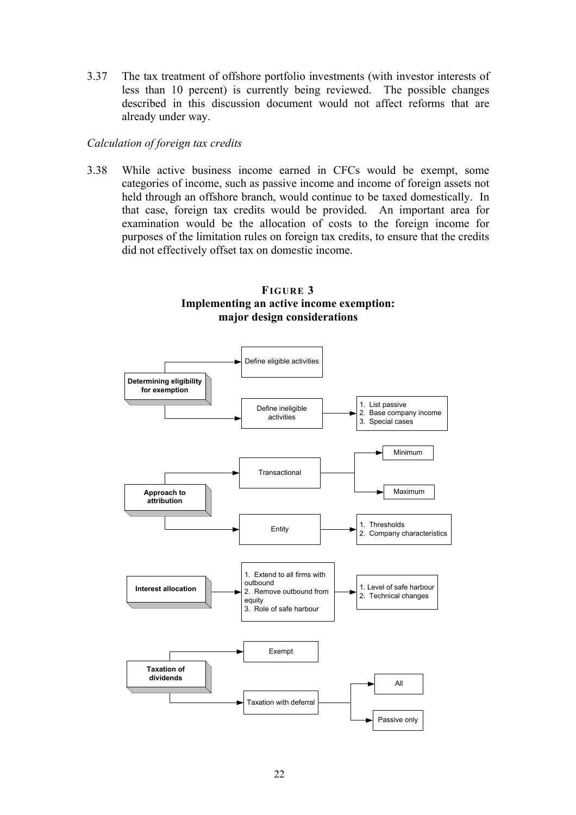3.37 The tax treatment of offshore portfolio investments (with investor interests of less than 10 percent) is currently being reviewed. The possible changes described in this discussion document would not affect reforms that are already under way.

#### *Calculation of foreign tax credits*

3.38 While active business income earned in CFCs would be exempt, some categories of income, such as passive income and income of foreign assets not held through an offshore branch, would continue to be taxed domestically. In that case, foreign tax credits would be provided. An important area for examination would be the allocation of costs to the foreign income for purposes of the limitation rules on foreign tax credits, to ensure that the credits did not effectively offset tax on domestic income.

### **FIGURE 3 Implementing an active income exemption: major design considerations**

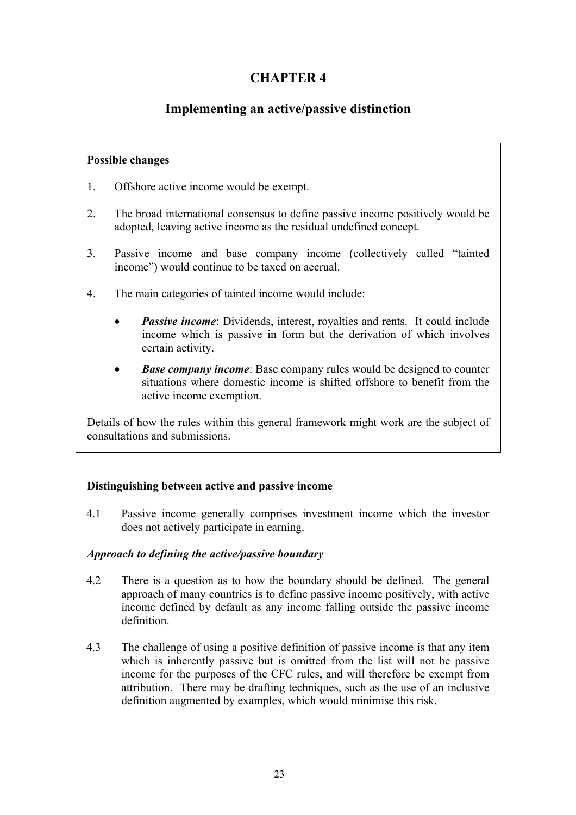# **CHAPTER 4**

# **Implementing an active/passive distinction**

# <span id="page-30-0"></span>**Possible changes**

- 1. Offshore active income would be exempt.
- 2. The broad international consensus to define passive income positively would be adopted, leaving active income as the residual undefined concept.
- 3. Passive income and base company income (collectively called "tainted income") would continue to be taxed on accrual.
- 4. The main categories of tainted income would include:
	- *Passive income*: Dividends, interest, royalties and rents. It could include income which is passive in form but the derivation of which involves certain activity.
	- *Base company income*: Base company rules would be designed to counter situations where domestic income is shifted offshore to benefit from the active income exemption.

Details of how the rules within this general framework might work are the subject of consultations and submissions.

# **Distinguishing between active and passive income**

4.1 Passive income generally comprises investment income which the investor does not actively participate in earning.

## *Approach to defining the active/passive boundary*

- 4.2 There is a question as to how the boundary should be defined. The general approach of many countries is to define passive income positively, with active income defined by default as any income falling outside the passive income definition.
- 4.3 The challenge of using a positive definition of passive income is that any item which is inherently passive but is omitted from the list will not be passive income for the purposes of the CFC rules, and will therefore be exempt from attribution. There may be drafting techniques, such as the use of an inclusive definition augmented by examples, which would minimise this risk.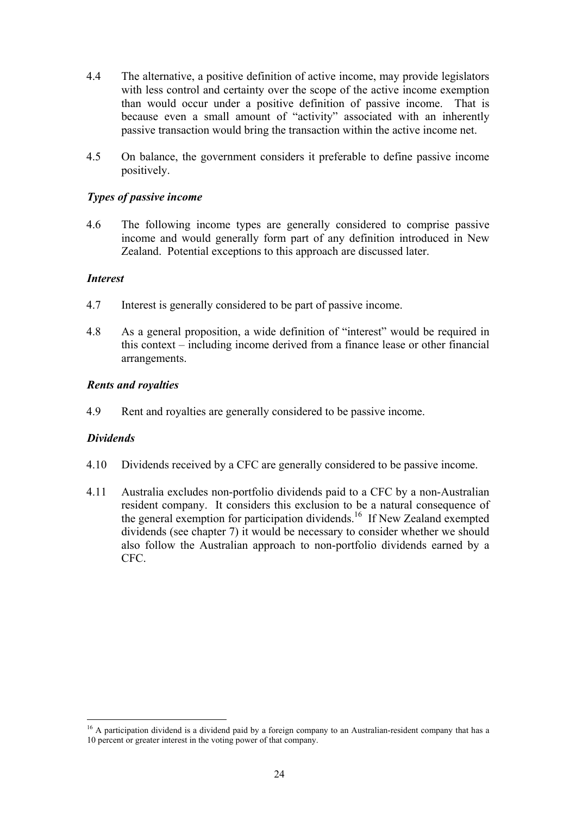- 4.4 The alternative, a positive definition of active income, may provide legislators with less control and certainty over the scope of the active income exemption than would occur under a positive definition of passive income. That is because even a small amount of "activity" associated with an inherently passive transaction would bring the transaction within the active income net.
- 4.5 On balance, the government considers it preferable to define passive income positively.

#### *Types of passive income*

4.6 The following income types are generally considered to comprise passive income and would generally form part of any definition introduced in New Zealand. Potential exceptions to this approach are discussed later.

#### *Interest*

- 4.7 Interest is generally considered to be part of passive income.
- 4.8 As a general proposition, a wide definition of "interest" would be required in this context – including income derived from a finance lease or other financial arrangements.

#### *Rents and royalties*

4.9 Rent and royalties are generally considered to be passive income.

#### *Dividends*

- 4.10 Dividends received by a CFC are generally considered to be passive income.
- 4.11 Australia excludes non-portfolio dividends paid to a CFC by a non-Australian resident company. It considers this exclusion to be a natural consequence of the general exemption for participation dividends.<sup>16</sup> If New Zealand exempted dividends (see chapter 7) it would be necessary to consider whether we should also follow the Australian approach to non-portfolio dividends earned by a CFC.

<sup>&</sup>lt;sup>16</sup> A participation dividend is a dividend paid by a foreign company to an Australian-resident company that has a 10 percent or greater interest in the voting power of that company.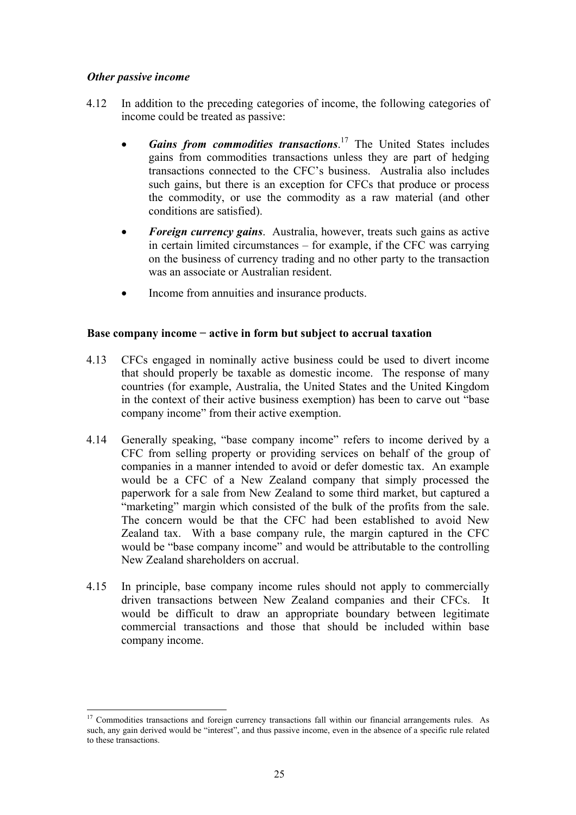### <span id="page-32-0"></span>*Other passive income*

- 4.12 In addition to the preceding categories of income, the following categories of income could be treated as passive:
	- *Gains from commodities transactions*. 17 The United States includes gains from commodities transactions unless they are part of hedging transactions connected to the CFC's business. Australia also includes such gains, but there is an exception for CFCs that produce or process the commodity, or use the commodity as a raw material (and other conditions are satisfied).
	- *Foreign currency gains*. Australia, however, treats such gains as active in certain limited circumstances – for example, if the CFC was carrying on the business of currency trading and no other party to the transaction was an associate or Australian resident.
	- Income from annuities and insurance products.

#### **Base company income − active in form but subject to accrual taxation**

- 4.13 CFCs engaged in nominally active business could be used to divert income that should properly be taxable as domestic income. The response of many countries (for example, Australia, the United States and the United Kingdom in the context of their active business exemption) has been to carve out "base company income" from their active exemption.
- 4.14 Generally speaking, "base company income" refers to income derived by a CFC from selling property or providing services on behalf of the group of companies in a manner intended to avoid or defer domestic tax. An example would be a CFC of a New Zealand company that simply processed the paperwork for a sale from New Zealand to some third market, but captured a "marketing" margin which consisted of the bulk of the profits from the sale. The concern would be that the CFC had been established to avoid New Zealand tax. With a base company rule, the margin captured in the CFC would be "base company income" and would be attributable to the controlling New Zealand shareholders on accrual.
- 4.15 In principle, base company income rules should not apply to commercially driven transactions between New Zealand companies and their CFCs. It would be difficult to draw an appropriate boundary between legitimate commercial transactions and those that should be included within base company income.

 $\overline{a}$ <sup>17</sup> Commodities transactions and foreign currency transactions fall within our financial arrangements rules. As such, any gain derived would be "interest", and thus passive income, even in the absence of a specific rule related to these transactions.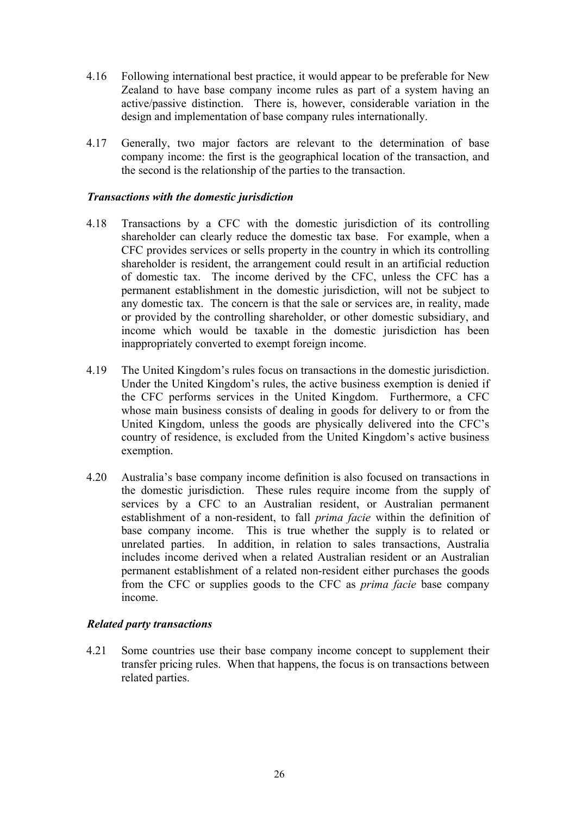- 4.16 Following international best practice, it would appear to be preferable for New Zealand to have base company income rules as part of a system having an active/passive distinction. There is, however, considerable variation in the design and implementation of base company rules internationally.
- 4.17 Generally, two major factors are relevant to the determination of base company income: the first is the geographical location of the transaction, and the second is the relationship of the parties to the transaction.

#### *Transactions with the domestic jurisdiction*

- 4.18 Transactions by a CFC with the domestic jurisdiction of its controlling shareholder can clearly reduce the domestic tax base. For example, when a CFC provides services or sells property in the country in which its controlling shareholder is resident, the arrangement could result in an artificial reduction of domestic tax. The income derived by the CFC, unless the CFC has a permanent establishment in the domestic jurisdiction, will not be subject to any domestic tax. The concern is that the sale or services are, in reality, made or provided by the controlling shareholder, or other domestic subsidiary, and income which would be taxable in the domestic jurisdiction has been inappropriately converted to exempt foreign income.
- 4.19 The United Kingdom's rules focus on transactions in the domestic jurisdiction. Under the United Kingdom's rules, the active business exemption is denied if the CFC performs services in the United Kingdom. Furthermore, a CFC whose main business consists of dealing in goods for delivery to or from the United Kingdom, unless the goods are physically delivered into the CFC's country of residence, is excluded from the United Kingdom's active business exemption.
- 4.20 Australia's base company income definition is also focused on transactions in the domestic jurisdiction. These rules require income from the supply of services by a CFC to an Australian resident, or Australian permanent establishment of a non-resident, to fall *prima facie* within the definition of base company income. This is true whether the supply is to related or unrelated parties. In addition, in relation to sales transactions, Australia includes income derived when a related Australian resident or an Australian permanent establishment of a related non-resident either purchases the goods from the CFC or supplies goods to the CFC as *prima facie* base company income.

#### *Related party transactions*

4.21 Some countries use their base company income concept to supplement their transfer pricing rules. When that happens, the focus is on transactions between related parties.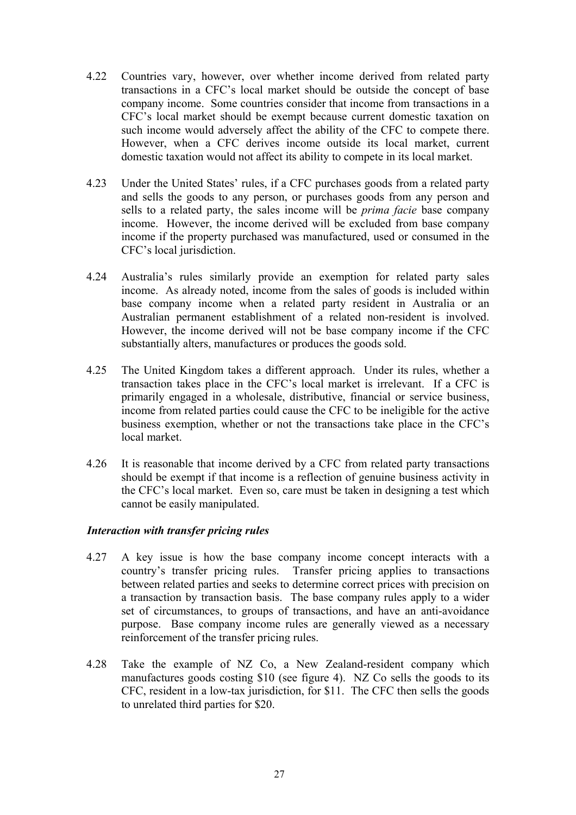- 4.22 Countries vary, however, over whether income derived from related party transactions in a CFC's local market should be outside the concept of base company income. Some countries consider that income from transactions in a CFC's local market should be exempt because current domestic taxation on such income would adversely affect the ability of the CFC to compete there. However, when a CFC derives income outside its local market, current domestic taxation would not affect its ability to compete in its local market.
- 4.23 Under the United States' rules, if a CFC purchases goods from a related party and sells the goods to any person, or purchases goods from any person and sells to a related party, the sales income will be *prima facie* base company income. However, the income derived will be excluded from base company income if the property purchased was manufactured, used or consumed in the CFC's local jurisdiction.
- 4.24 Australia's rules similarly provide an exemption for related party sales income. As already noted, income from the sales of goods is included within base company income when a related party resident in Australia or an Australian permanent establishment of a related non-resident is involved. However, the income derived will not be base company income if the CFC substantially alters, manufactures or produces the goods sold.
- 4.25 The United Kingdom takes a different approach. Under its rules, whether a transaction takes place in the CFC's local market is irrelevant. If a CFC is primarily engaged in a wholesale, distributive, financial or service business, income from related parties could cause the CFC to be ineligible for the active business exemption, whether or not the transactions take place in the CFC's local market.
- 4.26 It is reasonable that income derived by a CFC from related party transactions should be exempt if that income is a reflection of genuine business activity in the CFC's local market. Even so, care must be taken in designing a test which cannot be easily manipulated.

## *Interaction with transfer pricing rules*

- 4.27 A key issue is how the base company income concept interacts with a country's transfer pricing rules. Transfer pricing applies to transactions between related parties and seeks to determine correct prices with precision on a transaction by transaction basis. The base company rules apply to a wider set of circumstances, to groups of transactions, and have an anti-avoidance purpose. Base company income rules are generally viewed as a necessary reinforcement of the transfer pricing rules.
- 4.28 Take the example of NZ Co, a New Zealand-resident company which manufactures goods costing \$10 (see figure 4). NZ Co sells the goods to its CFC, resident in a low-tax jurisdiction, for \$11. The CFC then sells the goods to unrelated third parties for \$20.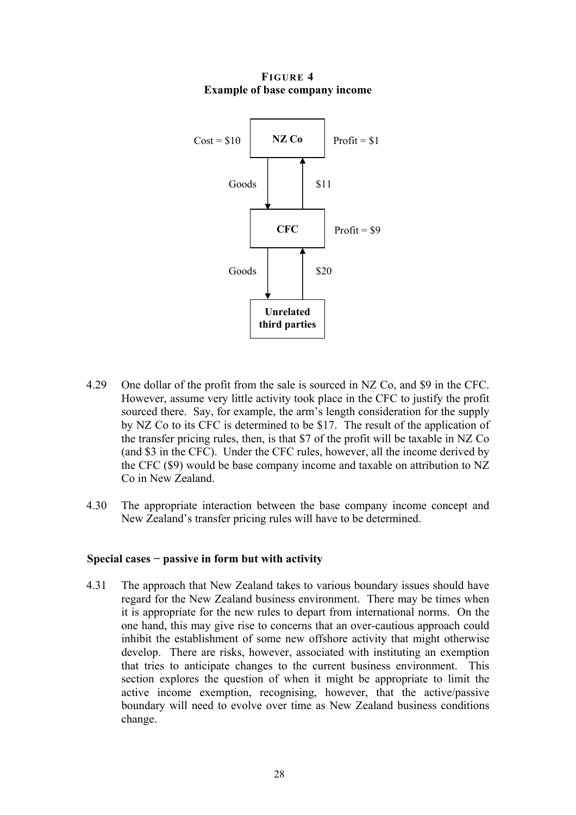**FIGURE 4 Example of base company income** 

<span id="page-35-0"></span>

- 4.29 One dollar of the profit from the sale is sourced in NZ Co, and \$9 in the CFC. However, assume very little activity took place in the CFC to justify the profit sourced there. Say, for example, the arm's length consideration for the supply by NZ Co to its CFC is determined to be \$17. The result of the application of the transfer pricing rules, then, is that \$7 of the profit will be taxable in NZ Co (and \$3 in the CFC). Under the CFC rules, however, all the income derived by the CFC (\$9) would be base company income and taxable on attribution to NZ Co in New Zealand.
- 4.30 The appropriate interaction between the base company income concept and New Zealand's transfer pricing rules will have to be determined.

#### **Special cases − passive in form but with activity**

4.31 The approach that New Zealand takes to various boundary issues should have regard for the New Zealand business environment. There may be times when it is appropriate for the new rules to depart from international norms. On the one hand, this may give rise to concerns that an over-cautious approach could inhibit the establishment of some new offshore activity that might otherwise develop. There are risks, however, associated with instituting an exemption that tries to anticipate changes to the current business environment. This section explores the question of when it might be appropriate to limit the active income exemption, recognising, however, that the active/passive boundary will need to evolve over time as New Zealand business conditions change.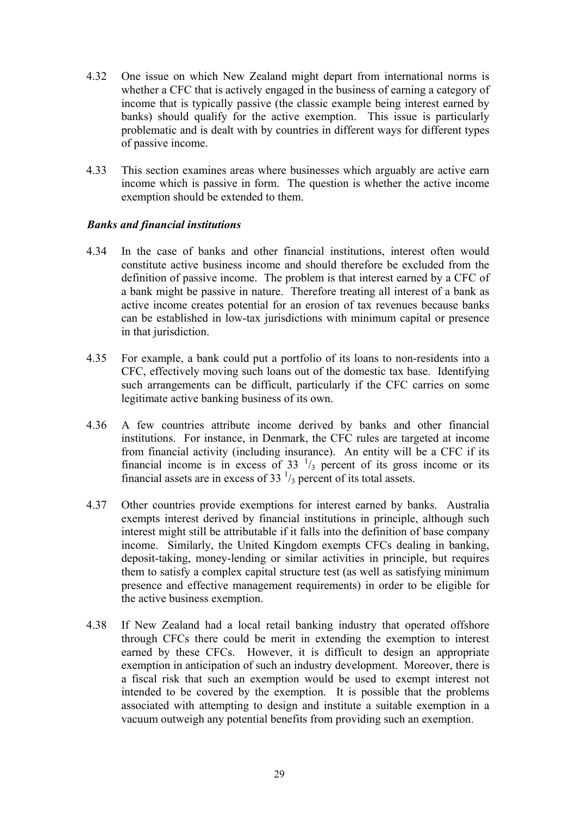- 4.32 One issue on which New Zealand might depart from international norms is whether a CFC that is actively engaged in the business of earning a category of income that is typically passive (the classic example being interest earned by banks) should qualify for the active exemption. This issue is particularly problematic and is dealt with by countries in different ways for different types of passive income.
- 4.33 This section examines areas where businesses which arguably are active earn income which is passive in form. The question is whether the active income exemption should be extended to them.

## *Banks and financial institutions*

- 4.34 In the case of banks and other financial institutions, interest often would constitute active business income and should therefore be excluded from the definition of passive income. The problem is that interest earned by a CFC of a bank might be passive in nature. Therefore treating all interest of a bank as active income creates potential for an erosion of tax revenues because banks can be established in low-tax jurisdictions with minimum capital or presence in that jurisdiction.
- 4.35 For example, a bank could put a portfolio of its loans to non-residents into a CFC, effectively moving such loans out of the domestic tax base. Identifying such arrangements can be difficult, particularly if the CFC carries on some legitimate active banking business of its own.
- 4.36 A few countries attribute income derived by banks and other financial institutions. For instance, in Denmark, the CFC rules are targeted at income from financial activity (including insurance). An entity will be a CFC if its financial income is in excess of  $33<sup>-1</sup>/3$  percent of its gross income or its financial assets are in excess of 33 $\frac{1}{3}$  percent of its total assets.
- 4.37 Other countries provide exemptions for interest earned by banks. Australia exempts interest derived by financial institutions in principle, although such interest might still be attributable if it falls into the definition of base company income. Similarly, the United Kingdom exempts CFCs dealing in banking, deposit-taking, money-lending or similar activities in principle, but requires them to satisfy a complex capital structure test (as well as satisfying minimum presence and effective management requirements) in order to be eligible for the active business exemption.
- 4.38 If New Zealand had a local retail banking industry that operated offshore through CFCs there could be merit in extending the exemption to interest earned by these CFCs. However, it is difficult to design an appropriate exemption in anticipation of such an industry development. Moreover, there is a fiscal risk that such an exemption would be used to exempt interest not intended to be covered by the exemption. It is possible that the problems associated with attempting to design and institute a suitable exemption in a vacuum outweigh any potential benefits from providing such an exemption.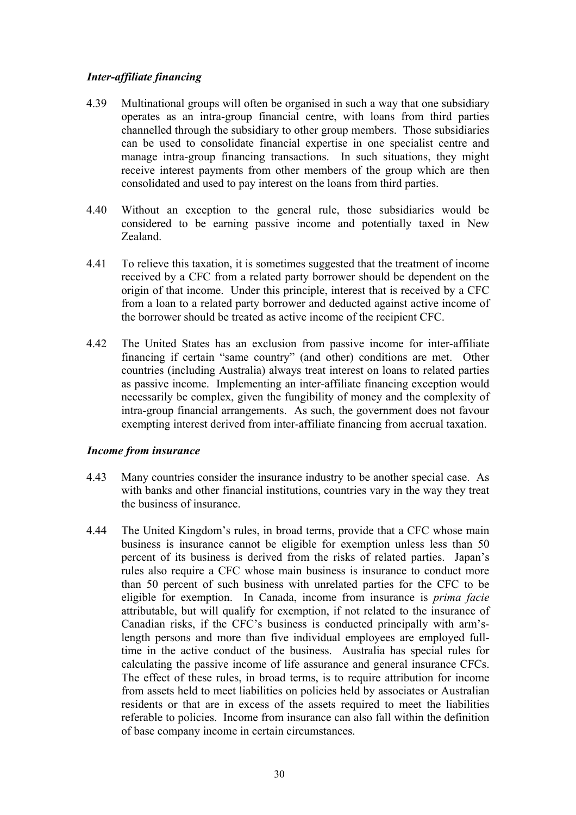## *Inter-affiliate financing*

- 4.39 Multinational groups will often be organised in such a way that one subsidiary operates as an intra-group financial centre, with loans from third parties channelled through the subsidiary to other group members. Those subsidiaries can be used to consolidate financial expertise in one specialist centre and manage intra-group financing transactions. In such situations, they might receive interest payments from other members of the group which are then consolidated and used to pay interest on the loans from third parties.
- 4.40 Without an exception to the general rule, those subsidiaries would be considered to be earning passive income and potentially taxed in New Zealand.
- 4.41 To relieve this taxation, it is sometimes suggested that the treatment of income received by a CFC from a related party borrower should be dependent on the origin of that income. Under this principle, interest that is received by a CFC from a loan to a related party borrower and deducted against active income of the borrower should be treated as active income of the recipient CFC.
- 4.42 The United States has an exclusion from passive income for inter-affiliate financing if certain "same country" (and other) conditions are met. Other countries (including Australia) always treat interest on loans to related parties as passive income. Implementing an inter-affiliate financing exception would necessarily be complex, given the fungibility of money and the complexity of intra-group financial arrangements. As such, the government does not favour exempting interest derived from inter-affiliate financing from accrual taxation.

#### *Income from insurance*

- 4.43 Many countries consider the insurance industry to be another special case. As with banks and other financial institutions, countries vary in the way they treat the business of insurance.
- 4.44 The United Kingdom's rules, in broad terms, provide that a CFC whose main business is insurance cannot be eligible for exemption unless less than 50 percent of its business is derived from the risks of related parties. Japan's rules also require a CFC whose main business is insurance to conduct more than 50 percent of such business with unrelated parties for the CFC to be eligible for exemption. In Canada, income from insurance is *prima facie* attributable, but will qualify for exemption, if not related to the insurance of Canadian risks, if the CFC's business is conducted principally with arm'slength persons and more than five individual employees are employed fulltime in the active conduct of the business. Australia has special rules for calculating the passive income of life assurance and general insurance CFCs. The effect of these rules, in broad terms, is to require attribution for income from assets held to meet liabilities on policies held by associates or Australian residents or that are in excess of the assets required to meet the liabilities referable to policies. Income from insurance can also fall within the definition of base company income in certain circumstances.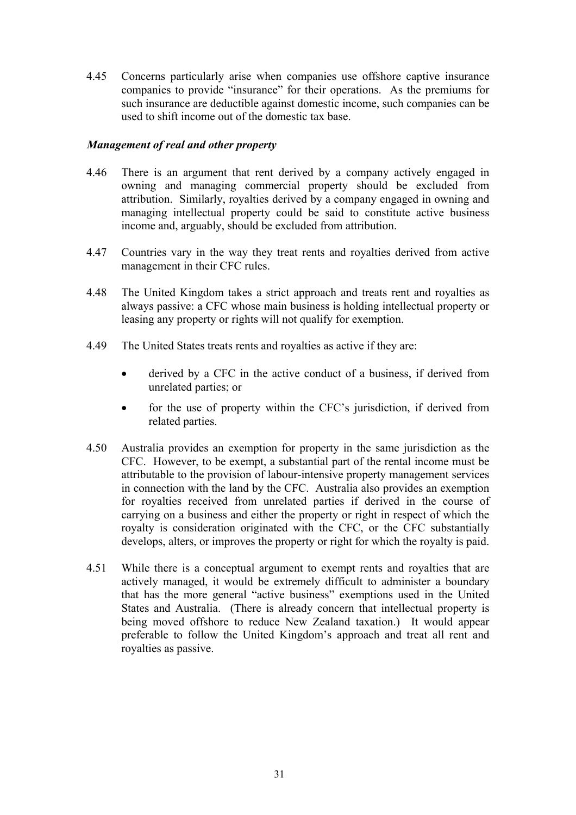4.45 Concerns particularly arise when companies use offshore captive insurance companies to provide "insurance" for their operations. As the premiums for such insurance are deductible against domestic income, such companies can be used to shift income out of the domestic tax base.

## *Management of real and other property*

- 4.46 There is an argument that rent derived by a company actively engaged in owning and managing commercial property should be excluded from attribution. Similarly, royalties derived by a company engaged in owning and managing intellectual property could be said to constitute active business income and, arguably, should be excluded from attribution.
- 4.47 Countries vary in the way they treat rents and royalties derived from active management in their CFC rules.
- 4.48 The United Kingdom takes a strict approach and treats rent and royalties as always passive: a CFC whose main business is holding intellectual property or leasing any property or rights will not qualify for exemption.
- 4.49 The United States treats rents and royalties as active if they are:
	- derived by a CFC in the active conduct of a business, if derived from unrelated parties; or
	- for the use of property within the CFC's jurisdiction, if derived from related parties.
- 4.50 Australia provides an exemption for property in the same jurisdiction as the CFC. However, to be exempt, a substantial part of the rental income must be attributable to the provision of labour-intensive property management services in connection with the land by the CFC. Australia also provides an exemption for royalties received from unrelated parties if derived in the course of carrying on a business and either the property or right in respect of which the royalty is consideration originated with the CFC, or the CFC substantially develops, alters, or improves the property or right for which the royalty is paid.
- 4.51 While there is a conceptual argument to exempt rents and royalties that are actively managed, it would be extremely difficult to administer a boundary that has the more general "active business" exemptions used in the United States and Australia. (There is already concern that intellectual property is being moved offshore to reduce New Zealand taxation.) It would appear preferable to follow the United Kingdom's approach and treat all rent and royalties as passive.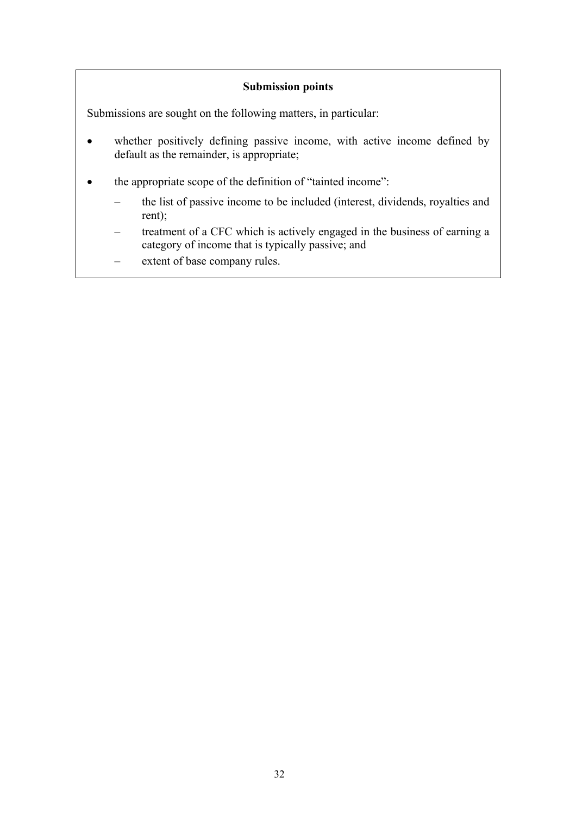# **Submission points**

Submissions are sought on the following matters, in particular:

- whether positively defining passive income, with active income defined by default as the remainder, is appropriate;
- the appropriate scope of the definition of "tainted income":
	- the list of passive income to be included (interest, dividends, royalties and rent);
	- treatment of a CFC which is actively engaged in the business of earning a category of income that is typically passive; and
	- extent of base company rules.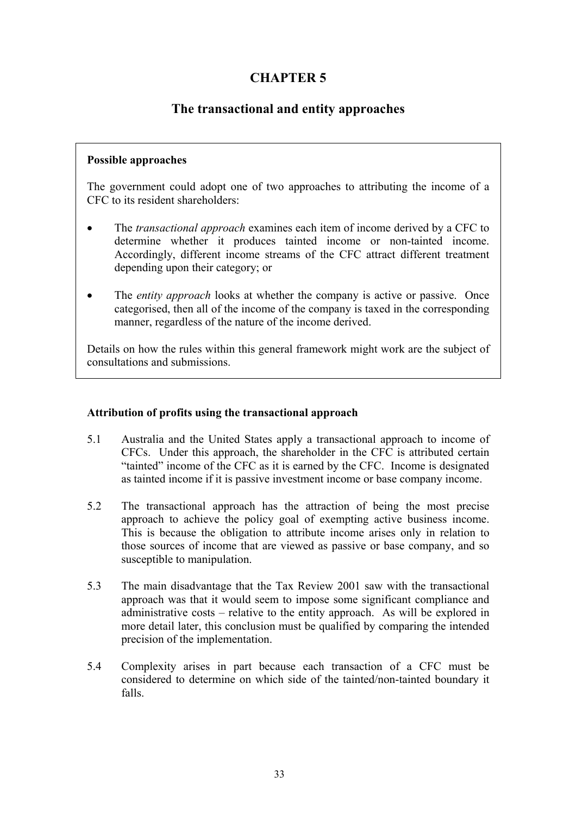# **CHAPTER 5**

# **The transactional and entity approaches**

### **Possible approaches**

The government could adopt one of two approaches to attributing the income of a CFC to its resident shareholders:

- The *transactional approach* examines each item of income derived by a CFC to determine whether it produces tainted income or non-tainted income. Accordingly, different income streams of the CFC attract different treatment depending upon their category; or
- The *entity approach* looks at whether the company is active or passive. Once categorised, then all of the income of the company is taxed in the corresponding manner, regardless of the nature of the income derived.

Details on how the rules within this general framework might work are the subject of consultations and submissions.

# **Attribution of profits using the transactional approach**

- 5.1 Australia and the United States apply a transactional approach to income of CFCs. Under this approach, the shareholder in the CFC is attributed certain "tainted" income of the CFC as it is earned by the CFC. Income is designated as tainted income if it is passive investment income or base company income.
- 5.2 The transactional approach has the attraction of being the most precise approach to achieve the policy goal of exempting active business income. This is because the obligation to attribute income arises only in relation to those sources of income that are viewed as passive or base company, and so susceptible to manipulation.
- 5.3 The main disadvantage that the Tax Review 2001 saw with the transactional approach was that it would seem to impose some significant compliance and administrative costs – relative to the entity approach. As will be explored in more detail later, this conclusion must be qualified by comparing the intended precision of the implementation.
- 5.4 Complexity arises in part because each transaction of a CFC must be considered to determine on which side of the tainted/non-tainted boundary it falls.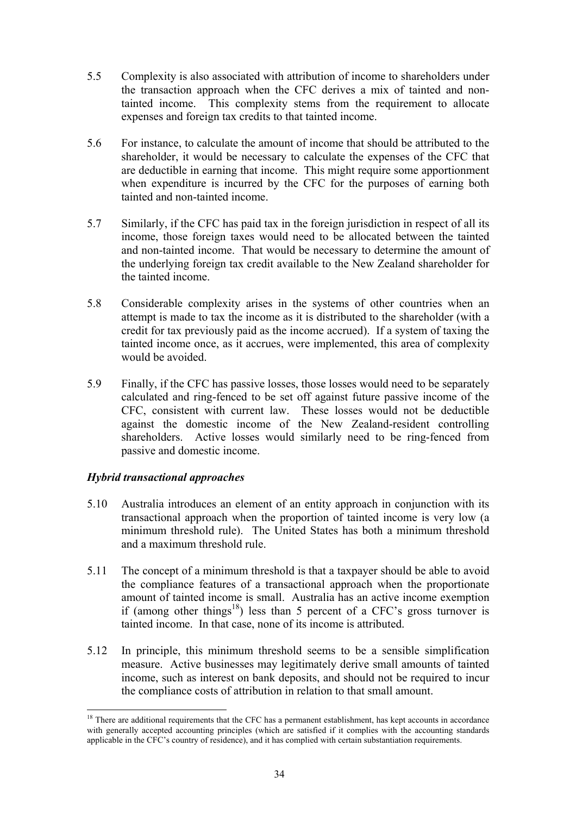- 5.5 Complexity is also associated with attribution of income to shareholders under the transaction approach when the CFC derives a mix of tainted and nontainted income. This complexity stems from the requirement to allocate expenses and foreign tax credits to that tainted income.
- 5.6 For instance, to calculate the amount of income that should be attributed to the shareholder, it would be necessary to calculate the expenses of the CFC that are deductible in earning that income. This might require some apportionment when expenditure is incurred by the CFC for the purposes of earning both tainted and non-tainted income.
- 5.7 Similarly, if the CFC has paid tax in the foreign jurisdiction in respect of all its income, those foreign taxes would need to be allocated between the tainted and non-tainted income. That would be necessary to determine the amount of the underlying foreign tax credit available to the New Zealand shareholder for the tainted income.
- 5.8 Considerable complexity arises in the systems of other countries when an attempt is made to tax the income as it is distributed to the shareholder (with a credit for tax previously paid as the income accrued). If a system of taxing the tainted income once, as it accrues, were implemented, this area of complexity would be avoided.
- 5.9 Finally, if the CFC has passive losses, those losses would need to be separately calculated and ring-fenced to be set off against future passive income of the CFC, consistent with current law. These losses would not be deductible against the domestic income of the New Zealand-resident controlling shareholders. Active losses would similarly need to be ring-fenced from passive and domestic income.

# *Hybrid transactional approaches*

- 5.10 Australia introduces an element of an entity approach in conjunction with its transactional approach when the proportion of tainted income is very low (a minimum threshold rule). The United States has both a minimum threshold and a maximum threshold rule.
- 5.11 The concept of a minimum threshold is that a taxpayer should be able to avoid the compliance features of a transactional approach when the proportionate amount of tainted income is small. Australia has an active income exemption if (among other things<sup>18</sup>) less than 5 percent of a CFC's gross turnover is tainted income. In that case, none of its income is attributed.
- 5.12 In principle, this minimum threshold seems to be a sensible simplification measure. Active businesses may legitimately derive small amounts of tainted income, such as interest on bank deposits, and should not be required to incur the compliance costs of attribution in relation to that small amount.

 $\overline{a}$ <sup>18</sup> There are additional requirements that the CFC has a permanent establishment, has kept accounts in accordance with generally accepted accounting principles (which are satisfied if it complies with the accounting standards applicable in the CFC's country of residence), and it has complied with certain substantiation requirements.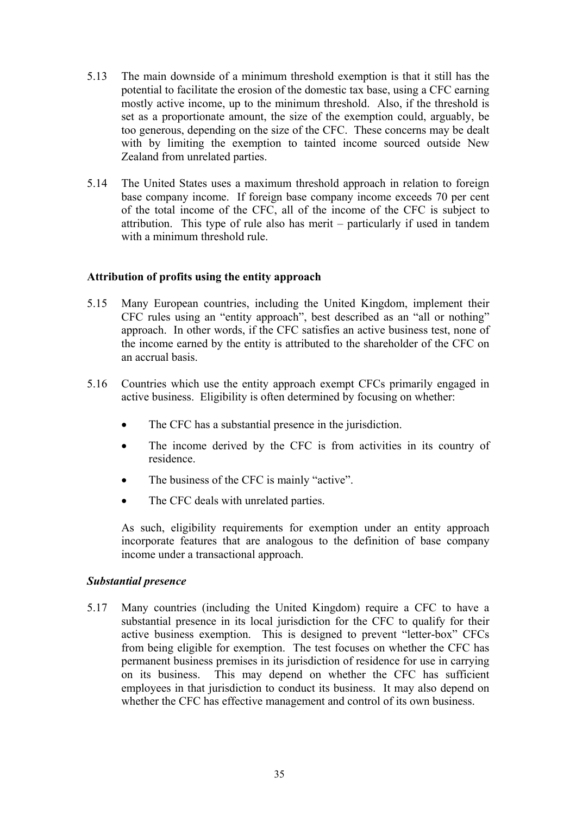- 5.13 The main downside of a minimum threshold exemption is that it still has the potential to facilitate the erosion of the domestic tax base, using a CFC earning mostly active income, up to the minimum threshold. Also, if the threshold is set as a proportionate amount, the size of the exemption could, arguably, be too generous, depending on the size of the CFC. These concerns may be dealt with by limiting the exemption to tainted income sourced outside New Zealand from unrelated parties.
- 5.14 The United States uses a maximum threshold approach in relation to foreign base company income. If foreign base company income exceeds 70 per cent of the total income of the CFC, all of the income of the CFC is subject to attribution. This type of rule also has merit – particularly if used in tandem with a minimum threshold rule.

## **Attribution of profits using the entity approach**

- 5.15 Many European countries, including the United Kingdom, implement their CFC rules using an "entity approach", best described as an "all or nothing" approach. In other words, if the CFC satisfies an active business test, none of the income earned by the entity is attributed to the shareholder of the CFC on an accrual basis.
- 5.16 Countries which use the entity approach exempt CFCs primarily engaged in active business. Eligibility is often determined by focusing on whether:
	- The CFC has a substantial presence in the jurisdiction.
	- The income derived by the CFC is from activities in its country of residence.
	- The business of the CFC is mainly "active".
	- The CFC deals with unrelated parties.

As such, eligibility requirements for exemption under an entity approach incorporate features that are analogous to the definition of base company income under a transactional approach.

#### *Substantial presence*

5.17 Many countries (including the United Kingdom) require a CFC to have a substantial presence in its local jurisdiction for the CFC to qualify for their active business exemption. This is designed to prevent "letter-box" CFCs from being eligible for exemption. The test focuses on whether the CFC has permanent business premises in its jurisdiction of residence for use in carrying on its business. This may depend on whether the CFC has sufficient employees in that jurisdiction to conduct its business. It may also depend on whether the CFC has effective management and control of its own business.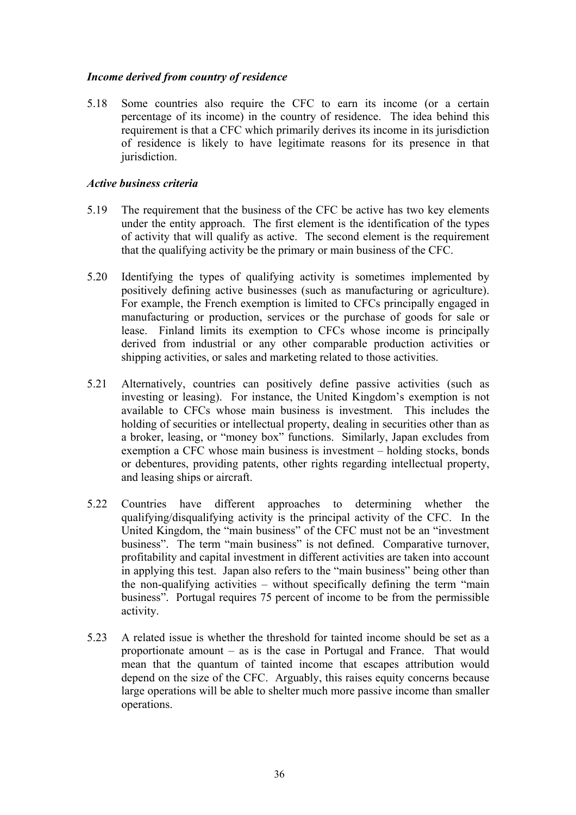## *Income derived from country of residence*

5.18 Some countries also require the CFC to earn its income (or a certain percentage of its income) in the country of residence. The idea behind this requirement is that a CFC which primarily derives its income in its jurisdiction of residence is likely to have legitimate reasons for its presence in that jurisdiction.

### *Active business criteria*

- 5.19 The requirement that the business of the CFC be active has two key elements under the entity approach. The first element is the identification of the types of activity that will qualify as active. The second element is the requirement that the qualifying activity be the primary or main business of the CFC.
- 5.20 Identifying the types of qualifying activity is sometimes implemented by positively defining active businesses (such as manufacturing or agriculture). For example, the French exemption is limited to CFCs principally engaged in manufacturing or production, services or the purchase of goods for sale or lease. Finland limits its exemption to CFCs whose income is principally derived from industrial or any other comparable production activities or shipping activities, or sales and marketing related to those activities.
- 5.21 Alternatively, countries can positively define passive activities (such as investing or leasing). For instance, the United Kingdom's exemption is not available to CFCs whose main business is investment. This includes the holding of securities or intellectual property, dealing in securities other than as a broker, leasing, or "money box" functions. Similarly, Japan excludes from exemption a CFC whose main business is investment – holding stocks, bonds or debentures, providing patents, other rights regarding intellectual property, and leasing ships or aircraft.
- 5.22 Countries have different approaches to determining whether the qualifying/disqualifying activity is the principal activity of the CFC. In the United Kingdom, the "main business" of the CFC must not be an "investment business". The term "main business" is not defined. Comparative turnover, profitability and capital investment in different activities are taken into account in applying this test. Japan also refers to the "main business" being other than the non-qualifying activities – without specifically defining the term "main business". Portugal requires 75 percent of income to be from the permissible activity.
- 5.23 A related issue is whether the threshold for tainted income should be set as a proportionate amount – as is the case in Portugal and France. That would mean that the quantum of tainted income that escapes attribution would depend on the size of the CFC. Arguably, this raises equity concerns because large operations will be able to shelter much more passive income than smaller operations.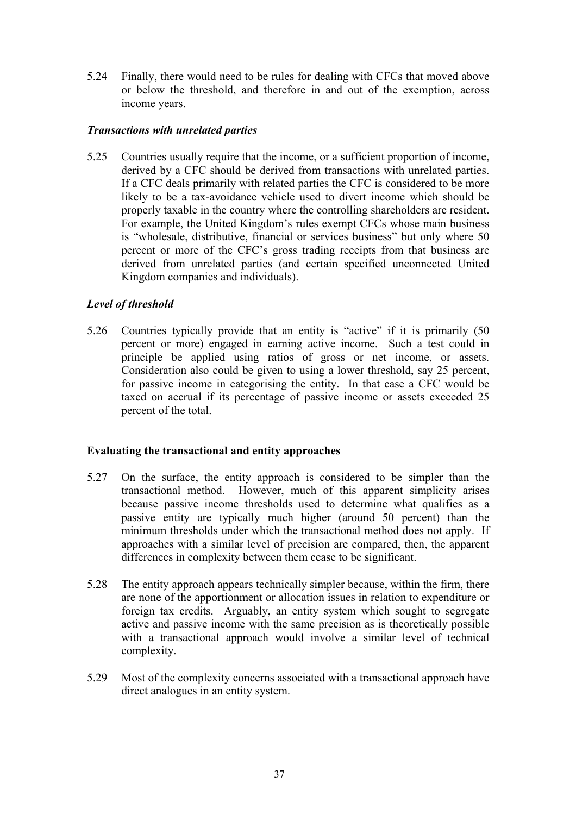5.24 Finally, there would need to be rules for dealing with CFCs that moved above or below the threshold, and therefore in and out of the exemption, across income years.

## *Transactions with unrelated parties*

5.25 Countries usually require that the income, or a sufficient proportion of income, derived by a CFC should be derived from transactions with unrelated parties. If a CFC deals primarily with related parties the CFC is considered to be more likely to be a tax-avoidance vehicle used to divert income which should be properly taxable in the country where the controlling shareholders are resident. For example, the United Kingdom's rules exempt CFCs whose main business is "wholesale, distributive, financial or services business" but only where 50 percent or more of the CFC's gross trading receipts from that business are derived from unrelated parties (and certain specified unconnected United Kingdom companies and individuals).

# *Level of threshold*

5.26 Countries typically provide that an entity is "active" if it is primarily (50 percent or more) engaged in earning active income. Such a test could in principle be applied using ratios of gross or net income, or assets. Consideration also could be given to using a lower threshold, say 25 percent, for passive income in categorising the entity. In that case a CFC would be taxed on accrual if its percentage of passive income or assets exceeded 25 percent of the total.

#### **Evaluating the transactional and entity approaches**

- 5.27 On the surface, the entity approach is considered to be simpler than the transactional method. However, much of this apparent simplicity arises because passive income thresholds used to determine what qualifies as a passive entity are typically much higher (around 50 percent) than the minimum thresholds under which the transactional method does not apply. If approaches with a similar level of precision are compared, then, the apparent differences in complexity between them cease to be significant.
- 5.28 The entity approach appears technically simpler because, within the firm, there are none of the apportionment or allocation issues in relation to expenditure or foreign tax credits. Arguably, an entity system which sought to segregate active and passive income with the same precision as is theoretically possible with a transactional approach would involve a similar level of technical complexity.
- 5.29 Most of the complexity concerns associated with a transactional approach have direct analogues in an entity system.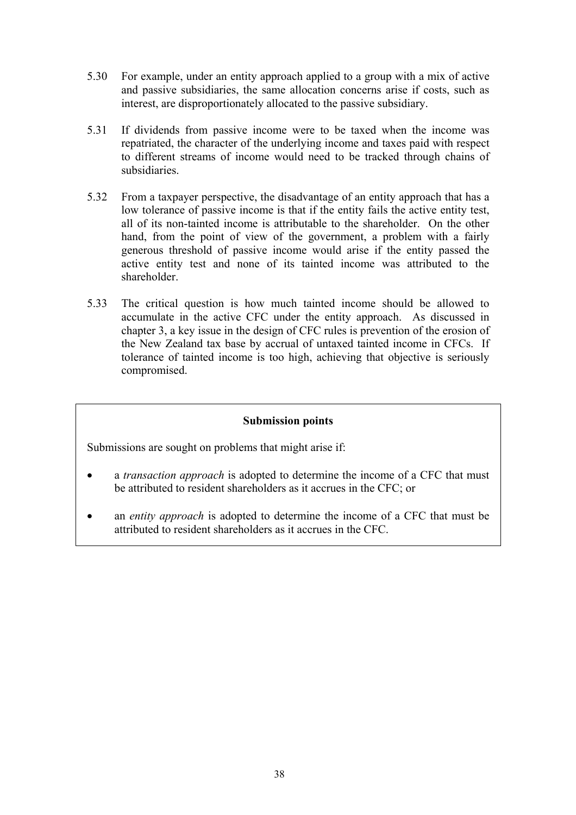- 5.30 For example, under an entity approach applied to a group with a mix of active and passive subsidiaries, the same allocation concerns arise if costs, such as interest, are disproportionately allocated to the passive subsidiary.
- 5.31 If dividends from passive income were to be taxed when the income was repatriated, the character of the underlying income and taxes paid with respect to different streams of income would need to be tracked through chains of subsidiaries.
- 5.32 From a taxpayer perspective, the disadvantage of an entity approach that has a low tolerance of passive income is that if the entity fails the active entity test, all of its non-tainted income is attributable to the shareholder. On the other hand, from the point of view of the government, a problem with a fairly generous threshold of passive income would arise if the entity passed the active entity test and none of its tainted income was attributed to the shareholder.
- 5.33 The critical question is how much tainted income should be allowed to accumulate in the active CFC under the entity approach. As discussed in chapter 3, a key issue in the design of CFC rules is prevention of the erosion of the New Zealand tax base by accrual of untaxed tainted income in CFCs. If tolerance of tainted income is too high, achieving that objective is seriously compromised.

#### **Submission points**

Submissions are sought on problems that might arise if:

- a *transaction approach* is adopted to determine the income of a CFC that must be attributed to resident shareholders as it accrues in the CFC; or
- an *entity approach* is adopted to determine the income of a CFC that must be attributed to resident shareholders as it accrues in the CFC.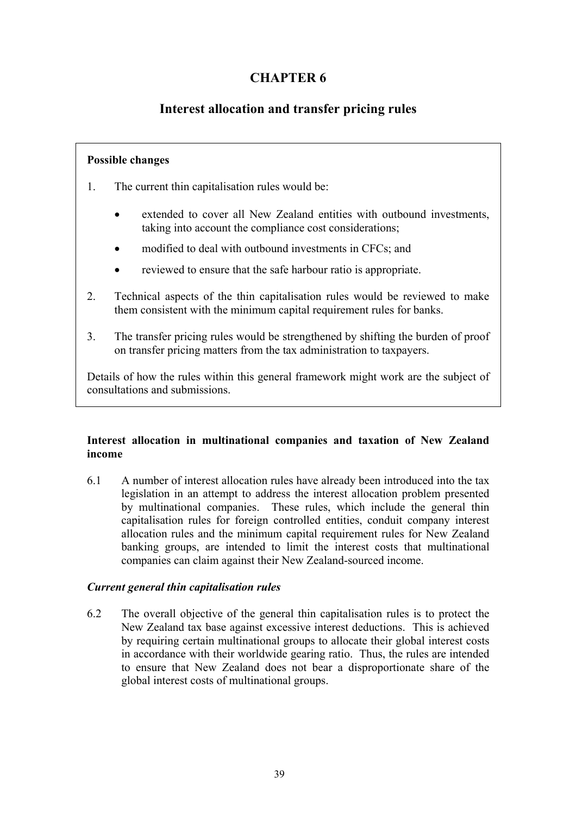# **CHAPTER 6**

# **Interest allocation and transfer pricing rules**

# **Possible changes**

- 1. The current thin capitalisation rules would be:
	- extended to cover all New Zealand entities with outbound investments, taking into account the compliance cost considerations;
	- modified to deal with outbound investments in CFCs; and
	- reviewed to ensure that the safe harbour ratio is appropriate.
- 2. Technical aspects of the thin capitalisation rules would be reviewed to make them consistent with the minimum capital requirement rules for banks.
- 3. The transfer pricing rules would be strengthened by shifting the burden of proof on transfer pricing matters from the tax administration to taxpayers.

Details of how the rules within this general framework might work are the subject of consultations and submissions.

## **Interest allocation in multinational companies and taxation of New Zealand income**

6.1 A number of interest allocation rules have already been introduced into the tax legislation in an attempt to address the interest allocation problem presented by multinational companies. These rules, which include the general thin capitalisation rules for foreign controlled entities, conduit company interest allocation rules and the minimum capital requirement rules for New Zealand banking groups, are intended to limit the interest costs that multinational companies can claim against their New Zealand-sourced income.

# *Current general thin capitalisation rules*

6.2 The overall objective of the general thin capitalisation rules is to protect the New Zealand tax base against excessive interest deductions. This is achieved by requiring certain multinational groups to allocate their global interest costs in accordance with their worldwide gearing ratio. Thus, the rules are intended to ensure that New Zealand does not bear a disproportionate share of the global interest costs of multinational groups.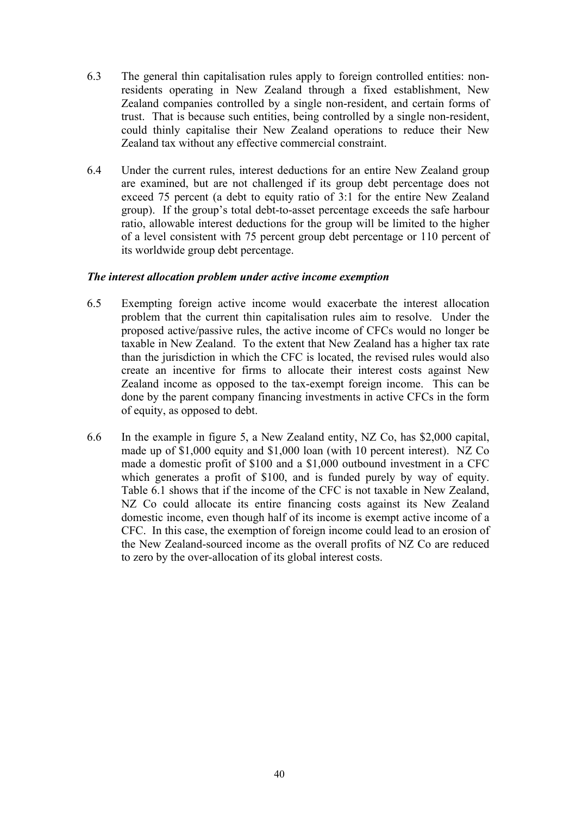- 6.3 The general thin capitalisation rules apply to foreign controlled entities: nonresidents operating in New Zealand through a fixed establishment, New Zealand companies controlled by a single non-resident, and certain forms of trust. That is because such entities, being controlled by a single non-resident, could thinly capitalise their New Zealand operations to reduce their New Zealand tax without any effective commercial constraint.
- 6.4 Under the current rules, interest deductions for an entire New Zealand group are examined, but are not challenged if its group debt percentage does not exceed 75 percent (a debt to equity ratio of 3:1 for the entire New Zealand group). If the group's total debt-to-asset percentage exceeds the safe harbour ratio, allowable interest deductions for the group will be limited to the higher of a level consistent with 75 percent group debt percentage or 110 percent of its worldwide group debt percentage.

## *The interest allocation problem under active income exemption*

- 6.5 Exempting foreign active income would exacerbate the interest allocation problem that the current thin capitalisation rules aim to resolve. Under the proposed active/passive rules, the active income of CFCs would no longer be taxable in New Zealand. To the extent that New Zealand has a higher tax rate than the jurisdiction in which the CFC is located, the revised rules would also create an incentive for firms to allocate their interest costs against New Zealand income as opposed to the tax-exempt foreign income. This can be done by the parent company financing investments in active CFCs in the form of equity, as opposed to debt.
- 6.6 In the example in figure 5, a New Zealand entity, NZ Co, has \$2,000 capital, made up of \$1,000 equity and \$1,000 loan (with 10 percent interest). NZ Co made a domestic profit of \$100 and a \$1,000 outbound investment in a CFC which generates a profit of \$100, and is funded purely by way of equity. Table 6.1 shows that if the income of the CFC is not taxable in New Zealand, NZ Co could allocate its entire financing costs against its New Zealand domestic income, even though half of its income is exempt active income of a CFC. In this case, the exemption of foreign income could lead to an erosion of the New Zealand-sourced income as the overall profits of NZ Co are reduced to zero by the over-allocation of its global interest costs.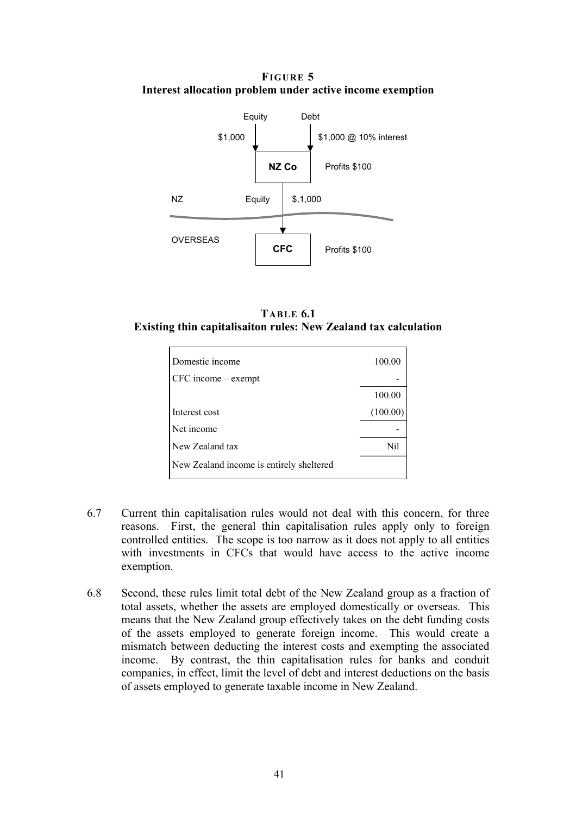**FIGURE 5 Interest allocation problem under active income exemption**



**TABLE 6.1 Existing thin capitalisaiton rules: New Zealand tax calculation** 

| Domestic income                          | 100.00   |
|------------------------------------------|----------|
| $CFC$ income $-$ exempt                  |          |
|                                          | 100.00   |
| Interest cost                            | (100.00) |
| Net income                               |          |
| New Zealand tax                          | Nil      |
| New Zealand income is entirely sheltered |          |

- 6.7 Current thin capitalisation rules would not deal with this concern, for three reasons. First, the general thin capitalisation rules apply only to foreign controlled entities. The scope is too narrow as it does not apply to all entities with investments in CFCs that would have access to the active income exemption.
- 6.8 Second, these rules limit total debt of the New Zealand group as a fraction of total assets, whether the assets are employed domestically or overseas. This means that the New Zealand group effectively takes on the debt funding costs of the assets employed to generate foreign income. This would create a mismatch between deducting the interest costs and exempting the associated income. By contrast, the thin capitalisation rules for banks and conduit companies, in effect, limit the level of debt and interest deductions on the basis of assets employed to generate taxable income in New Zealand.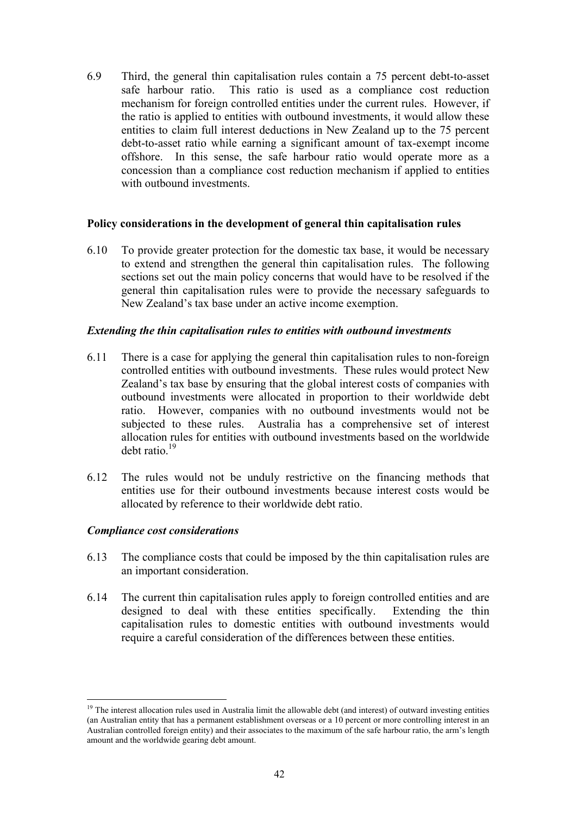6.9 Third, the general thin capitalisation rules contain a 75 percent debt-to-asset safe harbour ratio. This ratio is used as a compliance cost reduction mechanism for foreign controlled entities under the current rules. However, if the ratio is applied to entities with outbound investments, it would allow these entities to claim full interest deductions in New Zealand up to the 75 percent debt-to-asset ratio while earning a significant amount of tax-exempt income offshore. In this sense, the safe harbour ratio would operate more as a concession than a compliance cost reduction mechanism if applied to entities with outbound investments.

#### **Policy considerations in the development of general thin capitalisation rules**

6.10 To provide greater protection for the domestic tax base, it would be necessary to extend and strengthen the general thin capitalisation rules. The following sections set out the main policy concerns that would have to be resolved if the general thin capitalisation rules were to provide the necessary safeguards to New Zealand's tax base under an active income exemption.

#### *Extending the thin capitalisation rules to entities with outbound investments*

- 6.11 There is a case for applying the general thin capitalisation rules to non-foreign controlled entities with outbound investments. These rules would protect New Zealand's tax base by ensuring that the global interest costs of companies with outbound investments were allocated in proportion to their worldwide debt ratio. However, companies with no outbound investments would not be subjected to these rules. Australia has a comprehensive set of interest allocation rules for entities with outbound investments based on the worldwide debt ratio.19
- 6.12 The rules would not be unduly restrictive on the financing methods that entities use for their outbound investments because interest costs would be allocated by reference to their worldwide debt ratio.

#### *Compliance cost considerations*

 $\overline{a}$ 

- 6.13 The compliance costs that could be imposed by the thin capitalisation rules are an important consideration.
- 6.14 The current thin capitalisation rules apply to foreign controlled entities and are designed to deal with these entities specifically. Extending the thin capitalisation rules to domestic entities with outbound investments would require a careful consideration of the differences between these entities.

<sup>&</sup>lt;sup>19</sup> The interest allocation rules used in Australia limit the allowable debt (and interest) of outward investing entities (an Australian entity that has a permanent establishment overseas or a 10 percent or more controlling interest in an Australian controlled foreign entity) and their associates to the maximum of the safe harbour ratio, the arm's length amount and the worldwide gearing debt amount.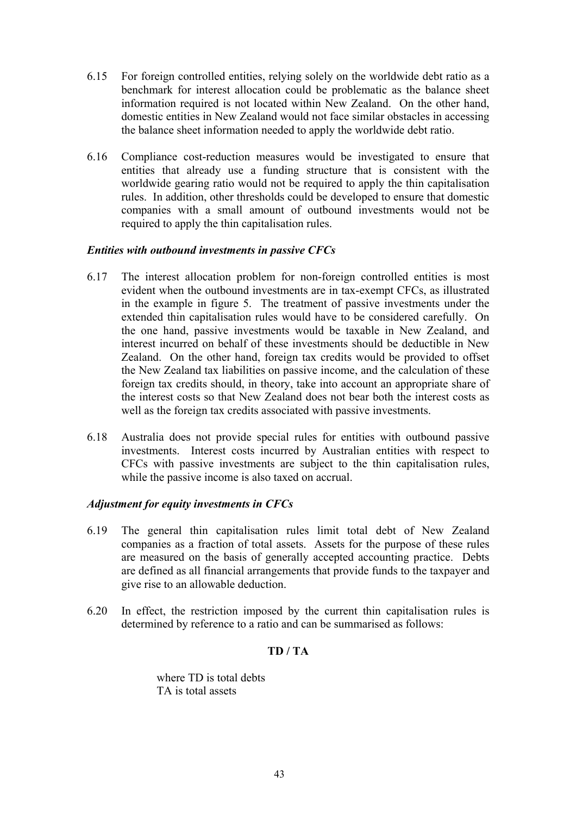- 6.15 For foreign controlled entities, relying solely on the worldwide debt ratio as a benchmark for interest allocation could be problematic as the balance sheet information required is not located within New Zealand. On the other hand, domestic entities in New Zealand would not face similar obstacles in accessing the balance sheet information needed to apply the worldwide debt ratio.
- 6.16 Compliance cost-reduction measures would be investigated to ensure that entities that already use a funding structure that is consistent with the worldwide gearing ratio would not be required to apply the thin capitalisation rules. In addition, other thresholds could be developed to ensure that domestic companies with a small amount of outbound investments would not be required to apply the thin capitalisation rules.

#### *Entities with outbound investments in passive CFCs*

- 6.17 The interest allocation problem for non-foreign controlled entities is most evident when the outbound investments are in tax-exempt CFCs, as illustrated in the example in figure 5. The treatment of passive investments under the extended thin capitalisation rules would have to be considered carefully. On the one hand, passive investments would be taxable in New Zealand, and interest incurred on behalf of these investments should be deductible in New Zealand. On the other hand, foreign tax credits would be provided to offset the New Zealand tax liabilities on passive income, and the calculation of these foreign tax credits should, in theory, take into account an appropriate share of the interest costs so that New Zealand does not bear both the interest costs as well as the foreign tax credits associated with passive investments.
- 6.18 Australia does not provide special rules for entities with outbound passive investments. Interest costs incurred by Australian entities with respect to CFCs with passive investments are subject to the thin capitalisation rules, while the passive income is also taxed on accrual.

# *Adjustment for equity investments in CFCs*

- 6.19 The general thin capitalisation rules limit total debt of New Zealand companies as a fraction of total assets. Assets for the purpose of these rules are measured on the basis of generally accepted accounting practice. Debts are defined as all financial arrangements that provide funds to the taxpayer and give rise to an allowable deduction.
- 6.20 In effect, the restriction imposed by the current thin capitalisation rules is determined by reference to a ratio and can be summarised as follows:

# **TD / TA**

where TD is total debts TA is total assets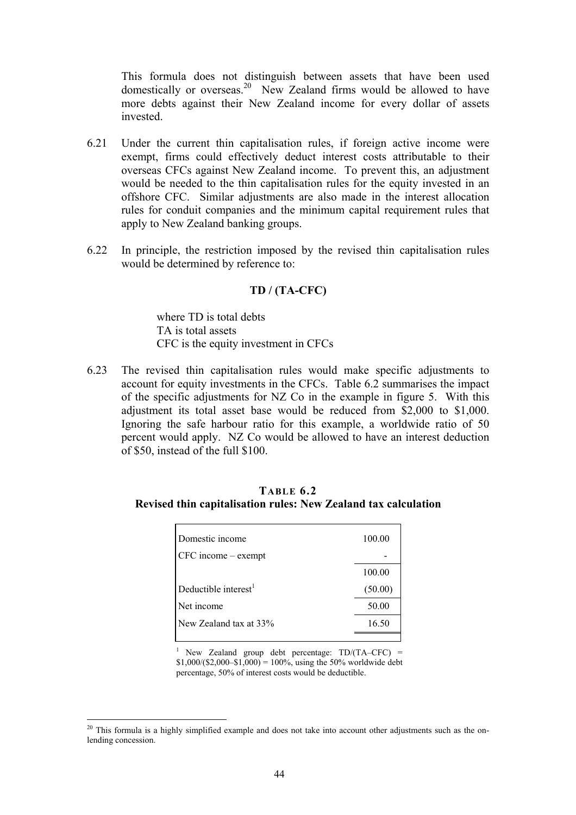This formula does not distinguish between assets that have been used domestically or overseas.<sup>20</sup> New Zealand firms would be allowed to have more debts against their New Zealand income for every dollar of assets invested.

- 6.21 Under the current thin capitalisation rules, if foreign active income were exempt, firms could effectively deduct interest costs attributable to their overseas CFCs against New Zealand income. To prevent this, an adjustment would be needed to the thin capitalisation rules for the equity invested in an offshore CFC. Similar adjustments are also made in the interest allocation rules for conduit companies and the minimum capital requirement rules that apply to New Zealand banking groups.
- 6.22 In principle, the restriction imposed by the revised thin capitalisation rules would be determined by reference to:

#### **TD / (TA-CFC)**

where TD is total debts TA is total assets CFC is the equity investment in CFCs

6.23 The revised thin capitalisation rules would make specific adjustments to account for equity investments in the CFCs. Table 6.2 summarises the impact of the specific adjustments for NZ Co in the example in figure 5. With this adjustment its total asset base would be reduced from \$2,000 to \$1,000. Ignoring the safe harbour ratio for this example, a worldwide ratio of 50 percent would apply. NZ Co would be allowed to have an interest deduction of \$50, instead of the full \$100.

| Domestic income         | 100.00  |
|-------------------------|---------|
| $CFC$ income $-$ exempt |         |
|                         | 100.00  |
| Deductible interest $1$ | (50.00) |
| Net income              | 50.00   |
| New Zealand tax at 33%  | 16.50   |
|                         |         |

**TABLE 6.2 Revised thin capitalisation rules: New Zealand tax calculation**

<sup>1</sup> New Zealand group debt percentage:  $TD/(TA-CFC)$  =  $$1,000/($2,000–$1,000) = 100\%$ , using the 50% worldwide debt percentage, 50% of interest costs would be deductible.

 $\overline{a}$ 

<sup>&</sup>lt;sup>20</sup> This formula is a highly simplified example and does not take into account other adjustments such as the onlending concession.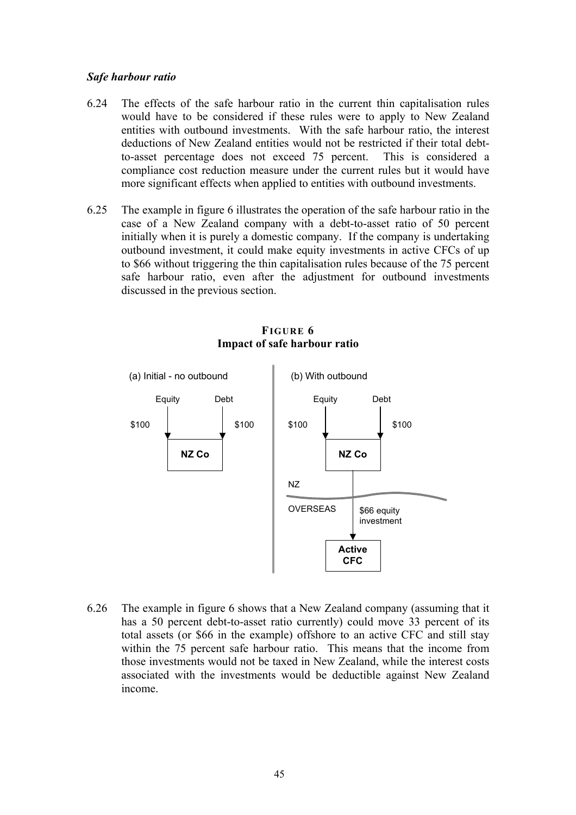#### *Safe harbour ratio*

- 6.24 The effects of the safe harbour ratio in the current thin capitalisation rules would have to be considered if these rules were to apply to New Zealand entities with outbound investments. With the safe harbour ratio, the interest deductions of New Zealand entities would not be restricted if their total debtto-asset percentage does not exceed 75 percent. This is considered a compliance cost reduction measure under the current rules but it would have more significant effects when applied to entities with outbound investments.
- 6.25 The example in figure 6 illustrates the operation of the safe harbour ratio in the case of a New Zealand company with a debt-to-asset ratio of 50 percent initially when it is purely a domestic company. If the company is undertaking outbound investment, it could make equity investments in active CFCs of up to \$66 without triggering the thin capitalisation rules because of the 75 percent safe harbour ratio, even after the adjustment for outbound investments discussed in the previous section.



# **FIGURE 6 Impact of safe harbour ratio**

6.26 The example in figure 6 shows that a New Zealand company (assuming that it has a 50 percent debt-to-asset ratio currently) could move 33 percent of its total assets (or \$66 in the example) offshore to an active CFC and still stay within the 75 percent safe harbour ratio. This means that the income from those investments would not be taxed in New Zealand, while the interest costs associated with the investments would be deductible against New Zealand income.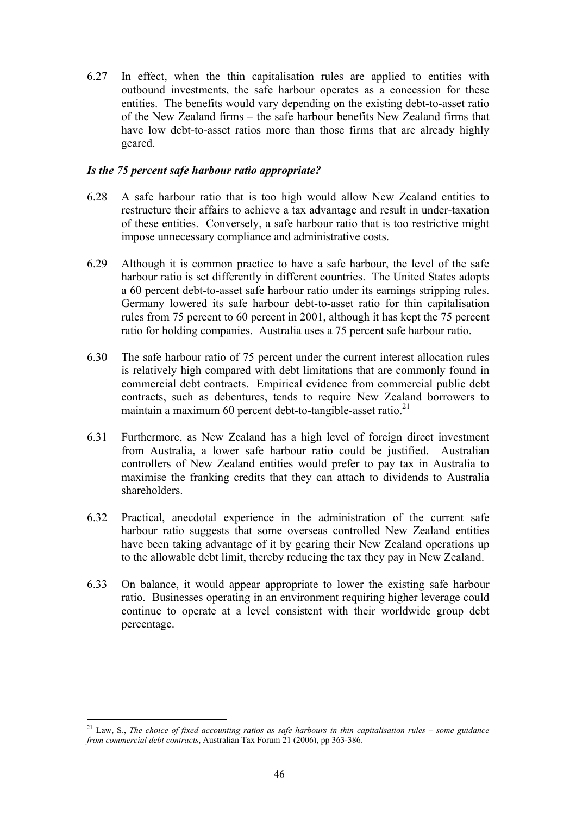6.27 In effect, when the thin capitalisation rules are applied to entities with outbound investments, the safe harbour operates as a concession for these entities. The benefits would vary depending on the existing debt-to-asset ratio of the New Zealand firms – the safe harbour benefits New Zealand firms that have low debt-to-asset ratios more than those firms that are already highly geared.

## *Is the 75 percent safe harbour ratio appropriate?*

- 6.28 A safe harbour ratio that is too high would allow New Zealand entities to restructure their affairs to achieve a tax advantage and result in under-taxation of these entities. Conversely, a safe harbour ratio that is too restrictive might impose unnecessary compliance and administrative costs.
- 6.29 Although it is common practice to have a safe harbour, the level of the safe harbour ratio is set differently in different countries. The United States adopts a 60 percent debt-to-asset safe harbour ratio under its earnings stripping rules. Germany lowered its safe harbour debt-to-asset ratio for thin capitalisation rules from 75 percent to 60 percent in 2001, although it has kept the 75 percent ratio for holding companies. Australia uses a 75 percent safe harbour ratio.
- 6.30 The safe harbour ratio of 75 percent under the current interest allocation rules is relatively high compared with debt limitations that are commonly found in commercial debt contracts. Empirical evidence from commercial public debt contracts, such as debentures, tends to require New Zealand borrowers to maintain a maximum 60 percent debt-to-tangible-asset ratio. $^{21}$
- 6.31 Furthermore, as New Zealand has a high level of foreign direct investment from Australia, a lower safe harbour ratio could be justified. Australian controllers of New Zealand entities would prefer to pay tax in Australia to maximise the franking credits that they can attach to dividends to Australia shareholders.
- 6.32 Practical, anecdotal experience in the administration of the current safe harbour ratio suggests that some overseas controlled New Zealand entities have been taking advantage of it by gearing their New Zealand operations up to the allowable debt limit, thereby reducing the tax they pay in New Zealand.
- 6.33 On balance, it would appear appropriate to lower the existing safe harbour ratio. Businesses operating in an environment requiring higher leverage could continue to operate at a level consistent with their worldwide group debt percentage.

 $\overline{a}$ 

<sup>21</sup> Law, S., *The choice of fixed accounting ratios as safe harbours in thin capitalisation rules – some guidance from commercial debt contracts*, Australian Tax Forum 21 (2006), pp 363-386.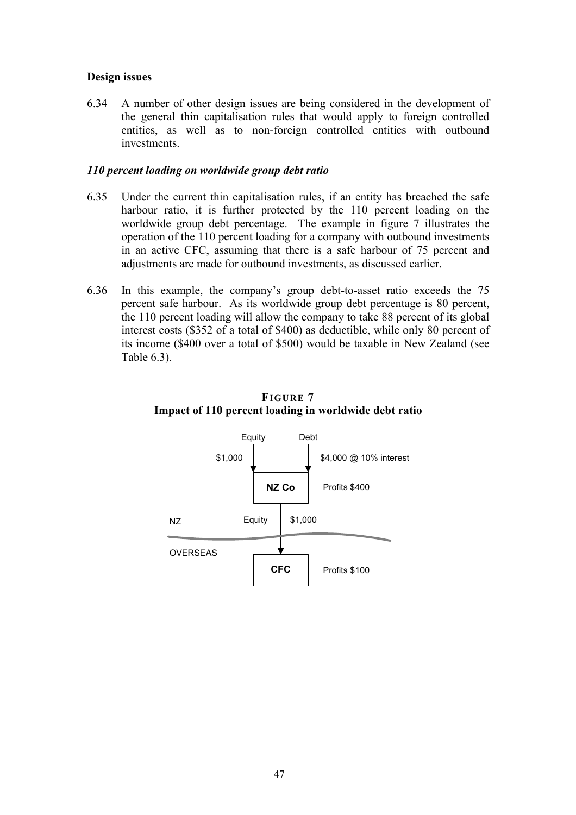## **Design issues**

6.34 A number of other design issues are being considered in the development of the general thin capitalisation rules that would apply to foreign controlled entities, as well as to non-foreign controlled entities with outbound investments.

#### *110 percent loading on worldwide group debt ratio*

- 6.35 Under the current thin capitalisation rules, if an entity has breached the safe harbour ratio, it is further protected by the 110 percent loading on the worldwide group debt percentage. The example in figure 7 illustrates the operation of the 110 percent loading for a company with outbound investments in an active CFC, assuming that there is a safe harbour of 75 percent and adjustments are made for outbound investments, as discussed earlier.
- 6.36 In this example, the company's group debt-to-asset ratio exceeds the 75 percent safe harbour. As its worldwide group debt percentage is 80 percent, the 110 percent loading will allow the company to take 88 percent of its global interest costs (\$352 of a total of \$400) as deductible, while only 80 percent of its income (\$400 over a total of \$500) would be taxable in New Zealand (see Table 6.3).



# **FIGURE 7 Impact of 110 percent loading in worldwide debt ratio**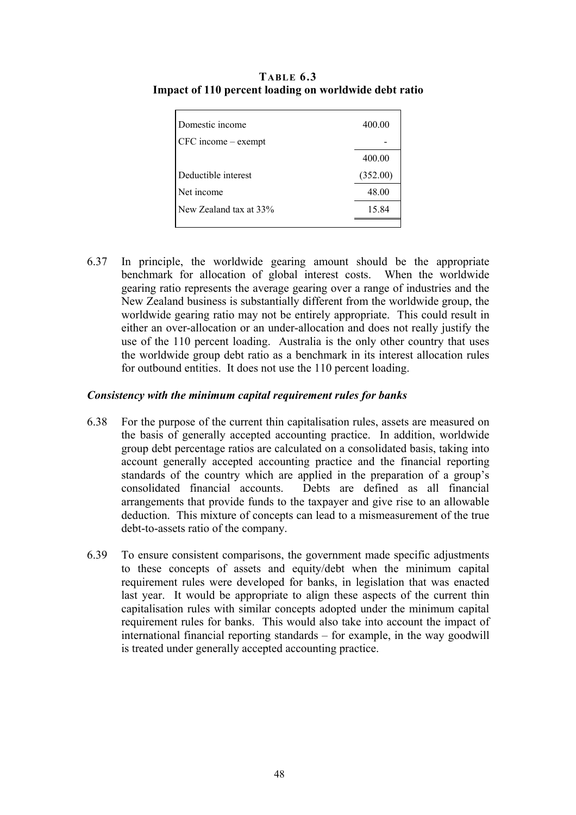| Domestic income               | 400.00   |
|-------------------------------|----------|
| $CFC$ income $-\text{exempt}$ |          |
|                               | 400.00   |
| Deductible interest           | (352.00) |
| Net income                    | 48.00    |
| New Zealand tax at 33%        | 15.84    |
|                               |          |

**TABLE 6.3 Impact of 110 percent loading on worldwide debt ratio**

6.37 In principle, the worldwide gearing amount should be the appropriate benchmark for allocation of global interest costs. When the worldwide gearing ratio represents the average gearing over a range of industries and the New Zealand business is substantially different from the worldwide group, the worldwide gearing ratio may not be entirely appropriate. This could result in either an over-allocation or an under-allocation and does not really justify the use of the 110 percent loading. Australia is the only other country that uses the worldwide group debt ratio as a benchmark in its interest allocation rules for outbound entities. It does not use the 110 percent loading.

#### *Consistency with the minimum capital requirement rules for banks*

- 6.38 For the purpose of the current thin capitalisation rules, assets are measured on the basis of generally accepted accounting practice. In addition, worldwide group debt percentage ratios are calculated on a consolidated basis, taking into account generally accepted accounting practice and the financial reporting standards of the country which are applied in the preparation of a group's consolidated financial accounts. Debts are defined as all financial arrangements that provide funds to the taxpayer and give rise to an allowable deduction. This mixture of concepts can lead to a mismeasurement of the true debt-to-assets ratio of the company.
- 6.39 To ensure consistent comparisons, the government made specific adjustments to these concepts of assets and equity/debt when the minimum capital requirement rules were developed for banks, in legislation that was enacted last year. It would be appropriate to align these aspects of the current thin capitalisation rules with similar concepts adopted under the minimum capital requirement rules for banks. This would also take into account the impact of international financial reporting standards – for example, in the way goodwill is treated under generally accepted accounting practice.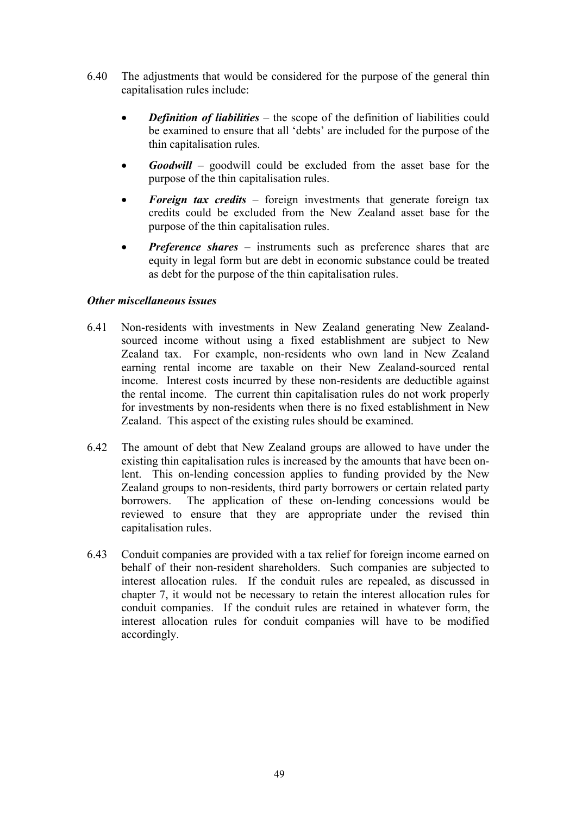- 6.40 The adjustments that would be considered for the purpose of the general thin capitalisation rules include:
	- *Definition of liabilities* the scope of the definition of liabilities could be examined to ensure that all 'debts' are included for the purpose of the thin capitalisation rules.
	- *Goodwill* goodwill could be excluded from the asset base for the purpose of the thin capitalisation rules.
	- *Foreign tax credits* foreign investments that generate foreign tax credits could be excluded from the New Zealand asset base for the purpose of the thin capitalisation rules.
	- *Preference shares* instruments such as preference shares that are equity in legal form but are debt in economic substance could be treated as debt for the purpose of the thin capitalisation rules.

## *Other miscellaneous issues*

- 6.41 Non-residents with investments in New Zealand generating New Zealandsourced income without using a fixed establishment are subject to New Zealand tax. For example, non-residents who own land in New Zealand earning rental income are taxable on their New Zealand-sourced rental income. Interest costs incurred by these non-residents are deductible against the rental income. The current thin capitalisation rules do not work properly for investments by non-residents when there is no fixed establishment in New Zealand. This aspect of the existing rules should be examined.
- 6.42 The amount of debt that New Zealand groups are allowed to have under the existing thin capitalisation rules is increased by the amounts that have been onlent. This on-lending concession applies to funding provided by the New Zealand groups to non-residents, third party borrowers or certain related party borrowers. The application of these on-lending concessions would be reviewed to ensure that they are appropriate under the revised thin capitalisation rules.
- 6.43 Conduit companies are provided with a tax relief for foreign income earned on behalf of their non-resident shareholders. Such companies are subjected to interest allocation rules. If the conduit rules are repealed, as discussed in chapter 7, it would not be necessary to retain the interest allocation rules for conduit companies. If the conduit rules are retained in whatever form, the interest allocation rules for conduit companies will have to be modified accordingly.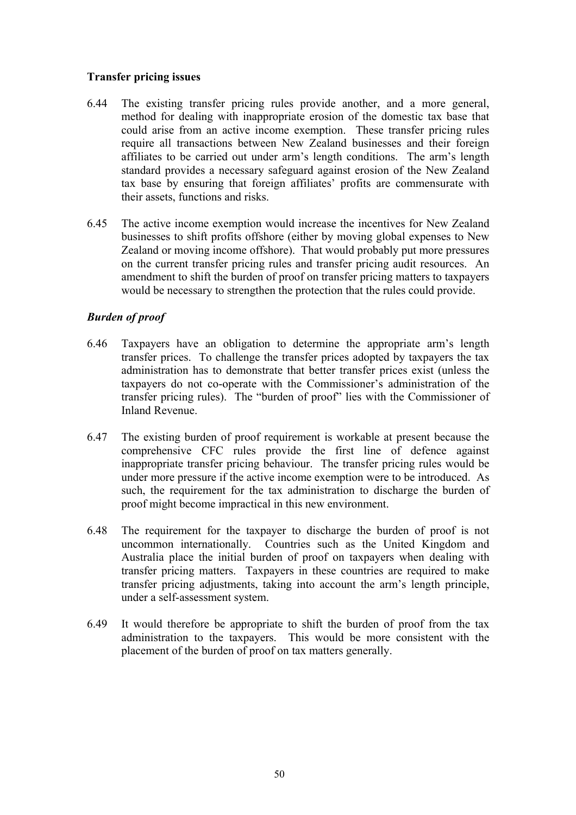## **Transfer pricing issues**

- 6.44 The existing transfer pricing rules provide another, and a more general, method for dealing with inappropriate erosion of the domestic tax base that could arise from an active income exemption. These transfer pricing rules require all transactions between New Zealand businesses and their foreign affiliates to be carried out under arm's length conditions. The arm's length standard provides a necessary safeguard against erosion of the New Zealand tax base by ensuring that foreign affiliates' profits are commensurate with their assets, functions and risks.
- 6.45 The active income exemption would increase the incentives for New Zealand businesses to shift profits offshore (either by moving global expenses to New Zealand or moving income offshore). That would probably put more pressures on the current transfer pricing rules and transfer pricing audit resources. An amendment to shift the burden of proof on transfer pricing matters to taxpayers would be necessary to strengthen the protection that the rules could provide.

# *Burden of proof*

- 6.46 Taxpayers have an obligation to determine the appropriate arm's length transfer prices. To challenge the transfer prices adopted by taxpayers the tax administration has to demonstrate that better transfer prices exist (unless the taxpayers do not co-operate with the Commissioner's administration of the transfer pricing rules). The "burden of proof" lies with the Commissioner of Inland Revenue.
- 6.47 The existing burden of proof requirement is workable at present because the comprehensive CFC rules provide the first line of defence against inappropriate transfer pricing behaviour. The transfer pricing rules would be under more pressure if the active income exemption were to be introduced. As such, the requirement for the tax administration to discharge the burden of proof might become impractical in this new environment.
- 6.48 The requirement for the taxpayer to discharge the burden of proof is not uncommon internationally. Countries such as the United Kingdom and Australia place the initial burden of proof on taxpayers when dealing with transfer pricing matters. Taxpayers in these countries are required to make transfer pricing adjustments, taking into account the arm's length principle, under a self-assessment system.
- 6.49 It would therefore be appropriate to shift the burden of proof from the tax administration to the taxpayers. This would be more consistent with the placement of the burden of proof on tax matters generally.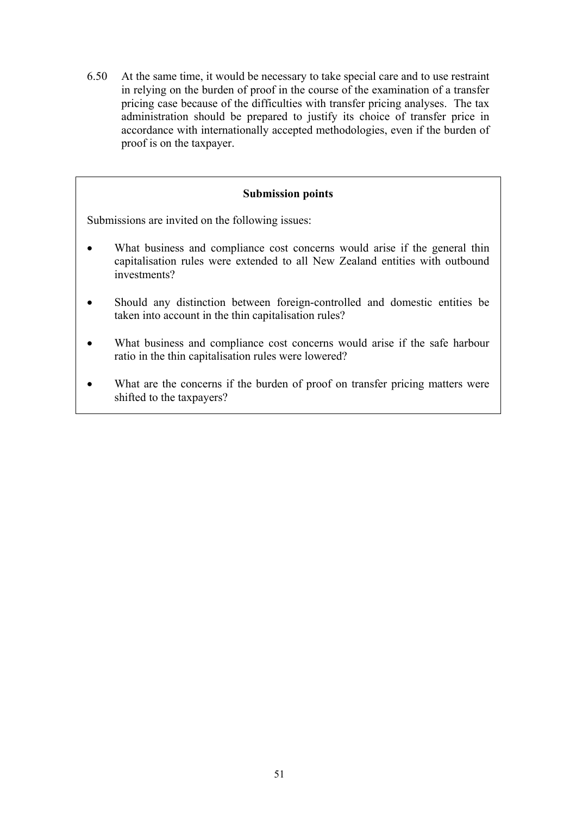6.50 At the same time, it would be necessary to take special care and to use restraint in relying on the burden of proof in the course of the examination of a transfer pricing case because of the difficulties with transfer pricing analyses. The tax administration should be prepared to justify its choice of transfer price in accordance with internationally accepted methodologies, even if the burden of proof is on the taxpayer.

#### **Submission points**

Submissions are invited on the following issues:

- What business and compliance cost concerns would arise if the general thin capitalisation rules were extended to all New Zealand entities with outbound investments?
- Should any distinction between foreign-controlled and domestic entities be taken into account in the thin capitalisation rules?
- What business and compliance cost concerns would arise if the safe harbour ratio in the thin capitalisation rules were lowered?
- What are the concerns if the burden of proof on transfer pricing matters were shifted to the taxpayers?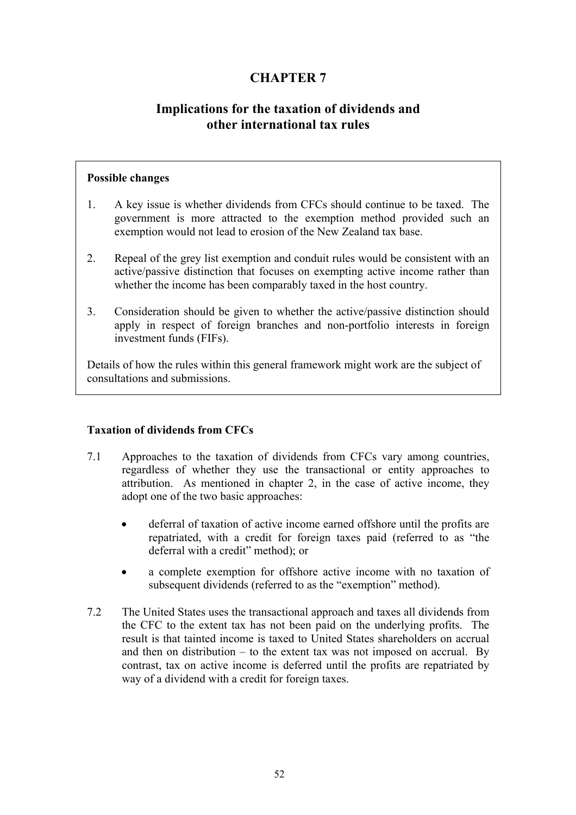# **CHAPTER 7**

# **Implications for the taxation of dividends and other international tax rules**

### **Possible changes**

- 1. A key issue is whether dividends from CFCs should continue to be taxed. The government is more attracted to the exemption method provided such an exemption would not lead to erosion of the New Zealand tax base.
- 2. Repeal of the grey list exemption and conduit rules would be consistent with an active/passive distinction that focuses on exempting active income rather than whether the income has been comparably taxed in the host country.
- 3. Consideration should be given to whether the active/passive distinction should apply in respect of foreign branches and non-portfolio interests in foreign investment funds (FIFs).

Details of how the rules within this general framework might work are the subject of consultations and submissions.

# **Taxation of dividends from CFCs**

- 7.1 Approaches to the taxation of dividends from CFCs vary among countries, regardless of whether they use the transactional or entity approaches to attribution. As mentioned in chapter 2, in the case of active income, they adopt one of the two basic approaches:
	- deferral of taxation of active income earned offshore until the profits are repatriated, with a credit for foreign taxes paid (referred to as "the deferral with a credit" method); or
	- a complete exemption for offshore active income with no taxation of subsequent dividends (referred to as the "exemption" method).
- 7.2 The United States uses the transactional approach and taxes all dividends from the CFC to the extent tax has not been paid on the underlying profits. The result is that tainted income is taxed to United States shareholders on accrual and then on distribution  $-$  to the extent tax was not imposed on accrual. By contrast, tax on active income is deferred until the profits are repatriated by way of a dividend with a credit for foreign taxes.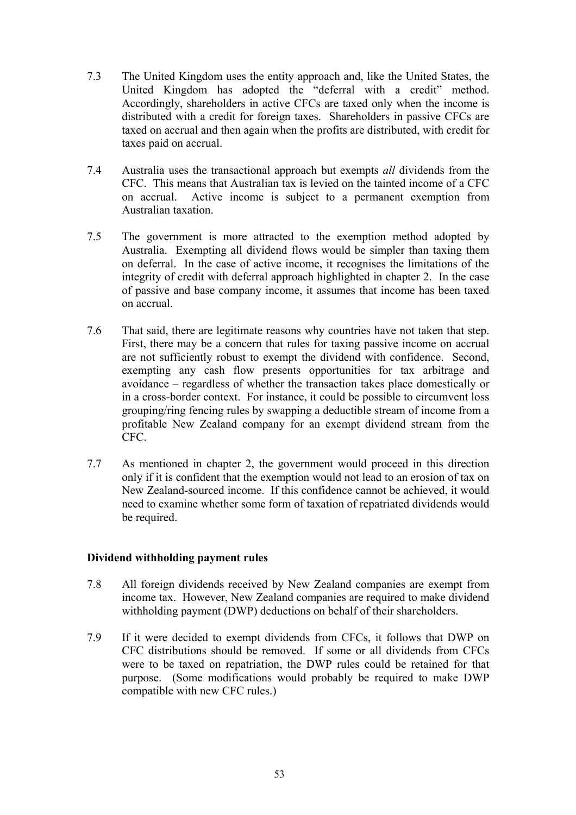- 7.3 The United Kingdom uses the entity approach and, like the United States, the United Kingdom has adopted the "deferral with a credit" method. Accordingly, shareholders in active CFCs are taxed only when the income is distributed with a credit for foreign taxes. Shareholders in passive CFCs are taxed on accrual and then again when the profits are distributed, with credit for taxes paid on accrual.
- 7.4 Australia uses the transactional approach but exempts *all* dividends from the CFC. This means that Australian tax is levied on the tainted income of a CFC on accrual. Active income is subject to a permanent exemption from Australian taxation.
- 7.5 The government is more attracted to the exemption method adopted by Australia. Exempting all dividend flows would be simpler than taxing them on deferral. In the case of active income, it recognises the limitations of the integrity of credit with deferral approach highlighted in chapter 2. In the case of passive and base company income, it assumes that income has been taxed on accrual.
- 7.6 That said, there are legitimate reasons why countries have not taken that step. First, there may be a concern that rules for taxing passive income on accrual are not sufficiently robust to exempt the dividend with confidence. Second, exempting any cash flow presents opportunities for tax arbitrage and avoidance – regardless of whether the transaction takes place domestically or in a cross-border context. For instance, it could be possible to circumvent loss grouping/ring fencing rules by swapping a deductible stream of income from a profitable New Zealand company for an exempt dividend stream from the CFC.
- 7.7 As mentioned in chapter 2, the government would proceed in this direction only if it is confident that the exemption would not lead to an erosion of tax on New Zealand-sourced income. If this confidence cannot be achieved, it would need to examine whether some form of taxation of repatriated dividends would be required.

# **Dividend withholding payment rules**

- 7.8 All foreign dividends received by New Zealand companies are exempt from income tax. However, New Zealand companies are required to make dividend withholding payment (DWP) deductions on behalf of their shareholders.
- 7.9 If it were decided to exempt dividends from CFCs, it follows that DWP on CFC distributions should be removed. If some or all dividends from CFCs were to be taxed on repatriation, the DWP rules could be retained for that purpose. (Some modifications would probably be required to make DWP compatible with new CFC rules.)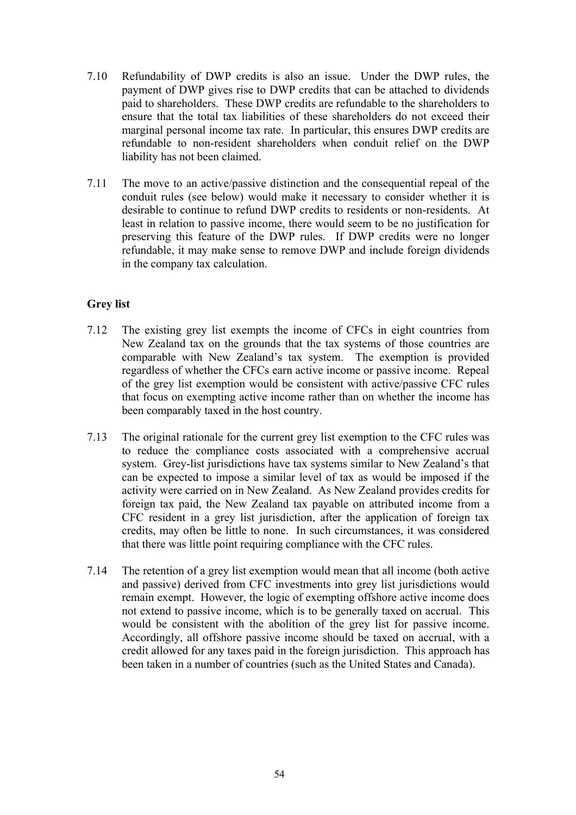- 7.10 Refundability of DWP credits is also an issue. Under the DWP rules, the payment of DWP gives rise to DWP credits that can be attached to dividends paid to shareholders. These DWP credits are refundable to the shareholders to ensure that the total tax liabilities of these shareholders do not exceed their marginal personal income tax rate. In particular, this ensures DWP credits are refundable to non-resident shareholders when conduit relief on the DWP liability has not been claimed.
- 7.11 The move to an active/passive distinction and the consequential repeal of the conduit rules (see below) would make it necessary to consider whether it is desirable to continue to refund DWP credits to residents or non-residents. At least in relation to passive income, there would seem to be no justification for preserving this feature of the DWP rules. If DWP credits were no longer refundable, it may make sense to remove DWP and include foreign dividends in the company tax calculation.

# **Grey list**

- 7.12 The existing grey list exempts the income of CFCs in eight countries from New Zealand tax on the grounds that the tax systems of those countries are comparable with New Zealand's tax system. The exemption is provided regardless of whether the CFCs earn active income or passive income. Repeal of the grey list exemption would be consistent with active/passive CFC rules that focus on exempting active income rather than on whether the income has been comparably taxed in the host country.
- 7.13 The original rationale for the current grey list exemption to the CFC rules was to reduce the compliance costs associated with a comprehensive accrual system. Grey-list jurisdictions have tax systems similar to New Zealand's that can be expected to impose a similar level of tax as would be imposed if the activity were carried on in New Zealand. As New Zealand provides credits for foreign tax paid, the New Zealand tax payable on attributed income from a CFC resident in a grey list jurisdiction, after the application of foreign tax credits, may often be little to none. In such circumstances, it was considered that there was little point requiring compliance with the CFC rules.
- 7.14 The retention of a grey list exemption would mean that all income (both active and passive) derived from CFC investments into grey list jurisdictions would remain exempt. However, the logic of exempting offshore active income does not extend to passive income, which is to be generally taxed on accrual. This would be consistent with the abolition of the grey list for passive income. Accordingly, all offshore passive income should be taxed on accrual, with a credit allowed for any taxes paid in the foreign jurisdiction. This approach has been taken in a number of countries (such as the United States and Canada).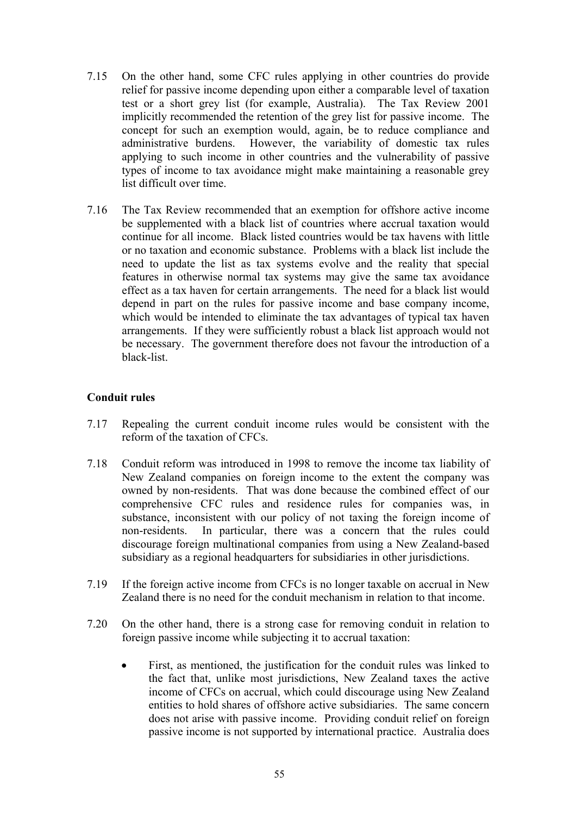- 7.15 On the other hand, some CFC rules applying in other countries do provide relief for passive income depending upon either a comparable level of taxation test or a short grey list (for example, Australia). The Tax Review 2001 implicitly recommended the retention of the grey list for passive income. The concept for such an exemption would, again, be to reduce compliance and administrative burdens. However, the variability of domestic tax rules applying to such income in other countries and the vulnerability of passive types of income to tax avoidance might make maintaining a reasonable grey list difficult over time.
- 7.16 The Tax Review recommended that an exemption for offshore active income be supplemented with a black list of countries where accrual taxation would continue for all income. Black listed countries would be tax havens with little or no taxation and economic substance. Problems with a black list include the need to update the list as tax systems evolve and the reality that special features in otherwise normal tax systems may give the same tax avoidance effect as a tax haven for certain arrangements. The need for a black list would depend in part on the rules for passive income and base company income, which would be intended to eliminate the tax advantages of typical tax haven arrangements. If they were sufficiently robust a black list approach would not be necessary. The government therefore does not favour the introduction of a black-list.

## **Conduit rules**

- 7.17 Repealing the current conduit income rules would be consistent with the reform of the taxation of CFCs.
- 7.18 Conduit reform was introduced in 1998 to remove the income tax liability of New Zealand companies on foreign income to the extent the company was owned by non-residents. That was done because the combined effect of our comprehensive CFC rules and residence rules for companies was, in substance, inconsistent with our policy of not taxing the foreign income of non-residents. In particular, there was a concern that the rules could discourage foreign multinational companies from using a New Zealand-based subsidiary as a regional headquarters for subsidiaries in other jurisdictions.
- 7.19 If the foreign active income from CFCs is no longer taxable on accrual in New Zealand there is no need for the conduit mechanism in relation to that income.
- 7.20 On the other hand, there is a strong case for removing conduit in relation to foreign passive income while subjecting it to accrual taxation:
	- First, as mentioned, the justification for the conduit rules was linked to the fact that, unlike most jurisdictions, New Zealand taxes the active income of CFCs on accrual, which could discourage using New Zealand entities to hold shares of offshore active subsidiaries. The same concern does not arise with passive income. Providing conduit relief on foreign passive income is not supported by international practice. Australia does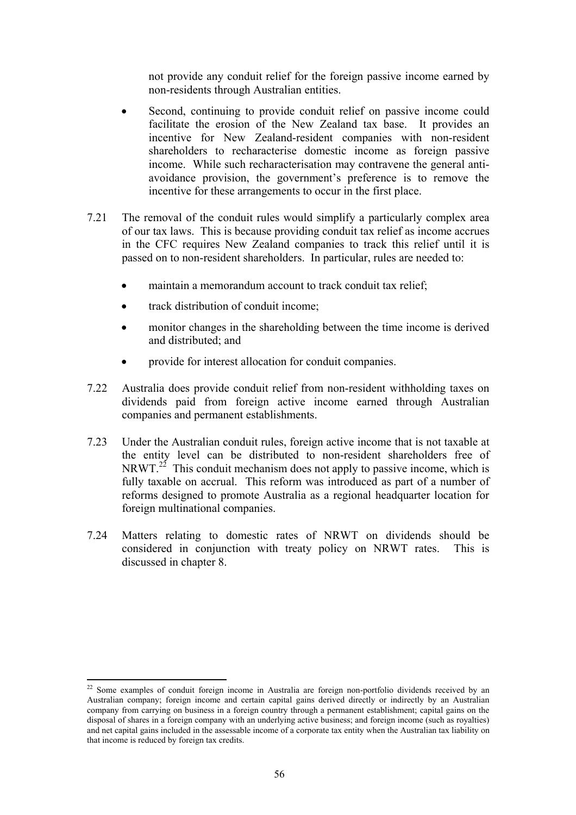not provide any conduit relief for the foreign passive income earned by non-residents through Australian entities.

- Second, continuing to provide conduit relief on passive income could facilitate the erosion of the New Zealand tax base. It provides an incentive for New Zealand-resident companies with non-resident shareholders to recharacterise domestic income as foreign passive income. While such recharacterisation may contravene the general antiavoidance provision, the government's preference is to remove the incentive for these arrangements to occur in the first place.
- 7.21 The removal of the conduit rules would simplify a particularly complex area of our tax laws. This is because providing conduit tax relief as income accrues in the CFC requires New Zealand companies to track this relief until it is passed on to non-resident shareholders. In particular, rules are needed to:
	- maintain a memorandum account to track conduit tax relief;
	- track distribution of conduit income:

 $\overline{a}$ 

- monitor changes in the shareholding between the time income is derived and distributed; and
- provide for interest allocation for conduit companies.
- 7.22 Australia does provide conduit relief from non-resident withholding taxes on dividends paid from foreign active income earned through Australian companies and permanent establishments.
- 7.23 Under the Australian conduit rules, foreign active income that is not taxable at the entity level can be distributed to non-resident shareholders free of NRWT. $^{22}$  This conduit mechanism does not apply to passive income, which is fully taxable on accrual. This reform was introduced as part of a number of reforms designed to promote Australia as a regional headquarter location for foreign multinational companies.
- 7.24 Matters relating to domestic rates of NRWT on dividends should be considered in conjunction with treaty policy on NRWT rates. This is discussed in chapter 8.

 $22$  Some examples of conduit foreign income in Australia are foreign non-portfolio dividends received by an Australian company; foreign income and certain capital gains derived directly or indirectly by an Australian company from carrying on business in a foreign country through a permanent establishment; capital gains on the disposal of shares in a foreign company with an underlying active business; and foreign income (such as royalties) and net capital gains included in the assessable income of a corporate tax entity when the Australian tax liability on that income is reduced by foreign tax credits.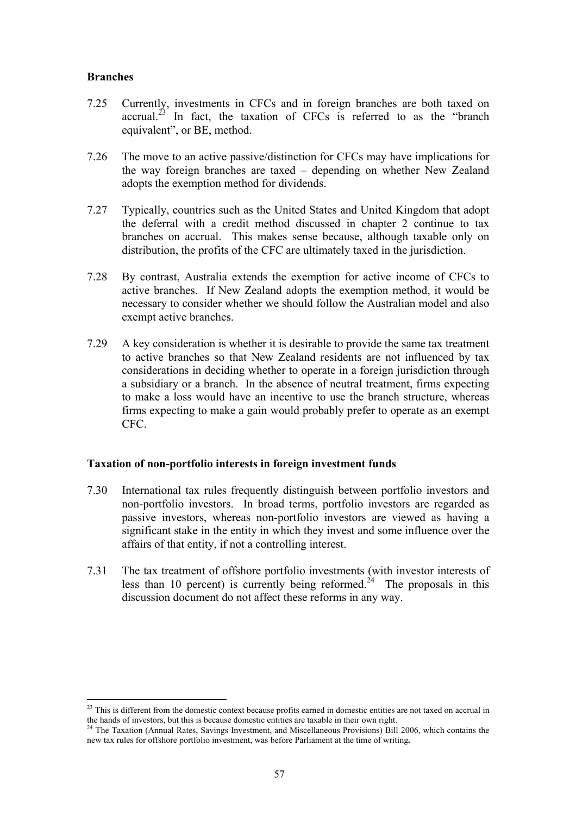### **Branches**

 $\overline{a}$ 

- 7.25 Currently, investments in CFCs and in foreign branches are both taxed on accrual.<sup> $23$ </sup> In fact, the taxation of CFCs is referred to as the "branch" equivalent", or BE, method.
- 7.26 The move to an active passive/distinction for CFCs may have implications for the way foreign branches are taxed – depending on whether New Zealand adopts the exemption method for dividends.
- 7.27 Typically, countries such as the United States and United Kingdom that adopt the deferral with a credit method discussed in chapter 2 continue to tax branches on accrual. This makes sense because, although taxable only on distribution, the profits of the CFC are ultimately taxed in the jurisdiction.
- 7.28 By contrast, Australia extends the exemption for active income of CFCs to active branches. If New Zealand adopts the exemption method, it would be necessary to consider whether we should follow the Australian model and also exempt active branches.
- 7.29 A key consideration is whether it is desirable to provide the same tax treatment to active branches so that New Zealand residents are not influenced by tax considerations in deciding whether to operate in a foreign jurisdiction through a subsidiary or a branch. In the absence of neutral treatment, firms expecting to make a loss would have an incentive to use the branch structure, whereas firms expecting to make a gain would probably prefer to operate as an exempt CFC.

#### **Taxation of non-portfolio interests in foreign investment funds**

- 7.30 International tax rules frequently distinguish between portfolio investors and non-portfolio investors. In broad terms, portfolio investors are regarded as passive investors, whereas non-portfolio investors are viewed as having a significant stake in the entity in which they invest and some influence over the affairs of that entity, if not a controlling interest.
- 7.31 The tax treatment of offshore portfolio investments (with investor interests of less than 10 percent) is currently being reformed.<sup>24</sup> The proposals in this discussion document do not affect these reforms in any way.

 $2<sup>23</sup>$  This is different from the domestic context because profits earned in domestic entities are not taxed on accrual in the hands of investors, but this is because domestic entities are taxable in their own right. 24 The Taxation (Annual Rates, Savings Investment, and Miscellaneous Provisions) Bill 2006, which contains the

new tax rules for offshore portfolio investment, was before Parliament at the time of writing**.**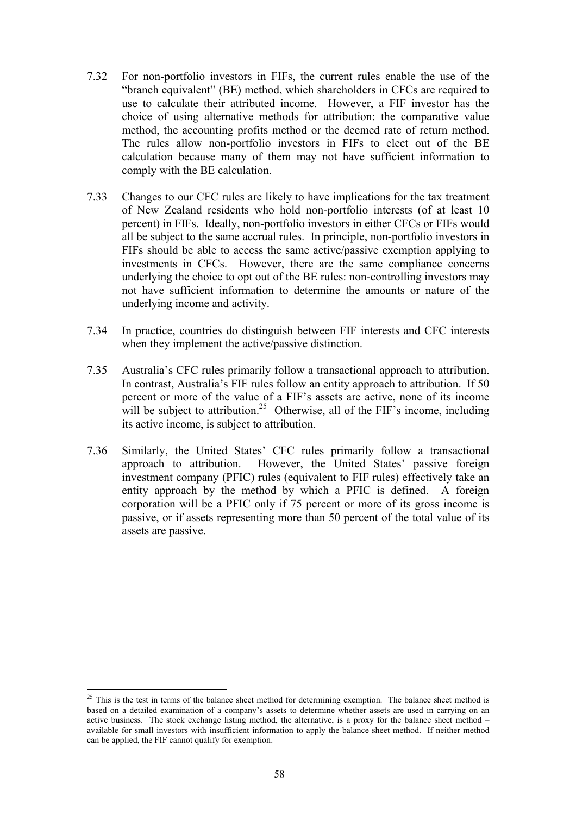- 7.32 For non-portfolio investors in FIFs, the current rules enable the use of the "branch equivalent" (BE) method, which shareholders in CFCs are required to use to calculate their attributed income. However, a FIF investor has the choice of using alternative methods for attribution: the comparative value method, the accounting profits method or the deemed rate of return method. The rules allow non-portfolio investors in FIFs to elect out of the BE calculation because many of them may not have sufficient information to comply with the BE calculation.
- 7.33 Changes to our CFC rules are likely to have implications for the tax treatment of New Zealand residents who hold non-portfolio interests (of at least 10 percent) in FIFs. Ideally, non-portfolio investors in either CFCs or FIFs would all be subject to the same accrual rules. In principle, non-portfolio investors in FIFs should be able to access the same active/passive exemption applying to investments in CFCs. However, there are the same compliance concerns underlying the choice to opt out of the BE rules: non-controlling investors may not have sufficient information to determine the amounts or nature of the underlying income and activity.
- 7.34 In practice, countries do distinguish between FIF interests and CFC interests when they implement the active/passive distinction.
- 7.35 Australia's CFC rules primarily follow a transactional approach to attribution. In contrast, Australia's FIF rules follow an entity approach to attribution. If 50 percent or more of the value of a FIF's assets are active, none of its income will be subject to attribution.<sup>25</sup> Otherwise, all of the FIF's income, including its active income, is subject to attribution.
- 7.36 Similarly, the United States' CFC rules primarily follow a transactional approach to attribution. However, the United States' passive foreign investment company (PFIC) rules (equivalent to FIF rules) effectively take an entity approach by the method by which a PFIC is defined. A foreign corporation will be a PFIC only if 75 percent or more of its gross income is passive, or if assets representing more than 50 percent of the total value of its assets are passive.

 $\overline{a}$ 

<sup>&</sup>lt;sup>25</sup> This is the test in terms of the balance sheet method for determining exemption. The balance sheet method is based on a detailed examination of a company's assets to determine whether assets are used in carrying on an active business. The stock exchange listing method, the alternative, is a proxy for the balance sheet method – available for small investors with insufficient information to apply the balance sheet method. If neither method can be applied, the FIF cannot qualify for exemption.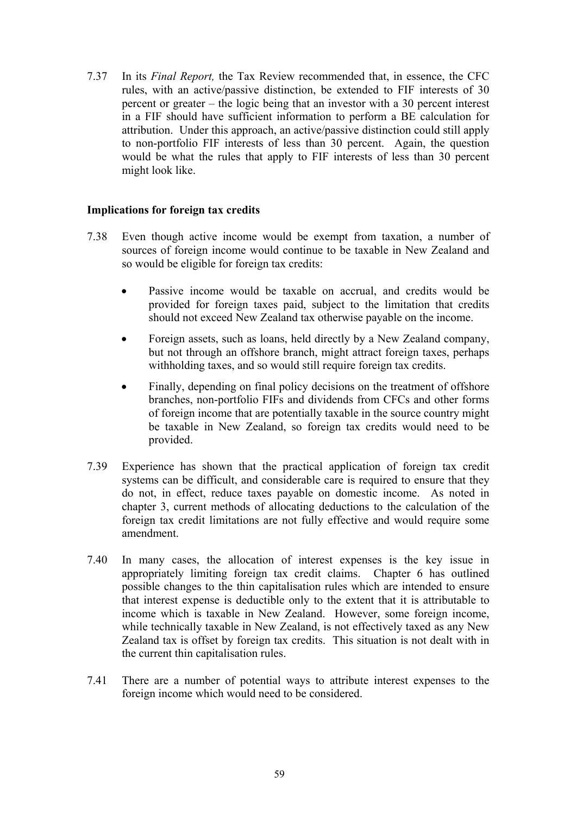7.37 In its *Final Report,* the Tax Review recommended that, in essence, the CFC rules, with an active/passive distinction, be extended to FIF interests of 30 percent or greater – the logic being that an investor with a 30 percent interest in a FIF should have sufficient information to perform a BE calculation for attribution. Under this approach, an active/passive distinction could still apply to non-portfolio FIF interests of less than 30 percent. Again, the question would be what the rules that apply to FIF interests of less than 30 percent might look like.

## **Implications for foreign tax credits**

- 7.38 Even though active income would be exempt from taxation, a number of sources of foreign income would continue to be taxable in New Zealand and so would be eligible for foreign tax credits:
	- Passive income would be taxable on accrual, and credits would be provided for foreign taxes paid, subject to the limitation that credits should not exceed New Zealand tax otherwise payable on the income.
	- Foreign assets, such as loans, held directly by a New Zealand company, but not through an offshore branch, might attract foreign taxes, perhaps withholding taxes, and so would still require foreign tax credits.
	- Finally, depending on final policy decisions on the treatment of offshore branches, non-portfolio FIFs and dividends from CFCs and other forms of foreign income that are potentially taxable in the source country might be taxable in New Zealand, so foreign tax credits would need to be provided.
- 7.39 Experience has shown that the practical application of foreign tax credit systems can be difficult, and considerable care is required to ensure that they do not, in effect, reduce taxes payable on domestic income. As noted in chapter 3, current methods of allocating deductions to the calculation of the foreign tax credit limitations are not fully effective and would require some amendment.
- 7.40 In many cases, the allocation of interest expenses is the key issue in appropriately limiting foreign tax credit claims. Chapter 6 has outlined possible changes to the thin capitalisation rules which are intended to ensure that interest expense is deductible only to the extent that it is attributable to income which is taxable in New Zealand. However, some foreign income, while technically taxable in New Zealand, is not effectively taxed as any New Zealand tax is offset by foreign tax credits. This situation is not dealt with in the current thin capitalisation rules.
- 7.41 There are a number of potential ways to attribute interest expenses to the foreign income which would need to be considered.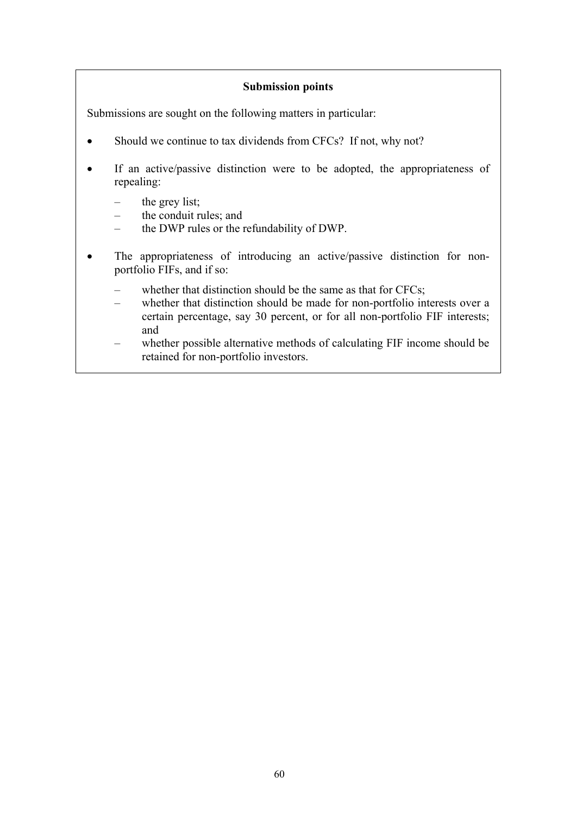## **Submission points**

Submissions are sought on the following matters in particular:

- Should we continue to tax dividends from CFCs? If not, why not?
- If an active/passive distinction were to be adopted, the appropriateness of repealing:
	- the grey list;
	- the conduit rules; and
	- the DWP rules or the refundability of DWP.
- The appropriateness of introducing an active/passive distinction for nonportfolio FIFs, and if so:
	- whether that distinction should be the same as that for CFCs;
	- whether that distinction should be made for non-portfolio interests over a certain percentage, say 30 percent, or for all non-portfolio FIF interests; and
	- whether possible alternative methods of calculating FIF income should be retained for non-portfolio investors.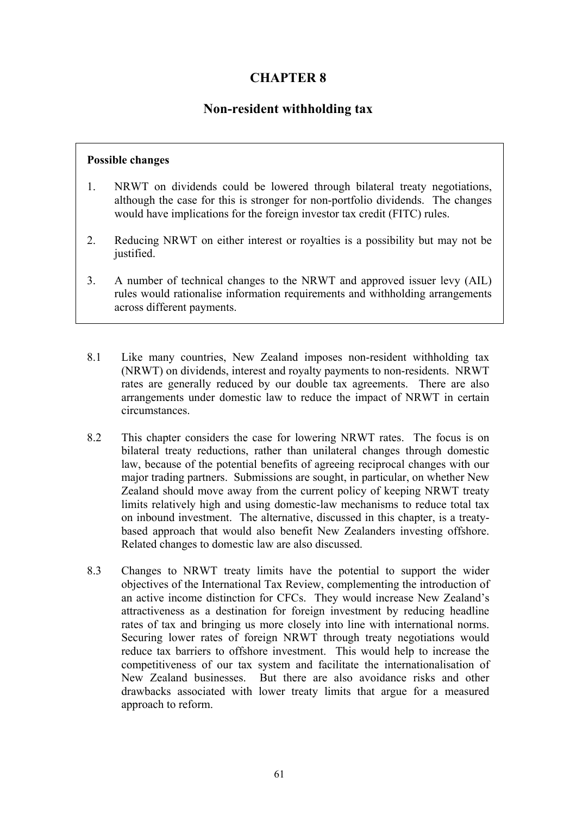# **CHAPTER 8**

# **Non-resident withholding tax**

## **Possible changes**

- 1. NRWT on dividends could be lowered through bilateral treaty negotiations, although the case for this is stronger for non-portfolio dividends. The changes would have implications for the foreign investor tax credit (FITC) rules.
- 2. Reducing NRWT on either interest or royalties is a possibility but may not be justified.
- 3. A number of technical changes to the NRWT and approved issuer levy (AIL) rules would rationalise information requirements and withholding arrangements across different payments.
- 8.1 Like many countries, New Zealand imposes non-resident withholding tax (NRWT) on dividends, interest and royalty payments to non-residents. NRWT rates are generally reduced by our double tax agreements. There are also arrangements under domestic law to reduce the impact of NRWT in certain circumstances.
- 8.2 This chapter considers the case for lowering NRWT rates. The focus is on bilateral treaty reductions, rather than unilateral changes through domestic law, because of the potential benefits of agreeing reciprocal changes with our major trading partners. Submissions are sought, in particular, on whether New Zealand should move away from the current policy of keeping NRWT treaty limits relatively high and using domestic-law mechanisms to reduce total tax on inbound investment. The alternative, discussed in this chapter, is a treatybased approach that would also benefit New Zealanders investing offshore. Related changes to domestic law are also discussed.
- 8.3 Changes to NRWT treaty limits have the potential to support the wider objectives of the International Tax Review, complementing the introduction of an active income distinction for CFCs. They would increase New Zealand's attractiveness as a destination for foreign investment by reducing headline rates of tax and bringing us more closely into line with international norms. Securing lower rates of foreign NRWT through treaty negotiations would reduce tax barriers to offshore investment. This would help to increase the competitiveness of our tax system and facilitate the internationalisation of New Zealand businesses. But there are also avoidance risks and other drawbacks associated with lower treaty limits that argue for a measured approach to reform.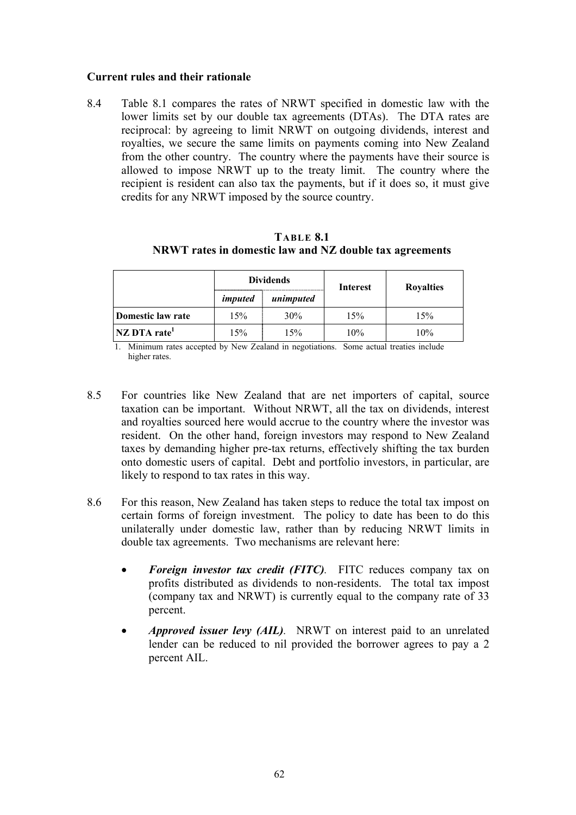### **Current rules and their rationale**

8.4 Table 8.1 compares the rates of NRWT specified in domestic law with the lower limits set by our double tax agreements (DTAs). The DTA rates are reciprocal: by agreeing to limit NRWT on outgoing dividends, interest and royalties, we secure the same limits on payments coming into New Zealand from the other country. The country where the payments have their source is allowed to impose NRWT up to the treaty limit. The country where the recipient is resident can also tax the payments, but if it does so, it must give credits for any NRWT imposed by the source country.

**TABLE 8.1 NRWT rates in domestic law and NZ double tax agreements** 

|                          | <b>Dividends</b> |           | Interest | <b>Royalties</b> |  |
|--------------------------|------------------|-----------|----------|------------------|--|
|                          | imputed          | unimputed |          |                  |  |
| Domestic law rate        | 15%              | 30%       | 15%      | 15%              |  |
| NZ DTA rate <sup>1</sup> | $5\%$            | 15%       | 10%      | 10%              |  |

1. Minimum rates accepted by New Zealand in negotiations. Some actual treaties include higher rates.

- 8.5 For countries like New Zealand that are net importers of capital, source taxation can be important. Without NRWT, all the tax on dividends, interest and royalties sourced here would accrue to the country where the investor was resident. On the other hand, foreign investors may respond to New Zealand taxes by demanding higher pre-tax returns, effectively shifting the tax burden onto domestic users of capital. Debt and portfolio investors, in particular, are likely to respond to tax rates in this way.
- 8.6 For this reason, New Zealand has taken steps to reduce the total tax impost on certain forms of foreign investment. The policy to date has been to do this unilaterally under domestic law, rather than by reducing NRWT limits in double tax agreements. Two mechanisms are relevant here:
	- *Foreign investor tax credit (FITC)*. FITC reduces company tax on profits distributed as dividends to non-residents. The total tax impost (company tax and NRWT) is currently equal to the company rate of 33 percent.
	- *Approved issuer levy (AIL).* NRWT on interest paid to an unrelated lender can be reduced to nil provided the borrower agrees to pay a 2 percent AIL.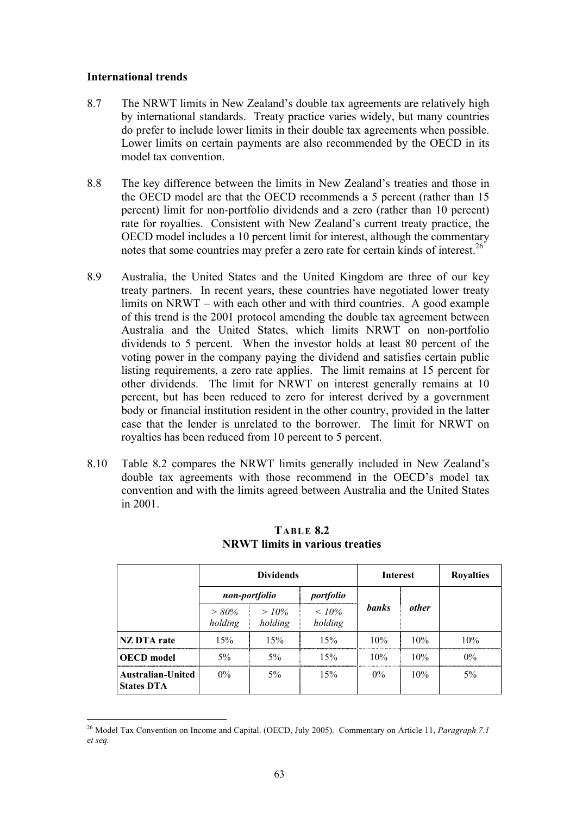#### **International trends**

 $\overline{a}$ 

- 8.7 The NRWT limits in New Zealand's double tax agreements are relatively high by international standards. Treaty practice varies widely, but many countries do prefer to include lower limits in their double tax agreements when possible. Lower limits on certain payments are also recommended by the OECD in its model tax convention.
- 8.8 The key difference between the limits in New Zealand's treaties and those in the OECD model are that the OECD recommends a 5 percent (rather than 15 percent) limit for non-portfolio dividends and a zero (rather than 10 percent) rate for royalties. Consistent with New Zealand's current treaty practice, the OECD model includes a 10 percent limit for interest, although the commentary notes that some countries may prefer a zero rate for certain kinds of interest.<sup>26</sup>
- 8.9 Australia, the United States and the United Kingdom are three of our key treaty partners. In recent years, these countries have negotiated lower treaty limits on NRWT – with each other and with third countries. A good example of this trend is the 2001 protocol amending the double tax agreement between Australia and the United States, which limits NRWT on non-portfolio dividends to 5 percent. When the investor holds at least 80 percent of the voting power in the company paying the dividend and satisfies certain public listing requirements, a zero rate applies. The limit remains at 15 percent for other dividends. The limit for NRWT on interest generally remains at 10 percent, but has been reduced to zero for interest derived by a government body or financial institution resident in the other country, provided in the latter case that the lender is unrelated to the borrower. The limit for NRWT on royalties has been reduced from 10 percent to 5 percent.
- 8.10 Table 8.2 compares the NRWT limits generally included in New Zealand's double tax agreements with those recommend in the OECD's model tax convention and with the limits agreed between Australia and the United States in 2001.

|                                               | <b>Dividends</b>   |                    | <b>Interest</b>     |              | <b>Royalties</b> |       |
|-----------------------------------------------|--------------------|--------------------|---------------------|--------------|------------------|-------|
|                                               | non-portfolio      |                    | portfolio           |              |                  |       |
|                                               | $>80\%$<br>holding | $>10\%$<br>holding | $< 10\%$<br>holding | <b>banks</b> | other            |       |
| <b>NZ DTA</b> rate                            | 15%                | 15%                | 15%                 | 10%          | 10%              | 10%   |
| <b>OECD</b> model                             | $5\%$              | 5%                 | 15%                 | 10%          | 10%              | $0\%$ |
| <b>Australian-United</b><br><b>States DTA</b> | $0\%$              | 5%                 | 15%                 | $0\%$        | 10%              | 5%    |

**TABLE 8.2 NRWT limits in various treaties** 

<sup>26</sup> Model Tax Convention on Income and Capital. (OECD, July 2005). Commentary on Article 11, *Paragraph 7.1 et seq.*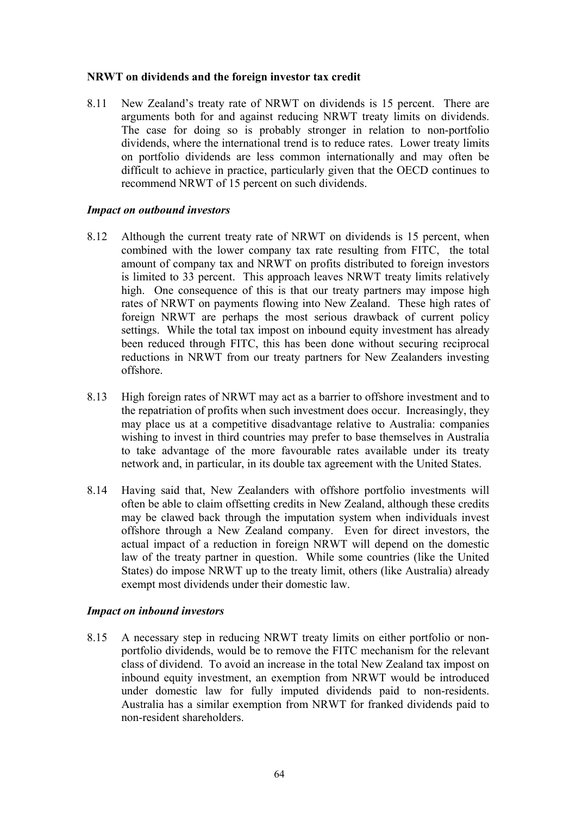### **NRWT on dividends and the foreign investor tax credit**

8.11 New Zealand's treaty rate of NRWT on dividends is 15 percent. There are arguments both for and against reducing NRWT treaty limits on dividends. The case for doing so is probably stronger in relation to non-portfolio dividends, where the international trend is to reduce rates. Lower treaty limits on portfolio dividends are less common internationally and may often be difficult to achieve in practice, particularly given that the OECD continues to recommend NRWT of 15 percent on such dividends.

#### *Impact on outbound investors*

- 8.12 Although the current treaty rate of NRWT on dividends is 15 percent, when combined with the lower company tax rate resulting from FITC, the total amount of company tax and NRWT on profits distributed to foreign investors is limited to 33 percent. This approach leaves NRWT treaty limits relatively high. One consequence of this is that our treaty partners may impose high rates of NRWT on payments flowing into New Zealand. These high rates of foreign NRWT are perhaps the most serious drawback of current policy settings. While the total tax impost on inbound equity investment has already been reduced through FITC, this has been done without securing reciprocal reductions in NRWT from our treaty partners for New Zealanders investing offshore.
- 8.13 High foreign rates of NRWT may act as a barrier to offshore investment and to the repatriation of profits when such investment does occur. Increasingly, they may place us at a competitive disadvantage relative to Australia: companies wishing to invest in third countries may prefer to base themselves in Australia to take advantage of the more favourable rates available under its treaty network and, in particular, in its double tax agreement with the United States.
- 8.14 Having said that, New Zealanders with offshore portfolio investments will often be able to claim offsetting credits in New Zealand, although these credits may be clawed back through the imputation system when individuals invest offshore through a New Zealand company. Even for direct investors, the actual impact of a reduction in foreign NRWT will depend on the domestic law of the treaty partner in question. While some countries (like the United States) do impose NRWT up to the treaty limit, others (like Australia) already exempt most dividends under their domestic law.

#### *Impact on inbound investors*

8.15 A necessary step in reducing NRWT treaty limits on either portfolio or nonportfolio dividends, would be to remove the FITC mechanism for the relevant class of dividend. To avoid an increase in the total New Zealand tax impost on inbound equity investment, an exemption from NRWT would be introduced under domestic law for fully imputed dividends paid to non-residents. Australia has a similar exemption from NRWT for franked dividends paid to non-resident shareholders.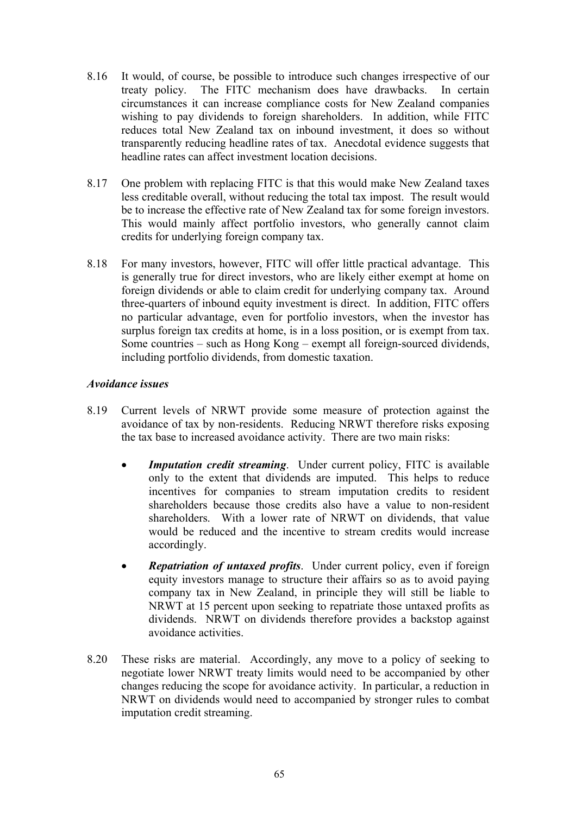- 8.16 It would, of course, be possible to introduce such changes irrespective of our treaty policy. The FITC mechanism does have drawbacks. In certain circumstances it can increase compliance costs for New Zealand companies wishing to pay dividends to foreign shareholders. In addition, while FITC reduces total New Zealand tax on inbound investment, it does so without transparently reducing headline rates of tax. Anecdotal evidence suggests that headline rates can affect investment location decisions.
- 8.17 One problem with replacing FITC is that this would make New Zealand taxes less creditable overall, without reducing the total tax impost. The result would be to increase the effective rate of New Zealand tax for some foreign investors. This would mainly affect portfolio investors, who generally cannot claim credits for underlying foreign company tax.
- 8.18 For many investors, however, FITC will offer little practical advantage. This is generally true for direct investors, who are likely either exempt at home on foreign dividends or able to claim credit for underlying company tax. Around three-quarters of inbound equity investment is direct. In addition, FITC offers no particular advantage, even for portfolio investors, when the investor has surplus foreign tax credits at home, is in a loss position, or is exempt from tax. Some countries – such as Hong Kong – exempt all foreign-sourced dividends, including portfolio dividends, from domestic taxation.

#### *Avoidance issues*

- 8.19 Current levels of NRWT provide some measure of protection against the avoidance of tax by non-residents. Reducing NRWT therefore risks exposing the tax base to increased avoidance activity. There are two main risks:
	- *Imputation credit streaming*. Under current policy, FITC is available only to the extent that dividends are imputed. This helps to reduce incentives for companies to stream imputation credits to resident shareholders because those credits also have a value to non-resident shareholders. With a lower rate of NRWT on dividends, that value would be reduced and the incentive to stream credits would increase accordingly.
	- *Repatriation of untaxed profits*. Under current policy, even if foreign equity investors manage to structure their affairs so as to avoid paying company tax in New Zealand, in principle they will still be liable to NRWT at 15 percent upon seeking to repatriate those untaxed profits as dividends. NRWT on dividends therefore provides a backstop against avoidance activities.
- 8.20 These risks are material. Accordingly, any move to a policy of seeking to negotiate lower NRWT treaty limits would need to be accompanied by other changes reducing the scope for avoidance activity. In particular, a reduction in NRWT on dividends would need to accompanied by stronger rules to combat imputation credit streaming.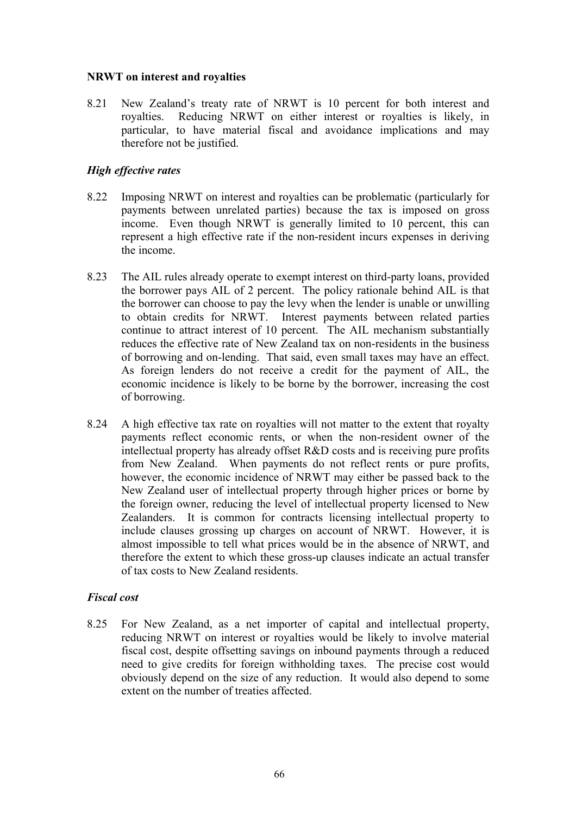#### **NRWT on interest and royalties**

8.21 New Zealand's treaty rate of NRWT is 10 percent for both interest and royalties. Reducing NRWT on either interest or royalties is likely, in particular, to have material fiscal and avoidance implications and may therefore not be justified.

### *High effective rates*

- 8.22 Imposing NRWT on interest and royalties can be problematic (particularly for payments between unrelated parties) because the tax is imposed on gross income. Even though NRWT is generally limited to 10 percent, this can represent a high effective rate if the non-resident incurs expenses in deriving the income.
- 8.23 The AIL rules already operate to exempt interest on third-party loans, provided the borrower pays AIL of 2 percent. The policy rationale behind AIL is that the borrower can choose to pay the levy when the lender is unable or unwilling to obtain credits for NRWT. Interest payments between related parties continue to attract interest of 10 percent. The AIL mechanism substantially reduces the effective rate of New Zealand tax on non-residents in the business of borrowing and on-lending. That said, even small taxes may have an effect. As foreign lenders do not receive a credit for the payment of AIL, the economic incidence is likely to be borne by the borrower, increasing the cost of borrowing.
- 8.24 A high effective tax rate on royalties will not matter to the extent that royalty payments reflect economic rents, or when the non-resident owner of the intellectual property has already offset R&D costs and is receiving pure profits from New Zealand. When payments do not reflect rents or pure profits, however, the economic incidence of NRWT may either be passed back to the New Zealand user of intellectual property through higher prices or borne by the foreign owner, reducing the level of intellectual property licensed to New Zealanders. It is common for contracts licensing intellectual property to include clauses grossing up charges on account of NRWT. However, it is almost impossible to tell what prices would be in the absence of NRWT, and therefore the extent to which these gross-up clauses indicate an actual transfer of tax costs to New Zealand residents.

# *Fiscal cost*

8.25 For New Zealand, as a net importer of capital and intellectual property, reducing NRWT on interest or royalties would be likely to involve material fiscal cost, despite offsetting savings on inbound payments through a reduced need to give credits for foreign withholding taxes. The precise cost would obviously depend on the size of any reduction. It would also depend to some extent on the number of treaties affected.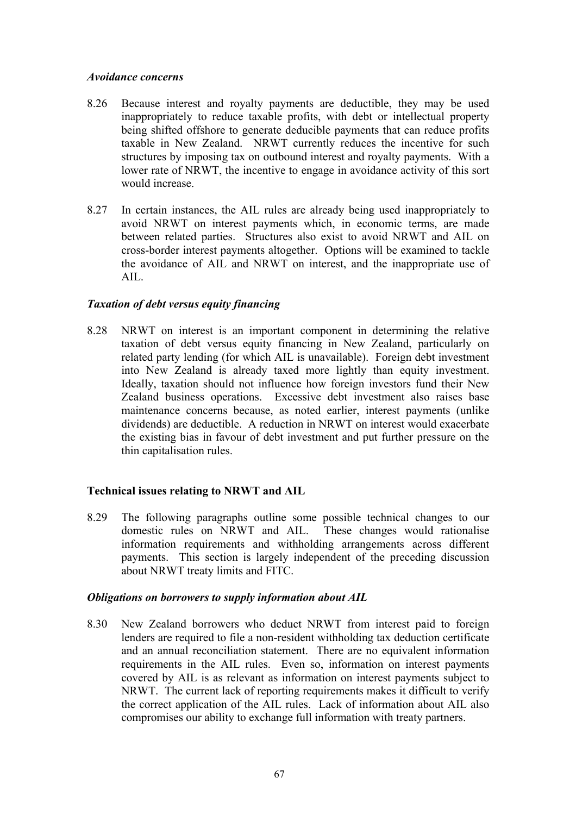#### *Avoidance concerns*

- 8.26 Because interest and royalty payments are deductible, they may be used inappropriately to reduce taxable profits, with debt or intellectual property being shifted offshore to generate deducible payments that can reduce profits taxable in New Zealand. NRWT currently reduces the incentive for such structures by imposing tax on outbound interest and royalty payments. With a lower rate of NRWT, the incentive to engage in avoidance activity of this sort would increase.
- 8.27 In certain instances, the AIL rules are already being used inappropriately to avoid NRWT on interest payments which, in economic terms, are made between related parties. Structures also exist to avoid NRWT and AIL on cross-border interest payments altogether. Options will be examined to tackle the avoidance of AIL and NRWT on interest, and the inappropriate use of  $AII.$

# *Taxation of debt versus equity financing*

8.28 NRWT on interest is an important component in determining the relative taxation of debt versus equity financing in New Zealand, particularly on related party lending (for which AIL is unavailable). Foreign debt investment into New Zealand is already taxed more lightly than equity investment. Ideally, taxation should not influence how foreign investors fund their New Zealand business operations. Excessive debt investment also raises base maintenance concerns because, as noted earlier, interest payments (unlike dividends) are deductible. A reduction in NRWT on interest would exacerbate the existing bias in favour of debt investment and put further pressure on the thin capitalisation rules.

# **Technical issues relating to NRWT and AIL**

8.29 The following paragraphs outline some possible technical changes to our domestic rules on NRWT and AIL. These changes would rationalise information requirements and withholding arrangements across different payments. This section is largely independent of the preceding discussion about NRWT treaty limits and FITC.

#### *Obligations on borrowers to supply information about AIL*

8.30 New Zealand borrowers who deduct NRWT from interest paid to foreign lenders are required to file a non-resident withholding tax deduction certificate and an annual reconciliation statement. There are no equivalent information requirements in the AIL rules. Even so, information on interest payments covered by AIL is as relevant as information on interest payments subject to NRWT. The current lack of reporting requirements makes it difficult to verify the correct application of the AIL rules. Lack of information about AIL also compromises our ability to exchange full information with treaty partners.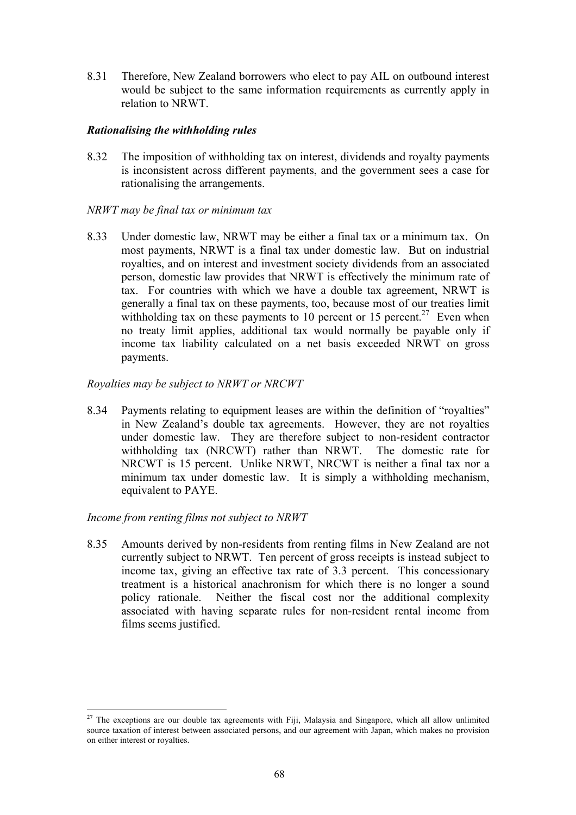8.31 Therefore, New Zealand borrowers who elect to pay AIL on outbound interest would be subject to the same information requirements as currently apply in relation to NRWT.

#### *Rationalising the withholding rules*

8.32 The imposition of withholding tax on interest, dividends and royalty payments is inconsistent across different payments, and the government sees a case for rationalising the arrangements.

#### *NRWT may be final tax or minimum tax*

8.33 Under domestic law, NRWT may be either a final tax or a minimum tax. On most payments, NRWT is a final tax under domestic law. But on industrial royalties, and on interest and investment society dividends from an associated person, domestic law provides that NRWT is effectively the minimum rate of tax. For countries with which we have a double tax agreement, NRWT is generally a final tax on these payments, too, because most of our treaties limit withholding tax on these payments to 10 percent or 15 percent.<sup>27</sup> Even when no treaty limit applies, additional tax would normally be payable only if income tax liability calculated on a net basis exceeded NRWT on gross payments.

#### *Royalties may be subject to NRWT or NRCWT*

8.34 Payments relating to equipment leases are within the definition of "royalties" in New Zealand's double tax agreements. However, they are not royalties under domestic law. They are therefore subject to non-resident contractor withholding tax (NRCWT) rather than NRWT. The domestic rate for NRCWT is 15 percent. Unlike NRWT, NRCWT is neither a final tax nor a minimum tax under domestic law. It is simply a withholding mechanism, equivalent to PAYE.

# *Income from renting films not subject to NRWT*

8.35 Amounts derived by non-residents from renting films in New Zealand are not currently subject to NRWT. Ten percent of gross receipts is instead subject to income tax, giving an effective tax rate of 3.3 percent. This concessionary treatment is a historical anachronism for which there is no longer a sound policy rationale. Neither the fiscal cost nor the additional complexity associated with having separate rules for non-resident rental income from films seems justified.

 $\overline{a}$  $27$  The exceptions are our double tax agreements with Fiji, Malaysia and Singapore, which all allow unlimited source taxation of interest between associated persons, and our agreement with Japan, which makes no provision on either interest or royalties.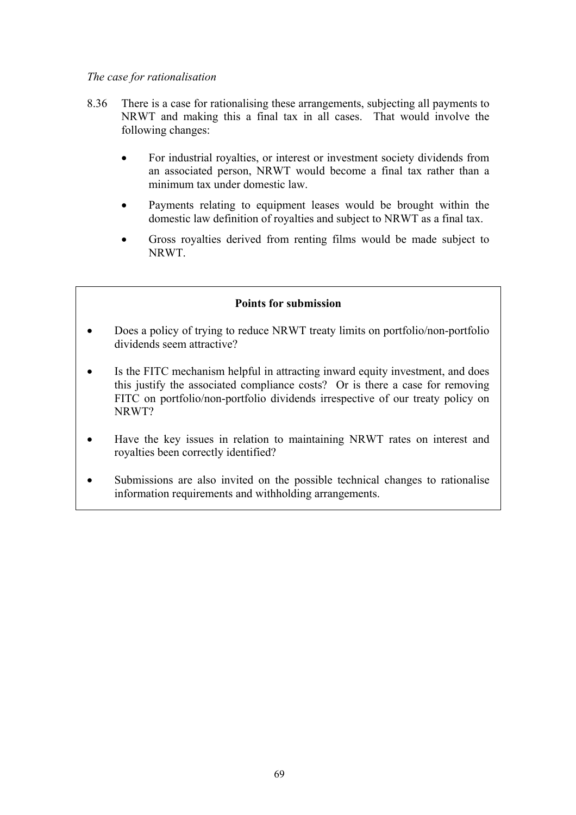# *The case for rationalisation*

- 8.36 There is a case for rationalising these arrangements, subjecting all payments to NRWT and making this a final tax in all cases. That would involve the following changes:
	- For industrial royalties, or interest or investment society dividends from an associated person, NRWT would become a final tax rather than a minimum tax under domestic law.
	- Payments relating to equipment leases would be brought within the domestic law definition of royalties and subject to NRWT as a final tax.
	- Gross royalties derived from renting films would be made subject to NRWT.

#### **Points for submission**

- Does a policy of trying to reduce NRWT treaty limits on portfolio/non-portfolio dividends seem attractive?
- Is the FITC mechanism helpful in attracting inward equity investment, and does this justify the associated compliance costs? Or is there a case for removing FITC on portfolio/non-portfolio dividends irrespective of our treaty policy on NRWT?
- Have the key issues in relation to maintaining NRWT rates on interest and royalties been correctly identified?
- Submissions are also invited on the possible technical changes to rationalise information requirements and withholding arrangements.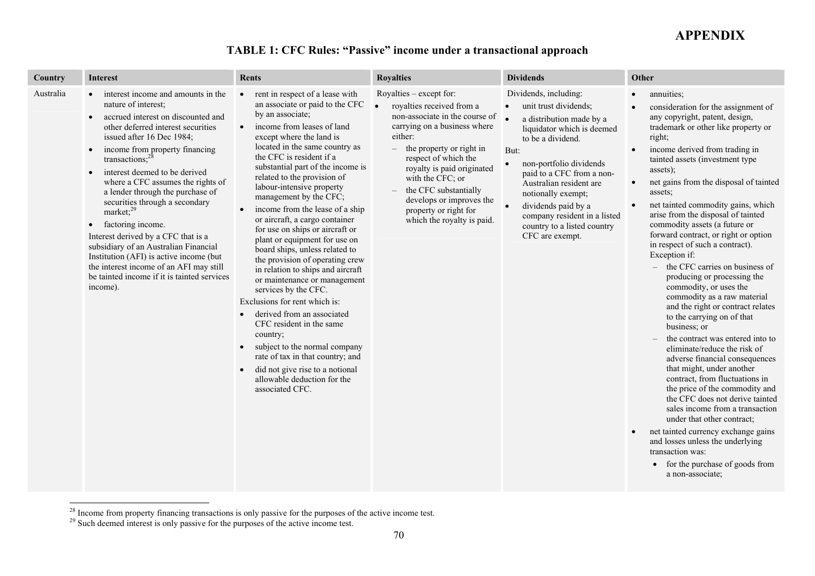# **APPENDIX**

# **TABLE 1: CFC Rules: "Passive" income under a transactional approach**

| Country   | <b>Interest</b>                                                                                                                                                                                                                                                                                                                                                                                                                                                                                                                                                                                                                                                                           | <b>Rents</b>                                                                                                                                                                                                                                                                                                                                                                                                                                                                                                                                                                                                                                                                                                                                                                                                                                                                                                                                                 | <b>Royalties</b>                                                                                                                                                                                                                                                                                                                                                                  | <b>Dividends</b>                                                                                                                                                                                                                                                                                                                                                                  | Other                                                                                                                                                                                                                                                                                                                                                                                                                                                                                                                                                                                                                                                                                                                                                                                                                                                                                                                                                                                                                                                                                                                                                                                          |
|-----------|-------------------------------------------------------------------------------------------------------------------------------------------------------------------------------------------------------------------------------------------------------------------------------------------------------------------------------------------------------------------------------------------------------------------------------------------------------------------------------------------------------------------------------------------------------------------------------------------------------------------------------------------------------------------------------------------|--------------------------------------------------------------------------------------------------------------------------------------------------------------------------------------------------------------------------------------------------------------------------------------------------------------------------------------------------------------------------------------------------------------------------------------------------------------------------------------------------------------------------------------------------------------------------------------------------------------------------------------------------------------------------------------------------------------------------------------------------------------------------------------------------------------------------------------------------------------------------------------------------------------------------------------------------------------|-----------------------------------------------------------------------------------------------------------------------------------------------------------------------------------------------------------------------------------------------------------------------------------------------------------------------------------------------------------------------------------|-----------------------------------------------------------------------------------------------------------------------------------------------------------------------------------------------------------------------------------------------------------------------------------------------------------------------------------------------------------------------------------|------------------------------------------------------------------------------------------------------------------------------------------------------------------------------------------------------------------------------------------------------------------------------------------------------------------------------------------------------------------------------------------------------------------------------------------------------------------------------------------------------------------------------------------------------------------------------------------------------------------------------------------------------------------------------------------------------------------------------------------------------------------------------------------------------------------------------------------------------------------------------------------------------------------------------------------------------------------------------------------------------------------------------------------------------------------------------------------------------------------------------------------------------------------------------------------------|
| Australia | interest income and amounts in the<br>$\bullet$<br>nature of interest;<br>accrued interest on discounted and<br>$\bullet$<br>other deferred interest securities<br>issued after 16 Dec 1984;<br>income from property financing<br>transactions: $^{28}$<br>interest deemed to be derived<br>where a CFC assumes the rights of<br>a lender through the purchase of<br>securities through a secondary<br>market; $^{29}$<br>factoring income.<br>$\bullet$<br>Interest derived by a CFC that is a<br>subsidiary of an Australian Financial<br>Institution (AFI) is active income (but<br>the interest income of an AFI may still<br>be tainted income if it is tainted services<br>income). | rent in respect of a lease with<br>$\bullet$<br>an associate or paid to the CFC<br>by an associate;<br>income from leases of land<br>$\bullet$<br>except where the land is<br>located in the same country as<br>the CFC is resident if a<br>substantial part of the income is<br>related to the provision of<br>labour-intensive property<br>management by the CFC;<br>income from the lease of a ship<br>or aircraft, a cargo container<br>for use on ships or aircraft or<br>plant or equipment for use on<br>board ships, unless related to<br>the provision of operating crew<br>in relation to ships and aircraft<br>or maintenance or management<br>services by the CFC.<br>Exclusions for rent which is:<br>derived from an associated<br>CFC resident in the same<br>country;<br>subject to the normal company<br>$\bullet$<br>rate of tax in that country; and<br>did not give rise to a notional<br>allowable deduction for the<br>associated CFC. | Royalties $-$ except for:<br>royalties received from a<br>non-associate in the course of<br>carrying on a business where<br>either:<br>the property or right in<br>$\overline{\phantom{0}}$<br>respect of which the<br>royalty is paid originated<br>with the CFC; or<br>the CFC substantially<br>develops or improves the<br>property or right for<br>which the royalty is paid. | Dividends, including:<br>unit trust dividends;<br>$\bullet$<br>a distribution made by a<br>liquidator which is deemed<br>to be a dividend.<br>But:<br>non-portfolio dividends<br>$\bullet$<br>paid to a CFC from a non-<br>Australian resident are<br>notionally exempt;<br>dividends paid by a<br>company resident in a listed<br>country to a listed country<br>CFC are exempt. | annuities;<br>consideration for the assignment of<br>any copyright, patent, design,<br>trademark or other like property or<br>right;<br>income derived from trading in<br>tainted assets (investment type<br>assets);<br>net gains from the disposal of tainted<br>$\bullet$<br>assets;<br>net tainted commodity gains, which<br>$\bullet$<br>arise from the disposal of tainted<br>commodity assets (a future or<br>forward contract, or right or option<br>in respect of such a contract).<br>Exception if:<br>$-$ the CFC carries on business of<br>producing or processing the<br>commodity, or uses the<br>commodity as a raw material<br>and the right or contract relates<br>to the carrying on of that<br>business; or<br>the contract was entered into to<br>eliminate/reduce the risk of<br>adverse financial consequences<br>that might, under another<br>contract, from fluctuations in<br>the price of the commodity and<br>the CFC does not derive tainted<br>sales income from a transaction<br>under that other contract;<br>net tainted currency exchange gains<br>and losses unless the underlying<br>transaction was:<br>for the purchase of goods from<br>a non-associate; |

<sup>&</sup>lt;sup>28</sup> Income from property financing transactions is only passive for the purposes of the active income test.

<sup>&</sup>lt;sup>29</sup> Such deemed interest is only passive for the purposes of the active income test.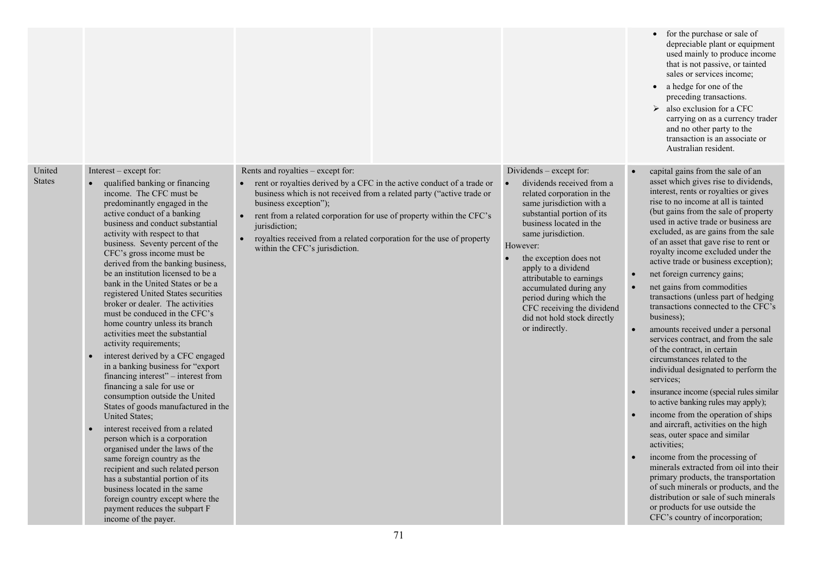|                         |                                                                                                                                                                                                                                                                                                                                                                                                                                                                                                                                                                                                                                                                                                                                                                                                                                                                                                                                                                                                                                                                                                                                                                                                               |                                                                                                                                                                                                                                                                                                                                                                                                                                |                                                                                                                                                                                                                                                                                                                                                                                                                            | for the purchase or sale of<br>depreciable plant or equipment<br>used mainly to produce income<br>that is not passive, or tainted<br>sales or services income;<br>• a hedge for one of the<br>preceding transactions.<br>$\triangleright$ also exclusion for a CFC<br>carrying on as a currency trader<br>and no other party to the<br>transaction is an associate or<br>Australian resident.                                                                                                                                                                                                                                                                                                                                                                                                                                                                                                                                                                                                                                                                                                                                                                                                                                                                                           |
|-------------------------|---------------------------------------------------------------------------------------------------------------------------------------------------------------------------------------------------------------------------------------------------------------------------------------------------------------------------------------------------------------------------------------------------------------------------------------------------------------------------------------------------------------------------------------------------------------------------------------------------------------------------------------------------------------------------------------------------------------------------------------------------------------------------------------------------------------------------------------------------------------------------------------------------------------------------------------------------------------------------------------------------------------------------------------------------------------------------------------------------------------------------------------------------------------------------------------------------------------|--------------------------------------------------------------------------------------------------------------------------------------------------------------------------------------------------------------------------------------------------------------------------------------------------------------------------------------------------------------------------------------------------------------------------------|----------------------------------------------------------------------------------------------------------------------------------------------------------------------------------------------------------------------------------------------------------------------------------------------------------------------------------------------------------------------------------------------------------------------------|-----------------------------------------------------------------------------------------------------------------------------------------------------------------------------------------------------------------------------------------------------------------------------------------------------------------------------------------------------------------------------------------------------------------------------------------------------------------------------------------------------------------------------------------------------------------------------------------------------------------------------------------------------------------------------------------------------------------------------------------------------------------------------------------------------------------------------------------------------------------------------------------------------------------------------------------------------------------------------------------------------------------------------------------------------------------------------------------------------------------------------------------------------------------------------------------------------------------------------------------------------------------------------------------|
| United<br><b>States</b> | Interest – except for:<br>qualified banking or financing<br>income. The CFC must be<br>predominantly engaged in the<br>active conduct of a banking<br>business and conduct substantial<br>activity with respect to that<br>business. Seventy percent of the<br>CFC's gross income must be<br>derived from the banking business,<br>be an institution licensed to be a<br>bank in the United States or be a<br>registered United States securities<br>broker or dealer. The activities<br>must be conduced in the CFC's<br>home country unless its branch<br>activities meet the substantial<br>activity requirements;<br>interest derived by a CFC engaged<br>in a banking business for "export<br>financing interest" – interest from<br>financing a sale for use or<br>consumption outside the United<br>States of goods manufactured in the<br>United States;<br>interest received from a related<br>person which is a corporation<br>organised under the laws of the<br>same foreign country as the<br>recipient and such related person<br>has a substantial portion of its<br>business located in the same<br>foreign country except where the<br>payment reduces the subpart F<br>income of the payer. | Rents and royalties – except for:<br>rent or royalties derived by a CFC in the active conduct of a trade or<br>$\bullet$<br>business which is not received from a related party ("active trade or<br>business exception");<br>rent from a related corporation for use of property within the CFC's<br>jurisdiction;<br>royalties received from a related corporation for the use of property<br>within the CFC's jurisdiction. | Dividends – except for:<br>dividends received from a<br>related corporation in the<br>same jurisdiction with a<br>substantial portion of its<br>business located in the<br>same jurisdiction.<br>However:<br>the exception does not<br>apply to a dividend<br>attributable to earnings<br>accumulated during any<br>period during which the<br>CFC receiving the dividend<br>did not hold stock directly<br>or indirectly. | capital gains from the sale of an<br>asset which gives rise to dividends,<br>interest, rents or royalties or gives<br>rise to no income at all is tainted<br>(but gains from the sale of property<br>used in active trade or business are<br>excluded, as are gains from the sale<br>of an asset that gave rise to rent or<br>royalty income excluded under the<br>active trade or business exception);<br>net foreign currency gains;<br>net gains from commodities<br>$\bullet$<br>transactions (unless part of hedging<br>transactions connected to the CFC's<br>business);<br>amounts received under a personal<br>$\bullet$<br>services contract, and from the sale<br>of the contract, in certain<br>circumstances related to the<br>individual designated to perform the<br>services;<br>insurance income (special rules similar<br>to active banking rules may apply);<br>income from the operation of ships<br>and aircraft, activities on the high<br>seas, outer space and similar<br>activities;<br>income from the processing of<br>minerals extracted from oil into their<br>primary products, the transportation<br>of such minerals or products, and the<br>distribution or sale of such minerals<br>or products for use outside the<br>CFC's country of incorporation; |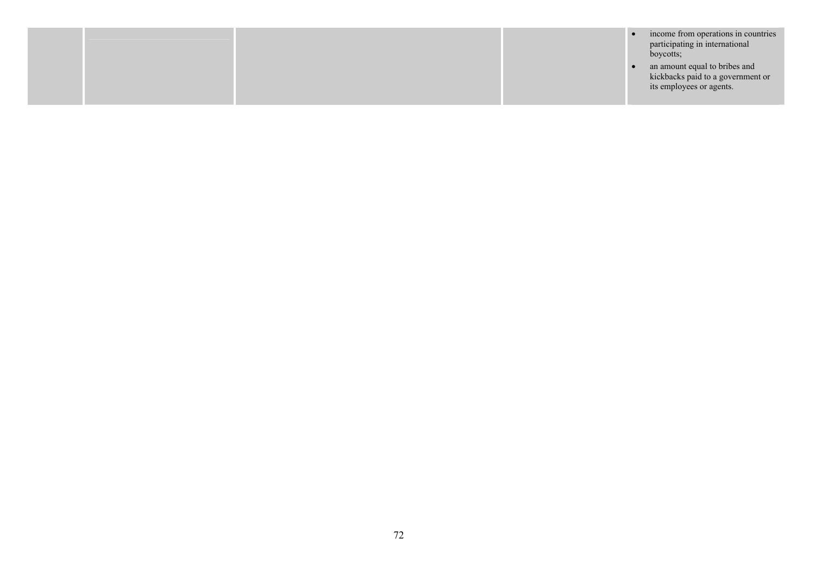|  |  | income from operations in countries<br>participating in international<br>boycotts;             |
|--|--|------------------------------------------------------------------------------------------------|
|  |  | an amount equal to bribes and<br>kickbacks paid to a government or<br>its employees or agents. |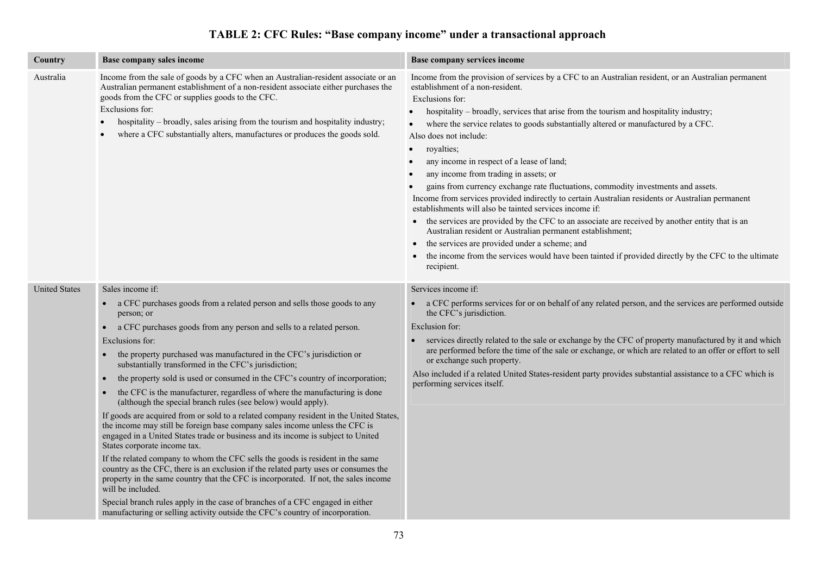# **TABLE 2: CFC Rules: "Base company income" under a transactional approach**

| Country              | Base company sales income                                                                                                                                                                                                                                                                                                                                                                                                                                                                                                                                                                                                                                                                                                                                                                                                                                                                                                                                                                                                                                                                                                                                                                                                                                                                                                                                      | Base company services income                                                                                                                                                                                                                                                                                                                                                                                                                                                                                                                                                                                                                                                                                                                                                                                                                                                                                                                                                                                                                                                                                                                        |
|----------------------|----------------------------------------------------------------------------------------------------------------------------------------------------------------------------------------------------------------------------------------------------------------------------------------------------------------------------------------------------------------------------------------------------------------------------------------------------------------------------------------------------------------------------------------------------------------------------------------------------------------------------------------------------------------------------------------------------------------------------------------------------------------------------------------------------------------------------------------------------------------------------------------------------------------------------------------------------------------------------------------------------------------------------------------------------------------------------------------------------------------------------------------------------------------------------------------------------------------------------------------------------------------------------------------------------------------------------------------------------------------|-----------------------------------------------------------------------------------------------------------------------------------------------------------------------------------------------------------------------------------------------------------------------------------------------------------------------------------------------------------------------------------------------------------------------------------------------------------------------------------------------------------------------------------------------------------------------------------------------------------------------------------------------------------------------------------------------------------------------------------------------------------------------------------------------------------------------------------------------------------------------------------------------------------------------------------------------------------------------------------------------------------------------------------------------------------------------------------------------------------------------------------------------------|
| Australia            | Income from the sale of goods by a CFC when an Australian-resident associate or an<br>Australian permanent establishment of a non-resident associate either purchases the<br>goods from the CFC or supplies goods to the CFC.<br>Exclusions for:<br>hospitality - broadly, sales arising from the tourism and hospitality industry;<br>where a CFC substantially alters, manufactures or produces the goods sold.                                                                                                                                                                                                                                                                                                                                                                                                                                                                                                                                                                                                                                                                                                                                                                                                                                                                                                                                              | Income from the provision of services by a CFC to an Australian resident, or an Australian permanent<br>establishment of a non-resident.<br>Exclusions for:<br>hospitality – broadly, services that arise from the tourism and hospitality industry;<br>$\bullet$<br>where the service relates to goods substantially altered or manufactured by a CFC.<br>$\bullet$<br>Also does not include:<br>royalties;<br>$\bullet$<br>any income in respect of a lease of land;<br>$\bullet$<br>any income from trading in assets; or<br>$\bullet$<br>gains from currency exchange rate fluctuations, commodity investments and assets.<br>Income from services provided indirectly to certain Australian residents or Australian permanent<br>establishments will also be tainted services income if:<br>• the services are provided by the CFC to an associate are received by another entity that is an<br>Australian resident or Australian permanent establishment;<br>the services are provided under a scheme; and<br>$\bullet$<br>the income from the services would have been tainted if provided directly by the CFC to the ultimate<br>recipient. |
| <b>United States</b> | Sales income if:<br>a CFC purchases goods from a related person and sells those goods to any<br>$\bullet$<br>person; or<br>a CFC purchases goods from any person and sells to a related person.<br>Exclusions for:<br>the property purchased was manufactured in the CFC's jurisdiction or<br>substantially transformed in the CFC's jurisdiction;<br>the property sold is used or consumed in the CFC's country of incorporation;<br>$\bullet$<br>the CFC is the manufacturer, regardless of where the manufacturing is done<br>$\bullet$<br>(although the special branch rules (see below) would apply).<br>If goods are acquired from or sold to a related company resident in the United States,<br>the income may still be foreign base company sales income unless the CFC is<br>engaged in a United States trade or business and its income is subject to United<br>States corporate income tax.<br>If the related company to whom the CFC sells the goods is resident in the same<br>country as the CFC, there is an exclusion if the related party uses or consumes the<br>property in the same country that the CFC is incorporated. If not, the sales income<br>will be included.<br>Special branch rules apply in the case of branches of a CFC engaged in either<br>manufacturing or selling activity outside the CFC's country of incorporation. | Services income if:<br>• a CFC performs services for or on behalf of any related person, and the services are performed outside<br>the CFC's jurisdiction.<br>Exclusion for:<br>services directly related to the sale or exchange by the CFC of property manufactured by it and which<br>are performed before the time of the sale or exchange, or which are related to an offer or effort to sell<br>or exchange such property.<br>Also included if a related United States-resident party provides substantial assistance to a CFC which is<br>performing services itself.                                                                                                                                                                                                                                                                                                                                                                                                                                                                                                                                                                        |